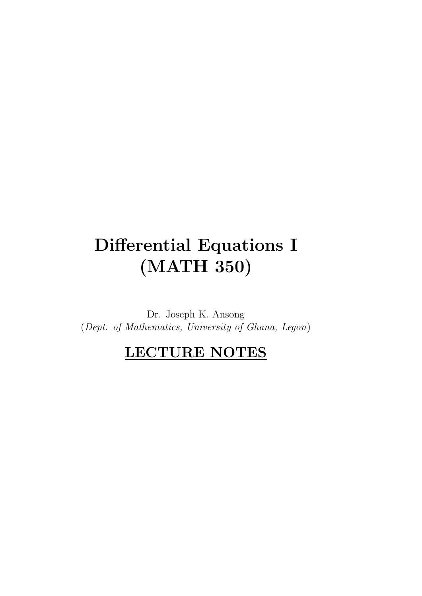# Differential Equations I (MATH 350)

Dr. Joseph K. Ansong (Dept. of Mathematics, University of Ghana, Legon)

## LECTURE NOTES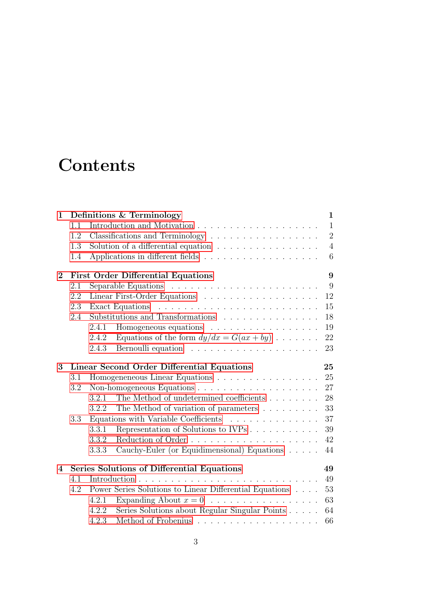# **Contents**

| $\mathbf{1}$ |                                                  | Definitions & Terminology                                                                                                                                                                                                               |  |  |              | $\mathbf{1}$   |  |  |
|--------------|--------------------------------------------------|-----------------------------------------------------------------------------------------------------------------------------------------------------------------------------------------------------------------------------------------|--|--|--------------|----------------|--|--|
|              | 1.1                                              |                                                                                                                                                                                                                                         |  |  | $\mathbf{1}$ |                |  |  |
|              | 1.2                                              | Classifications and Terminology                                                                                                                                                                                                         |  |  |              | $\sqrt{2}$     |  |  |
|              | 1.3                                              | Solution of a differential equation $\ldots \ldots \ldots \ldots \ldots$                                                                                                                                                                |  |  |              | $\overline{4}$ |  |  |
|              | 1.4                                              |                                                                                                                                                                                                                                         |  |  |              | 6              |  |  |
| $\bf{2}$     | 9<br><b>First Order Differential Equations</b>   |                                                                                                                                                                                                                                         |  |  |              |                |  |  |
|              | 2.1                                              |                                                                                                                                                                                                                                         |  |  | 9            |                |  |  |
|              | 2.2                                              | Linear First-Order Equations                                                                                                                                                                                                            |  |  | 12           |                |  |  |
|              | 2.3                                              |                                                                                                                                                                                                                                         |  |  | 15           |                |  |  |
|              | 2.4                                              | Substitutions and Transformations                                                                                                                                                                                                       |  |  | 18           |                |  |  |
|              |                                                  | Homogeneous equations<br>2.4.1                                                                                                                                                                                                          |  |  | 19           |                |  |  |
|              |                                                  | Equations of the form $dy/dx = G(ax + by) \dots$<br>2.4.2                                                                                                                                                                               |  |  | 22           |                |  |  |
|              |                                                  | Bernoulli equation response to the contract of the set of the set of the set of the set of the set of the set of the set of the set of the set of the set of the set of the set of the set of the set of the set of the set of<br>2.4.3 |  |  | 23           |                |  |  |
| 3            | Linear Second Order Differential Equations<br>25 |                                                                                                                                                                                                                                         |  |  |              |                |  |  |
|              | 3.1                                              | Homogeneneous Linear Equations                                                                                                                                                                                                          |  |  | 25           |                |  |  |
|              | 3.2                                              |                                                                                                                                                                                                                                         |  |  | 27           |                |  |  |
|              |                                                  | The Method of undetermined coefficients<br>3.2.1                                                                                                                                                                                        |  |  | 28           |                |  |  |
|              |                                                  | The Method of variation of parameters<br>3.2.2                                                                                                                                                                                          |  |  | 33           |                |  |  |
|              | 3.3                                              | Equations with Variable Coefficients                                                                                                                                                                                                    |  |  | 37           |                |  |  |
|              |                                                  | Representation of Solutions to IVPs<br>3.3.1                                                                                                                                                                                            |  |  | 39           |                |  |  |
|              |                                                  | 3.3.2                                                                                                                                                                                                                                   |  |  | 42           |                |  |  |
|              |                                                  | Cauchy-Euler (or Equidimensional) Equations<br>3.3.3                                                                                                                                                                                    |  |  | 44           |                |  |  |
| 4            |                                                  | Series Solutions of Differential Equations                                                                                                                                                                                              |  |  | 49           |                |  |  |
|              | 4.1                                              |                                                                                                                                                                                                                                         |  |  | 49           |                |  |  |
|              | 4.2                                              | Power Series Solutions to Linear Differential Equations                                                                                                                                                                                 |  |  | 53           |                |  |  |
|              |                                                  | 4.2.1                                                                                                                                                                                                                                   |  |  | 63           |                |  |  |
|              |                                                  | Series Solutions about Regular Singular Points<br>4.2.2                                                                                                                                                                                 |  |  | 64           |                |  |  |
|              |                                                  | 4.2.3                                                                                                                                                                                                                                   |  |  | 66           |                |  |  |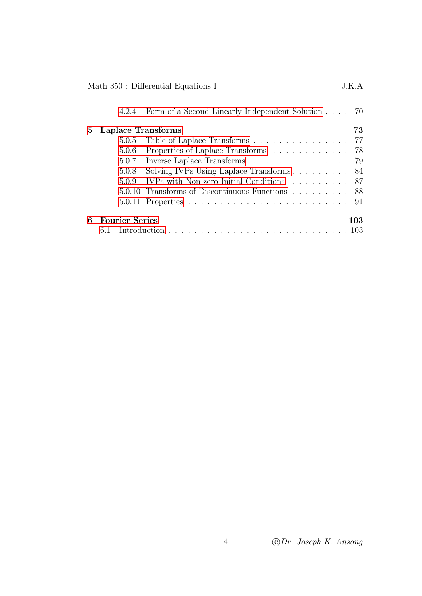|                            | Math 350 : Differential Equations I               |  |     |
|----------------------------|---------------------------------------------------|--|-----|
| 4.2.4                      | Form of a Second Linearly Independent Solution 70 |  |     |
| Laplace Transforms<br>5    |                                                   |  | 73  |
| 5.0.5                      | Table of Laplace Transforms 77                    |  |     |
| 5.0.6                      | Properties of Laplace Transforms 78               |  |     |
|                            | 5.0.7 Inverse Laplace Transforms 79               |  |     |
| 5.0.8                      |                                                   |  |     |
|                            | 5.0.9 IVPs with Non-zero Initial Conditions 87    |  |     |
|                            | 5.0.10 Transforms of Discontinuous Functions 88   |  |     |
|                            |                                                   |  |     |
|                            |                                                   |  |     |
| <b>Fourier Series</b><br>6 |                                                   |  | 103 |
|                            |                                                   |  |     |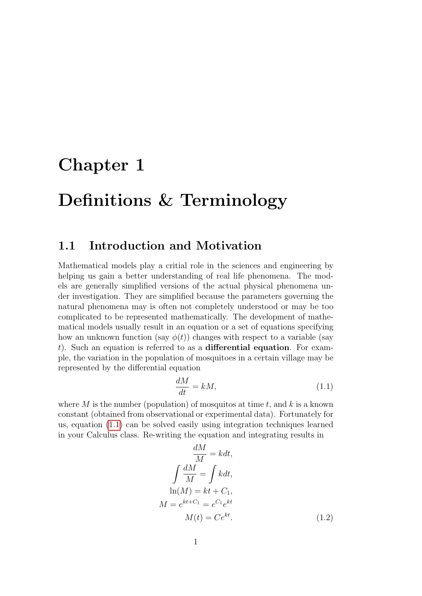## <span id="page-4-0"></span>Chapter 1

## Definitions & Terminology

## <span id="page-4-1"></span>1.1 Introduction and Motivation

Mathematical models play a critial role in the sciences and engineering by helping us gain a better understanding of real life phenomena. The models are generally simplified versions of the actual physical phenomena under investigation. They are simplified because the parameters governing the natural phenomena may is often not completely understood or may be too complicated to be represented mathematically. The development of mathematical models usually result in an equation or a set of equations specifying how an unknown function (say  $\phi(t)$ ) changes with respect to a variable (say t). Such an equation is referred to as a differential equation. For example, the variation in the population of mosquitoes in a certain village may be represented by the differential equation

<span id="page-4-2"></span>
$$
\frac{dM}{dt} = kM,\t\t(1.1)
$$

where M is the number (population) of mosquitos at time t, and k is a known constant (obtained from observational or experimental data). Fortunately for us, equation [\(1.1\)](#page-4-2) can be solved easily using integration techniques learned in your Calculus class. Re-writing the equation and integrating results in

<span id="page-4-3"></span>
$$
\frac{dM}{M} = kdt,
$$
  

$$
\int \frac{dM}{M} = \int kdt,
$$
  

$$
\ln(M) = kt + C_1,
$$
  

$$
M = e^{kt + C_1} = e^{C_1}e^{kt}
$$
  

$$
M(t) = Ce^{kt}.
$$
 (1.2)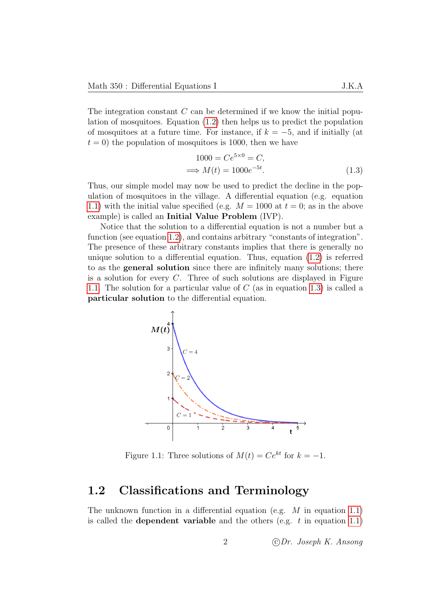The integration constant  $C$  can be determined if we know the initial population of mosquitoes. Equation [\(1.2\)](#page-4-3) then helps us to predict the population of mosquitoes at a future time. For instance, if  $k = -5$ , and if initially (at  $t = 0$ ) the population of mosquitoes is 1000, then we have

<span id="page-5-2"></span>
$$
1000 = Ce^{5 \times 0} = C,
$$
  

$$
\implies M(t) = 1000e^{-5t}.
$$
 (1.3)

Thus, our simple model may now be used to predict the decline in the population of mosquitoes in the village. A differential equation (e.g. equation [1.1\)](#page-4-2) with the initial value specified (e.g.  $M = 1000$  at  $t = 0$ ; as in the above example) is called an Initial Value Problem (IVP).

Notice that the solution to a differential equation is not a number but a function (see equation [1.2\)](#page-4-3), and contains arbitrary "constants of integration". The presence of these arbitrary constants implies that there is generally no unique solution to a differential equation. Thus, equation [\(1.2\)](#page-4-3) is referred to as the general solution since there are infinitely many solutions; there is a solution for every  $C$ . Three of such solutions are displayed in Figure [1.1.](#page-5-1) The solution for a particular value of C (as in equation [1.3\)](#page-5-2) is called a particular solution to the differential equation.



<span id="page-5-1"></span>Figure 1.1: Three solutions of  $M(t) = Ce^{kt}$  for  $k = -1$ .

### <span id="page-5-0"></span>1.2 Classifications and Terminology

The unknown function in a differential equation (e.g.  $M$  in equation [1.1\)](#page-4-2) is called the **dependent variable** and the others (e.g.  $t$  in equation [1.1\)](#page-4-2)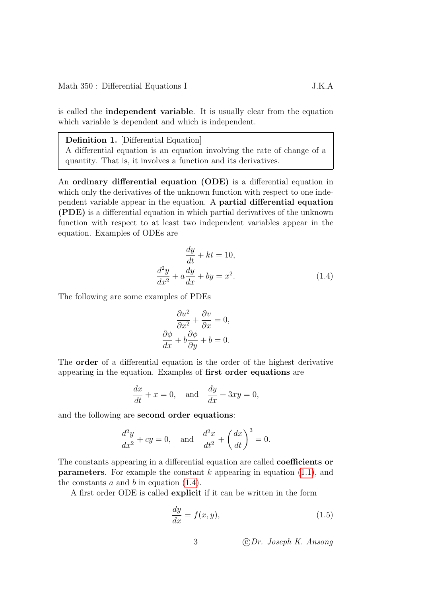is called the independent variable. It is usually clear from the equation which variable is dependent and which is independent.

Definition 1. [Differential Equation]

A differential equation is an equation involving the rate of change of a quantity. That is, it involves a function and its derivatives.

An ordinary differential equation (ODE) is a differential equation in which only the derivatives of the unknown function with respect to one independent variable appear in the equation. A partial differential equation (PDE) is a differential equation in which partial derivatives of the unknown function with respect to at least two independent variables appear in the equation. Examples of ODEs are

$$
\frac{dy}{dt} + kt = 10,
$$
  

$$
\frac{d^2y}{dx^2} + a\frac{dy}{dx} + by = x^2.
$$
 (1.4)

The following are some examples of PDEs

<span id="page-6-0"></span>
$$
\frac{\partial u^2}{\partial x^2} + \frac{\partial v}{\partial x} = 0,
$$
  

$$
\frac{\partial \phi}{\partial x} + b \frac{\partial \phi}{\partial y} + b = 0.
$$

The order of a differential equation is the order of the highest derivative appearing in the equation. Examples of first order equations are

$$
\frac{dx}{dt} + x = 0, \text{ and } \frac{dy}{dx} + 3xy = 0,
$$

and the following are second order equations:

$$
\frac{d^2y}{dx^2} + cy = 0, \text{ and } \frac{d^2x}{dt^2} + \left(\frac{dx}{dt}\right)^3 = 0.
$$

The constants appearing in a differential equation are called coefficients or **parameters**. For example the constant  $k$  appearing in equation  $(1.1)$ , and the constants  $a$  and  $b$  in equation  $(1.4)$ .

A first order ODE is called explicit if it can be written in the form

$$
\frac{dy}{dx} = f(x, y),\tag{1.5}
$$

<span id="page-6-1"></span>3 c Dr. Joseph K. Ansong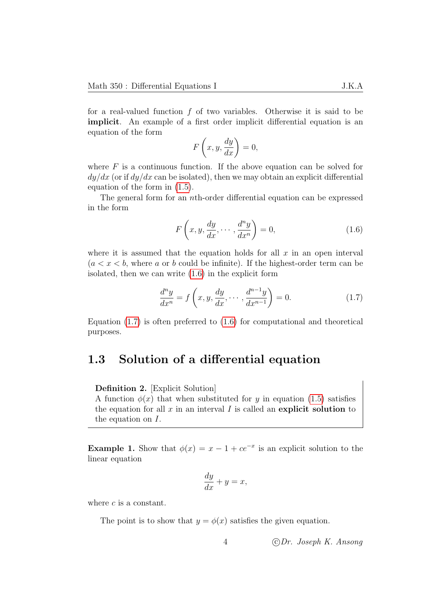for a real-valued function  $f$  of two variables. Otherwise it is said to be implicit. An example of a first order implicit differential equation is an equation of the form

$$
F\left(x,y,\frac{dy}{dx}\right) = 0,
$$

where  $F$  is a continuous function. If the above equation can be solved for  $dy/dx$  (or if  $dy/dx$  can be isolated), then we may obtain an explicit differential equation of the form in [\(1.5\)](#page-6-1).

The general form for an nth-order differential equation can be expressed in the form

$$
F\left(x, y, \frac{dy}{dx}, \cdots, \frac{d^{n}y}{dx^{n}}\right) = 0,
$$
\n(1.6)

where it is assumed that the equation holds for all  $x$  in an open interval  $(a < x < b$ , where a or b could be infinite). If the highest-order term can be isolated, then we can write [\(1.6\)](#page-7-1) in the explicit form

$$
\frac{d^n y}{dx^n} = f\left(x, y, \frac{dy}{dx}, \dots, \frac{d^{n-1} y}{dx^{n-1}}\right) = 0.
$$
\n(1.7)

Equation  $(1.7)$  is often preferred to  $(1.6)$  for computational and theoretical purposes.

### <span id="page-7-0"></span>1.3 Solution of a differential equation

Definition 2. [Explicit Solution] A function  $\phi(x)$  that when substituted for y in equation [\(1.5\)](#page-6-1) satisfies the equation for all  $x$  in an interval  $I$  is called an explicit solution to the equation on I.

**Example 1.** Show that  $\phi(x) = x - 1 + ce^{-x}$  is an explicit solution to the linear equation

$$
\frac{dy}{dx} + y = x,
$$

where  $c$  is a constant.

The point is to show that  $y = \phi(x)$  satisfies the given equation.

<span id="page-7-2"></span><span id="page-7-1"></span>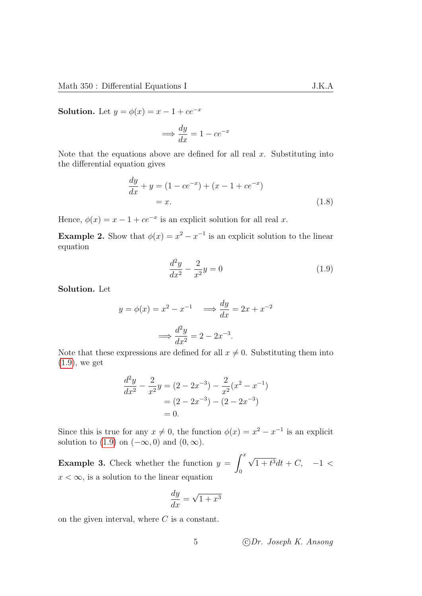**Solution.** Let  $y = \phi(x) = x - 1 + ce^{-x}$ 

$$
\implies \frac{dy}{dx} = 1 - ce^{-x}
$$

Note that the equations above are defined for all real  $x$ . Substituting into the differential equation gives

$$
\frac{dy}{dx} + y = (1 - ce^{-x}) + (x - 1 + ce^{-x})
$$
  
= x. (1.8)

Hence,  $\phi(x) = x - 1 + ce^{-x}$  is an explicit solution for all real x.

**Example 2.** Show that  $\phi(x) = x^2 - x^{-1}$  is an explicit solution to the linear equation

<span id="page-8-0"></span>
$$
\frac{d^2y}{dx^2} - \frac{2}{x^2}y = 0\tag{1.9}
$$

Solution. Let

$$
y = \phi(x) = x^2 - x^{-1} \implies \frac{dy}{dx} = 2x + x^{-2}
$$

$$
\implies \frac{d^2y}{dx^2} = 2 - 2x^{-3}.
$$

Note that these expressions are defined for all  $x \neq 0$ . Substituting them into [\(1.9\)](#page-8-0), we get

$$
\frac{d^2y}{dx^2} - \frac{2}{x^2}y = (2 - 2x^{-3}) - \frac{2}{x^2}(x^2 - x^{-1})
$$

$$
= (2 - 2x^{-3}) - (2 - 2x^{-3})
$$

$$
= 0.
$$

Since this is true for any  $x \neq 0$ , the function  $\phi(x) = x^2 - x^{-1}$  is an explicit solution to [\(1.9\)](#page-8-0) on  $(-\infty, 0)$  and  $(0, \infty)$ .

**Example 3.** Check whether the function  $y = \int_0^x$ 0 √  $1 + t^3 dt + C$ ,  $-1 <$  $x < \infty$ , is a solution to the linear equation

$$
\frac{dy}{dx} = \sqrt{1 + x^3}
$$

on the given interval, where  $C$  is a constant.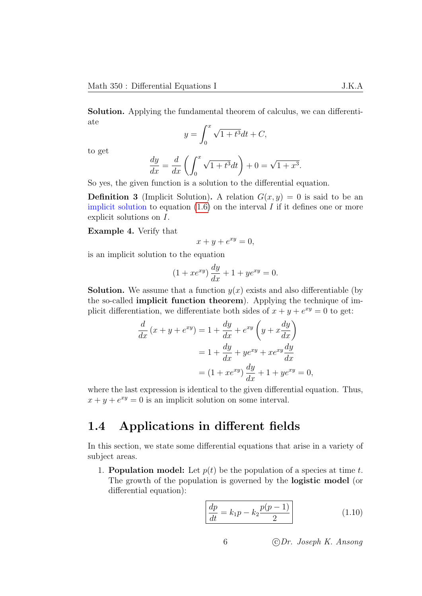Solution. Applying the fundamental theorem of calculus, we can differentiate

$$
y = \int_0^x \sqrt{1 + t^3} dt + C,
$$

to get

$$
\frac{dy}{dx} = \frac{d}{dx}\left(\int_0^x \sqrt{1+t^3}dt\right) + 0 = \sqrt{1+x^3}.
$$

So yes, the given function is a solution to the differential equation.

**Definition 3** (Implicit Solution). A relation  $G(x, y) = 0$  is said to be an implicit solution to equation  $(1.6)$  on the interval I if it defines one or more explicit solutions on I.

Example 4. Verify that

$$
x + y + e^{xy} = 0,
$$

is an implicit solution to the equation

$$
(1 + xe^{xy})\frac{dy}{dx} + 1 + ye^{xy} = 0.
$$

**Solution.** We assume that a function  $y(x)$  exists and also differentiable (by the so-called implicit function theorem). Applying the technique of implicit differentiation, we differentiate both sides of  $x + y + e^{xy} = 0$  to get:

$$
\frac{d}{dx}(x+y+e^{xy}) = 1 + \frac{dy}{dx} + e^{xy}\left(y+x\frac{dy}{dx}\right)
$$

$$
= 1 + \frac{dy}{dx} + ye^{xy} + xe^{xy}\frac{dy}{dx}
$$

$$
= (1+xe^{xy})\frac{dy}{dx} + 1 + ye^{xy} = 0,
$$

where the last expression is identical to the given differential equation. Thus,  $x + y + e^{xy} = 0$  is an implicit solution on some interval.

## <span id="page-9-0"></span>1.4 Applications in different fields

In this section, we state some differential equations that arise in a variety of subject areas.

1. **Population model:** Let  $p(t)$  be the population of a species at time t. The growth of the population is governed by the logistic model (or differential equation):

$$
\frac{dp}{dt} = k_1 p - k_2 \frac{p(p-1)}{2}
$$
 (1.10)

6 c Dr. Joseph K. Ansong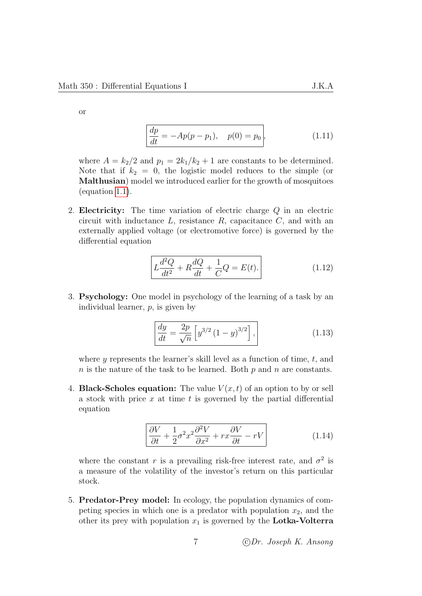or

$$
\frac{dp}{dt} = -Ap(p - p_1), \quad p(0) = p_0,
$$
\n(1.11)

where  $A = k_2/2$  and  $p_1 = 2k_1/k_2 + 1$  are constants to be determined. Note that if  $k_2 = 0$ , the logistic model reduces to the simple (or Malthusian) model we introduced earlier for the growth of mosquitoes (equation [1.1\)](#page-4-2).

2. Electricity: The time variation of electric charge Q in an electric circuit with inductance  $L$ , resistance  $R$ , capacitance  $C$ , and with an externally applied voltage (or electromotive force) is governed by the differential equation

$$
L\frac{d^2Q}{dt^2} + R\frac{dQ}{dt} + \frac{1}{C}Q = E(t).
$$
 (1.12)

3. Psychology: One model in psychology of the learning of a task by an individual learner, p, is given by

$$
\frac{dy}{dt} = \frac{2p}{\sqrt{n}} \left[ y^{3/2} \left( 1 - y \right)^{3/2} \right],
$$
\n(1.13)

where y represents the learner's skill level as a function of time,  $t$ , and  $n$  is the nature of the task to be learned. Both  $p$  and  $n$  are constants.

4. **Black-Scholes equation:** The value  $V(x,t)$  of an option to by or sell a stock with price  $x$  at time  $t$  is governed by the partial differential equation

$$
\left[\frac{\partial V}{\partial t} + \frac{1}{2}\sigma^2 x^2 \frac{\partial^2 V}{\partial x^2} + rx \frac{\partial V}{\partial t} - rV\right]
$$
 (1.14)

where the constant r is a prevailing risk-free interest rate, and  $\sigma^2$  is a measure of the volatility of the investor's return on this particular stock.

5. Predator-Prey model: In ecology, the population dynamics of competing species in which one is a predator with population  $x_2$ , and the other its prey with population  $x_1$  is governed by the Lotka-Volterra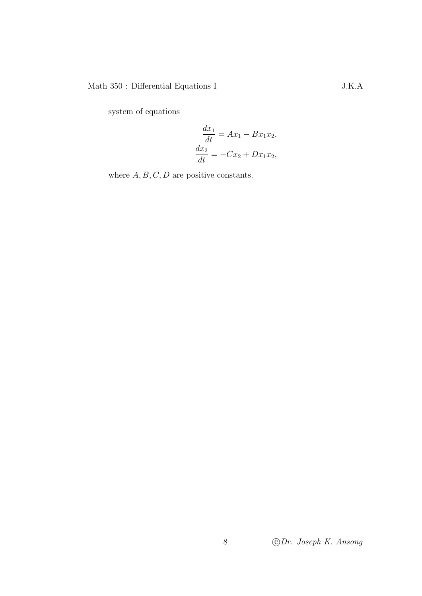system of equations

$$
\frac{dx_1}{dt} = Ax_1 - Bx_1x_2,
$$
  

$$
\frac{dx_2}{dt} = -Cx_2 + Dx_1x_2,
$$

where  $A, B, C, D$  are positive constants.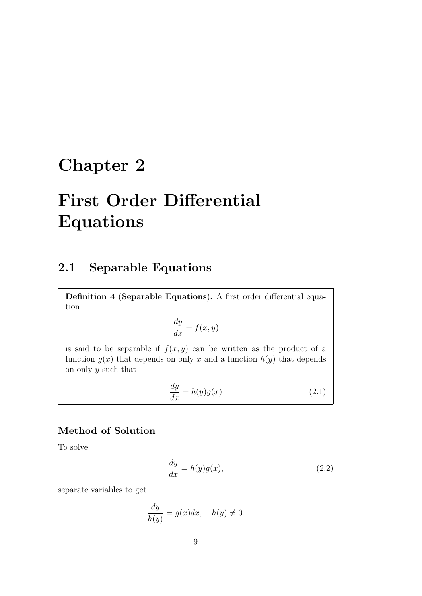## <span id="page-12-0"></span>Chapter 2

# First Order Differential Equations

## <span id="page-12-1"></span>2.1 Separable Equations

Definition 4 (Separable Equations). A first order differential equation

$$
\frac{dy}{dx} = f(x, y)
$$

is said to be separable if  $f(x, y)$  can be written as the product of a function  $g(x)$  that depends on only x and a function  $h(y)$  that depends on only  $y$  such that

$$
\frac{dy}{dx} = h(y)g(x) \tag{2.1}
$$

### Method of Solution

To solve

$$
\frac{dy}{dx} = h(y)g(x),\tag{2.2}
$$

separate variables to get

$$
\frac{dy}{h(y)} = g(x)dx, \quad h(y) \neq 0.
$$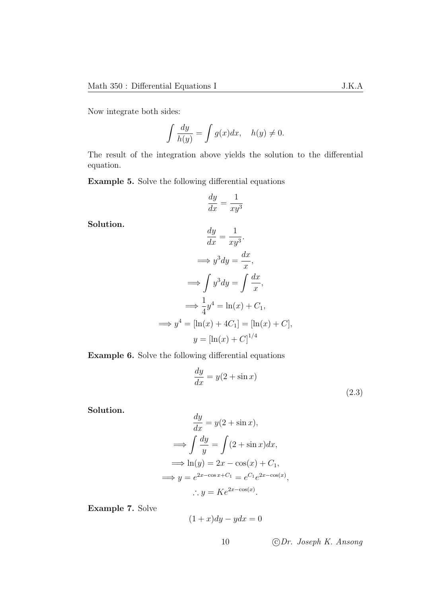Now integrate both sides:

$$
\int \frac{dy}{h(y)} = \int g(x)dx, \quad h(y) \neq 0.
$$

The result of the integration above yields the solution to the differential equation.

Example 5. Solve the following differential equations

$$
\frac{dy}{dx} = \frac{1}{xy^3}
$$

Solution.

$$
\frac{dy}{dx} = \frac{1}{xy^3}.
$$
  
\n
$$
\implies y^3 dy = \frac{dx}{x},
$$
  
\n
$$
\implies \int y^3 dy = \int \frac{dx}{x},
$$
  
\n
$$
\implies \frac{1}{4}y^4 = \ln(x) + C_1,
$$
  
\n
$$
\implies y^4 = [\ln(x) + 4C_1] = [\ln(x) + C],
$$
  
\n
$$
y = [\ln(x) + C]^{1/4}
$$

Example 6. Solve the following differential equations

$$
\frac{dy}{dx} = y(2 + \sin x) \tag{2.3}
$$

Solution.

$$
\frac{dy}{dx} = y(2 + \sin x),
$$
  
\n
$$
\implies \int \frac{dy}{y} = \int (2 + \sin x) dx,
$$
  
\n
$$
\implies \ln(y) = 2x - \cos(x) + C_1,
$$
  
\n
$$
\implies y = e^{2x - \cos x + C_1} = e^{C_1} e^{2x - \cos(x)},
$$
  
\n
$$
\therefore y = Ke^{2x - \cos(x)}.
$$

Example 7. Solve

$$
(1+x)dy - ydx = 0
$$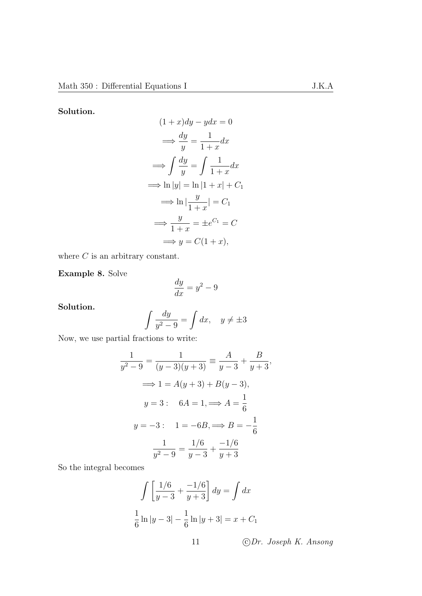Solution.

$$
(1+x)dy - ydx = 0
$$
  
\n
$$
\implies \frac{dy}{y} = \frac{1}{1+x}dx
$$
  
\n
$$
\implies \int \frac{dy}{y} = \int \frac{1}{1+x}dx
$$
  
\n
$$
\implies \ln|y| = \ln|1+x| + C_1
$$
  
\n
$$
\implies \ln\left|\frac{y}{1+x}\right| = C_1
$$
  
\n
$$
\implies \frac{y}{1+x} = \pm e^{C_1} = C
$$
  
\n
$$
\implies y = C(1+x),
$$

where  $C$  is an arbitrary constant.

Example 8. Solve

$$
\frac{dy}{dx} = y^2 - 9
$$

Solution.

$$
\int \frac{dy}{y^2 - 9} = \int dx, \quad y \neq \pm 3
$$

Now, we use partial fractions to write:

$$
\frac{1}{y^2 - 9} = \frac{1}{(y - 3)(y + 3)} \equiv \frac{A}{y - 3} + \frac{B}{y + 3},
$$
  

$$
\implies 1 = A(y + 3) + B(y - 3),
$$
  

$$
y = 3: \quad 6A = 1, \implies A = \frac{1}{6}
$$
  

$$
y = -3: \quad 1 = -6B, \implies B = -\frac{1}{6}
$$
  

$$
\frac{1}{y^2 - 9} = \frac{1/6}{y - 3} + \frac{-1/6}{y + 3}
$$

So the integral becomes

$$
\int \left[ \frac{1/6}{y-3} + \frac{-1/6}{y+3} \right] dy = \int dx
$$
  

$$
\frac{1}{6} \ln|y-3| - \frac{1}{6} \ln|y+3| = x + C_1
$$
  
11 *©Dr. Joseph K. Ansong*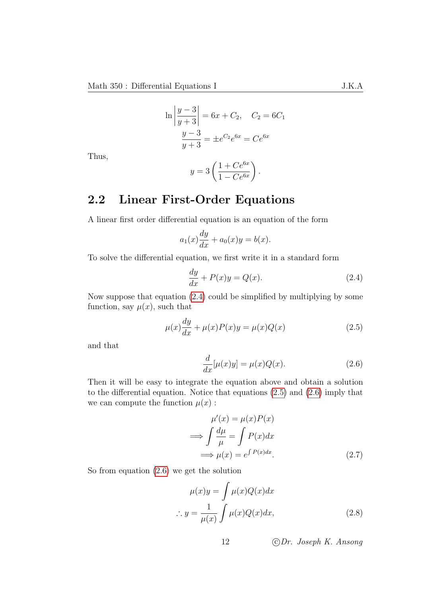$$
\ln\left|\frac{y-3}{y+3}\right| = 6x + C_2, \quad C_2 = 6C_1
$$

$$
\frac{y-3}{y+3} = \pm e^{C_2}e^{6x} = Ce^{6x}
$$

Thus,

$$
y = 3\left(\frac{1 + Ce^{6x}}{1 - Ce^{6x}}\right).
$$

## <span id="page-15-0"></span>2.2 Linear First-Order Equations

A linear first order differential equation is an equation of the form

$$
a_1(x)\frac{dy}{dx} + a_0(x)y = b(x).
$$

To solve the differential equation, we first write it in a standard form

<span id="page-15-1"></span>
$$
\frac{dy}{dx} + P(x)y = Q(x). \tag{2.4}
$$

Now suppose that equation [\(2.4\)](#page-15-1) could be simplified by multiplying by some function, say  $\mu(x)$ , such that

$$
\mu(x)\frac{dy}{dx} + \mu(x)P(x)y = \mu(x)Q(x)
$$
\n(2.5)

and that

<span id="page-15-3"></span><span id="page-15-2"></span>
$$
\frac{d}{dx}[\mu(x)y] = \mu(x)Q(x). \tag{2.6}
$$

Then it will be easy to integrate the equation above and obtain a solution to the differential equation. Notice that equations [\(2.5\)](#page-15-2) and [\(2.6\)](#page-15-3) imply that we can compute the function  $\mu(x)$ :

<span id="page-15-4"></span>
$$
\mu'(x) = \mu(x)P(x)
$$
  
\n
$$
\implies \int \frac{d\mu}{\mu} = \int P(x)dx
$$
  
\n
$$
\implies \mu(x) = e^{\int P(x)dx}.
$$
\n(2.7)

So from equation [\(2.6\)](#page-15-3) we get the solution

$$
\mu(x)y = \int \mu(x)Q(x)dx
$$
  

$$
\therefore y = \frac{1}{\mu(x)} \int \mu(x)Q(x)dx,
$$
 (2.8)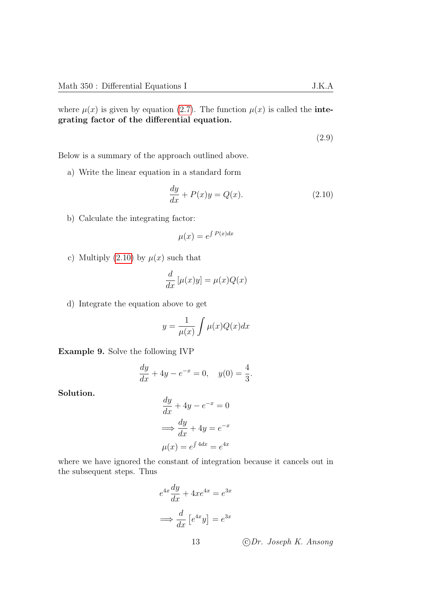where  $\mu(x)$  is given by equation [\(2.7\)](#page-15-4). The function  $\mu(x)$  is called the **inte**grating factor of the differential equation.

<span id="page-16-0"></span>(2.9)

Below is a summary of the approach outlined above.

a) Write the linear equation in a standard form

$$
\frac{dy}{dx} + P(x)y = Q(x). \tag{2.10}
$$

b) Calculate the integrating factor:

$$
\mu(x) = e^{\int P(x)dx}
$$

c) Multiply [\(2.10\)](#page-16-0) by  $\mu(x)$  such that

$$
\frac{d}{dx}\left[\mu(x)y\right] = \mu(x)Q(x)
$$

d) Integrate the equation above to get

$$
y = \frac{1}{\mu(x)} \int \mu(x) Q(x) dx
$$

Example 9. Solve the following IVP

$$
\frac{dy}{dx} + 4y - e^{-x} = 0, \quad y(0) = \frac{4}{3}.
$$

Solution.

$$
\frac{dy}{dx} + 4y - e^{-x} = 0
$$

$$
\implies \frac{dy}{dx} + 4y = e^{-x}
$$

$$
\mu(x) = e^{\int 4dx} = e^{4x}
$$

where we have ignored the constant of integration because it cancels out in the subsequent steps. Thus

$$
e^{4x}\frac{dy}{dx} + 4xe^{4x} = e^{3x}
$$

$$
\implies \frac{d}{dx} \left[e^{4x}y\right] = e^{3x}
$$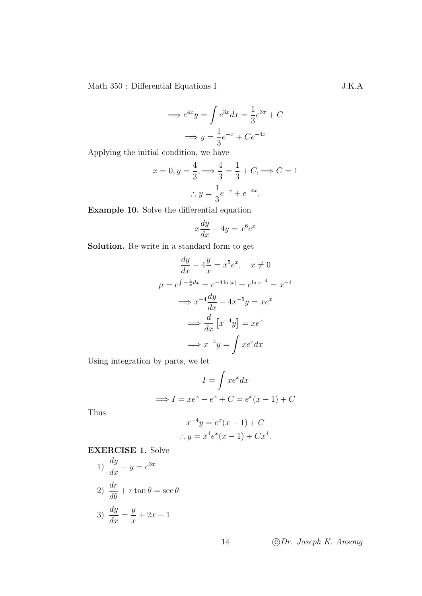$$
\implies e^{4x}y = \int e^{3x}dx = \frac{1}{3}e^{3x} + C
$$

$$
\implies y = \frac{1}{3}e^{-x} + Ce^{-4x}
$$

Applying the initial condition, we have

$$
x = 0, y = \frac{4}{3}, \Longrightarrow \frac{4}{3} = \frac{1}{3} + C, \Longrightarrow C = 1
$$

$$
\therefore y = \frac{1}{3}e^{-x} + e^{-4x}.
$$

Example 10. Solve the differential equation

$$
x\frac{dy}{dx} - 4y = x^6 e^x
$$

Solution. Re-write in a standard form to get

dy

$$
\frac{dy}{dx} - 4\frac{y}{x} = x^5 e^x, \quad x \neq 0
$$

$$
\mu = e^{\int -\frac{4}{x} dx} = e^{-4\ln|x|} = e^{\ln x^{-4}} = x^{-4}
$$

$$
\implies x^{-4} \frac{dy}{dx} - 4x^{-5}y = xe^x
$$

$$
\implies \frac{d}{dx} [x^{-4}y] = xe^x
$$

$$
\implies x^{-4}y = \int xe^x dx
$$

Using integration by parts, we let

$$
I = \int xe^x dx
$$
  

$$
\implies I = xe^x - e^x + C = e^x(x - 1) + C
$$

Thus

$$
x^{-4}y = e^{x}(x - 1) + C
$$
  
 
$$
\therefore y = x^{4}e^{x}(x - 1) + Cx^{4}.
$$

EXERCISE 1. Solve

1) 
$$
\frac{dy}{dx} - y = e^{3x}
$$
  
2) 
$$
\frac{dr}{d\theta} + r \tan \theta = \sec \theta
$$
  
3) 
$$
\frac{dy}{dx} = \frac{y}{x} + 2x + 1
$$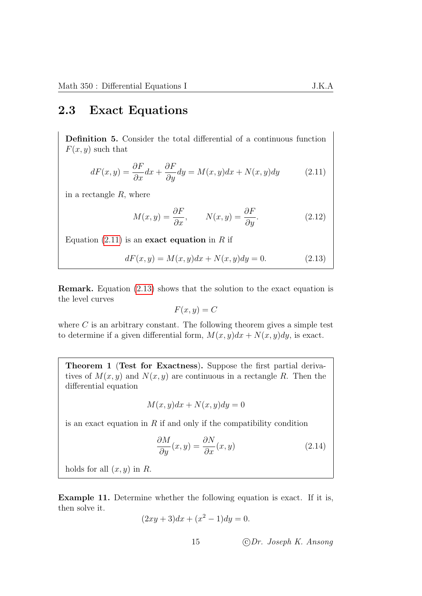### <span id="page-18-0"></span>2.3 Exact Equations

Definition 5. Consider the total differential of a continuous function  $F(x, y)$  such that

$$
dF(x,y) = \frac{\partial F}{\partial x}dx + \frac{\partial F}{\partial y}dy = M(x,y)dx + N(x,y)dy
$$
 (2.11)

in a rectangle  $R$ , where

<span id="page-18-1"></span>
$$
M(x,y) = \frac{\partial F}{\partial x}, \qquad N(x,y) = \frac{\partial F}{\partial y}.
$$
 (2.12)

Equation  $(2.11)$  is an exact equation in R if

$$
dF(x, y) = M(x, y)dx + N(x, y)dy = 0.
$$
 (2.13)

Remark. Equation [\(2.13\)](#page-18-2) shows that the solution to the exact equation is the level curves

<span id="page-18-2"></span>
$$
F(x,y) = C
$$

where  $C$  is an arbitrary constant. The following theorem gives a simple test to determine if a given differential form,  $M(x, y)dx + N(x, y)dy$ , is exact.

Theorem 1 (Test for Exactness). Suppose the first partial derivatives of  $M(x, y)$  and  $N(x, y)$  are continuous in a rectangle R. Then the differential equation

$$
M(x, y)dx + N(x, y)dy = 0
$$

is an exact equation in  $R$  if and only if the compatibility condition

$$
\frac{\partial M}{\partial y}(x,y) = \frac{\partial N}{\partial x}(x,y)
$$
\n(2.14)

holds for all  $(x, y)$  in R.

Example 11. Determine whether the following equation is exact. If it is, then solve it.

$$
(2xy + 3)dx + (x2 – 1)dy = 0.
$$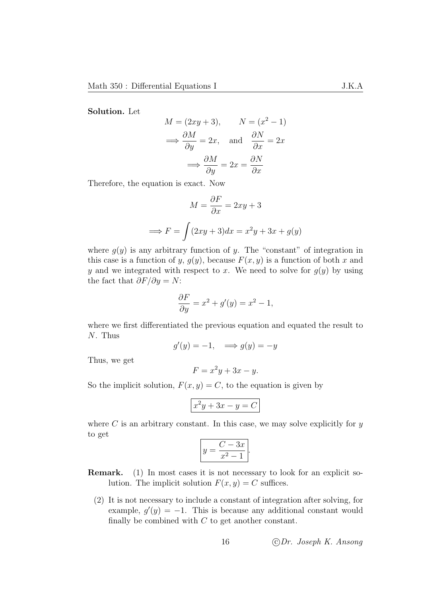Solution. Let

$$
M = (2xy + 3), \qquad N = (x^{2} - 1)
$$
  
\n
$$
\implies \frac{\partial M}{\partial y} = 2x, \text{ and } \frac{\partial N}{\partial x} = 2x
$$
  
\n
$$
\implies \frac{\partial M}{\partial y} = 2x = \frac{\partial N}{\partial x}
$$

Therefore, the equation is exact. Now

$$
M = \frac{\partial F}{\partial x} = 2xy + 3
$$

$$
\implies F = \int (2xy + 3)dx = x^2y + 3x + g(y)
$$

where  $g(y)$  is any arbitrary function of y. The "constant" of integration in this case is a function of y,  $g(y)$ , because  $F(x, y)$  is a function of both x and y and we integrated with respect to x. We need to solve for  $g(y)$  by using the fact that  $\partial F/\partial y = N$ :

$$
\frac{\partial F}{\partial y} = x^2 + g'(y) = x^2 - 1,
$$

where we first differentiated the previous equation and equated the result to N. Thus

$$
g'(y) = -1, \implies g(y) = -y
$$

Thus, we get

$$
F = x^2y + 3x - y.
$$

So the implicit solution,  $F(x, y) = C$ , to the equation is given by

$$
x^2y + 3x - y = C
$$

where  $C$  is an arbitrary constant. In this case, we may solve explicitly for  $y$ to get

$$
y = \frac{C - 3x}{x^2 - 1}.
$$

Remark. (1) In most cases it is not necessary to look for an explicit solution. The implicit solution  $F(x, y) = C$  suffices.

(2) It is not necessary to include a constant of integration after solving, for example,  $g'(y) = -1$ . This is because any additional constant would finally be combined with  $C$  to get another constant.

16 c Dr. Joseph K. Ansong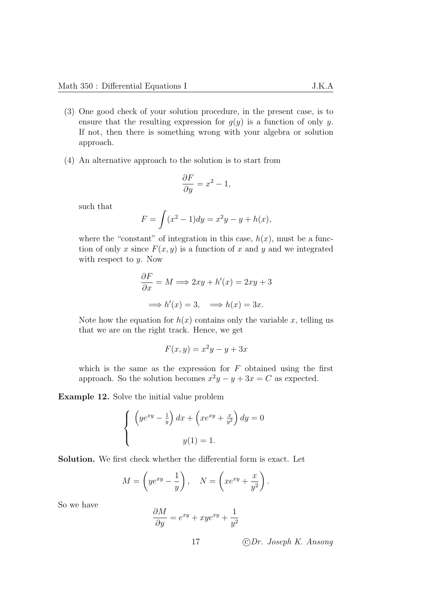- (3) One good check of your solution procedure, in the present case, is to ensure that the resulting expression for  $g(y)$  is a function of only y. If not, then there is something wrong with your algebra or solution approach.
- (4) An alternative approach to the solution is to start from

$$
\frac{\partial F}{\partial y} = x^2 - 1,
$$

such that

$$
F = \int (x^2 - 1) dy = x^2 y - y + h(x),
$$

where the "constant" of integration in this case,  $h(x)$ , must be a function of only x since  $F(x, y)$  is a function of x and y and we integrated with respect to  $y$ . Now

$$
\frac{\partial F}{\partial x} = M \Longrightarrow 2xy + h'(x) = 2xy + 3
$$

$$
\Longrightarrow h'(x) = 3, \Longrightarrow h(x) = 3x.
$$

Note how the equation for  $h(x)$  contains only the variable x, telling us that we are on the right track. Hence, we get

$$
F(x, y) = x^2y - y + 3x
$$

which is the same as the expression for  $F$  obtained using the first approach. So the solution becomes  $x^2y - y + 3x = C$  as expected.

Example 12. Solve the initial value problem

$$
\begin{cases} \left( ye^{xy} - \frac{1}{y} \right) dx + \left( xe^{xy} + \frac{x}{y^2} \right) dy = 0 \\ y(1) = 1. \end{cases}
$$

Solution. We first check whether the differential form is exact. Let

$$
M = \left( y e^{xy} - \frac{1}{y} \right), \quad N = \left( x e^{xy} + \frac{x}{y^2} \right).
$$

So we have

$$
\frac{\partial M}{\partial y} = e^{xy} + xye^{xy} + \frac{1}{y^2}
$$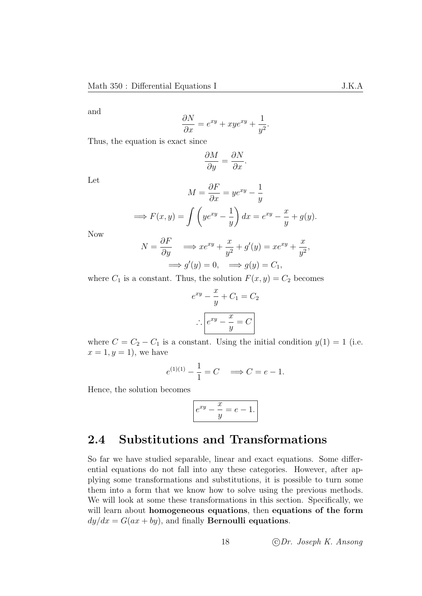and

$$
\frac{\partial N}{\partial x} = e^{xy} + xye^{xy} + \frac{1}{y^2}.
$$

Thus, the equation is exact since

$$
\frac{\partial M}{\partial y} = \frac{\partial N}{\partial x}.
$$

Let

$$
M = \frac{\partial F}{\partial x} = ye^{xy} - \frac{1}{y}
$$

$$
\implies F(x, y) = \int \left( ye^{xy} - \frac{1}{y} \right) dx = e^{xy} - \frac{x}{y} + g(y).
$$

Now

$$
N = \frac{\partial F}{\partial y} \implies xe^{xy} + \frac{x}{y^2} + g'(y) = xe^{xy} + \frac{x}{y^2},
$$
  

$$
\implies g'(y) = 0, \implies g(y) = C_1,
$$

where  $C_1$  is a constant. Thus, the solution  $F(x, y) = C_2$  becomes

$$
e^{xy} - \frac{x}{y} + C_1 = C_2
$$

$$
\therefore \boxed{e^{xy} - \frac{x}{y} = C}
$$

where  $C = C_2 - C_1$  is a constant. Using the initial condition  $y(1) = 1$  (i.e.  $x=1, y=1$ , we have

$$
e^{(1)(1)} - \frac{1}{1} = C \implies C = e - 1.
$$

Hence, the solution becomes

$$
e^{xy} - \frac{x}{y} = e - 1.
$$

## <span id="page-21-0"></span>2.4 Substitutions and Transformations

So far we have studied separable, linear and exact equations. Some differential equations do not fall into any these categories. However, after applying some transformations and substitutions, it is possible to turn some them into a form that we know how to solve using the previous methods. We will look at some these transformations in this section. Specifically, we will learn about homogeneous equations, then equations of the form  $dy/dx = G(ax + by)$ , and finally **Bernoulli equations**.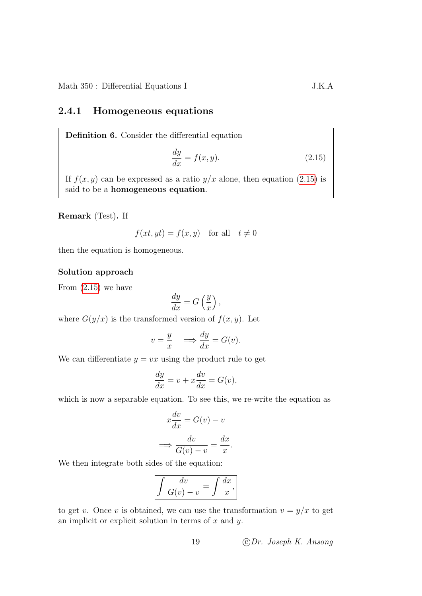#### <span id="page-22-0"></span>2.4.1 Homogeneous equations

Definition 6. Consider the differential equation

<span id="page-22-1"></span>
$$
\frac{dy}{dx} = f(x, y). \tag{2.15}
$$

If  $f(x, y)$  can be expressed as a ratio  $y/x$  alone, then equation [\(2.15\)](#page-22-1) is said to be a homogeneous equation.

Remark (Test). If

$$
f(xt, yt) = f(x, y) \text{ for all } t \neq 0
$$

then the equation is homogeneous.

#### Solution approach

From [\(2.15\)](#page-22-1) we have

$$
\frac{dy}{dx} = G\left(\frac{y}{x}\right),\,
$$

where  $G(y/x)$  is the transformed version of  $f(x, y)$ . Let

$$
v = \frac{y}{x} \quad \Longrightarrow \frac{dy}{dx} = G(v).
$$

We can differentiate  $y = vx$  using the product rule to get

$$
\frac{dy}{dx} = v + x\frac{dv}{dx} = G(v),
$$

which is now a separable equation. To see this, we re-write the equation as

$$
x\frac{dv}{dx} = G(v) - v
$$

$$
\implies \frac{dv}{G(v) - v} = \frac{dx}{x}
$$

.

We then integrate both sides of the equation:

$$
\int \frac{dv}{G(v) - v} = \int \frac{dx}{x},
$$

to get v. Once v is obtained, we can use the transformation  $v = y/x$  to get an implicit or explicit solution in terms of  $x$  and  $y$ .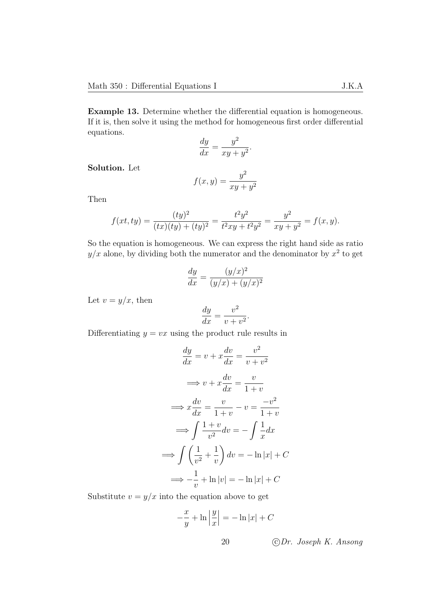Example 13. Determine whether the differential equation is homogeneous. If it is, then solve it using the method for homogeneous first order differential equations.

dy  $\frac{dy}{dx} =$  $y^2$  $\frac{y}{xy+y^2}.$ 

Solution. Let

$$
f(x,y) = \frac{y^2}{xy + y^2}
$$

Then

$$
f(xt, ty) = \frac{(ty)^2}{(tx)(ty) + (ty)^2} = \frac{t^2y^2}{t^2xy + t^2y^2} = \frac{y^2}{xy + y^2} = f(x, y).
$$

So the equation is homogeneous. We can express the right hand side as ratio  $y/x$  alone, by dividing both the numerator and the denominator by  $x^2$  to get

$$
\frac{dy}{dx} = \frac{(y/x)^2}{(y/x) + (y/x)^2}
$$

Let  $v = y/x$ , then

$$
\frac{dy}{dx} = \frac{v^2}{v + v^2}.
$$

Differentiating  $y = vx$  using the product rule results in

$$
\frac{dy}{dx} = v + x\frac{dv}{dx} = \frac{v^2}{v + v^2}
$$

$$
\implies v + x\frac{dv}{dx} = \frac{v}{1 + v}
$$

$$
\implies x\frac{dv}{dx} = \frac{v}{1 + v} - v = \frac{-v^2}{1 + v}
$$

$$
\implies \int \frac{1 + v}{v^2} dv = -\int \frac{1}{x} dx
$$

$$
\implies \int \left(\frac{1}{v^2} + \frac{1}{v}\right) dv = -\ln|x| + C
$$

$$
\implies -\frac{1}{v} + \ln|v| = -\ln|x| + C
$$

Substitute  $v = y/x$  into the equation above to get

$$
-\frac{x}{y} + \ln\left|\frac{y}{x}\right| = -\ln|x| + C
$$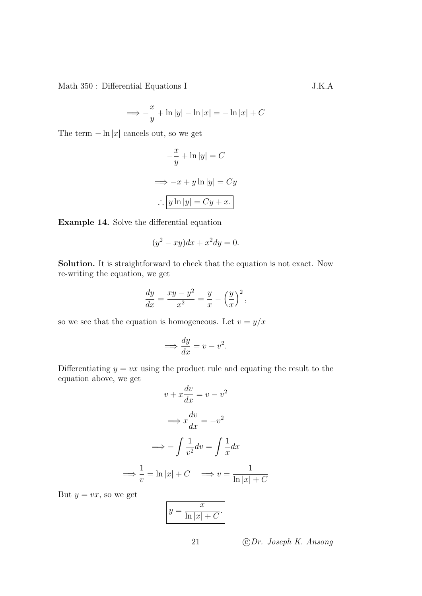$$
\implies -\frac{x}{y} + \ln|y| - \ln|x| = -\ln|x| + C
$$

The term  $-\ln|x|$  cancels out, so we get

$$
-\frac{x}{y} + \ln|y| = C
$$
  

$$
\implies -x + y \ln|y| = Cy
$$
  

$$
\therefore \boxed{y \ln|y| = Cy + x.}
$$

Example 14. Solve the differential equation

$$
(y^2 - xy)dx + x^2 dy = 0.
$$

Solution. It is straightforward to check that the equation is not exact. Now re-writing the equation, we get

$$
\frac{dy}{dx} = \frac{xy - y^2}{x^2} = \frac{y}{x} - \left(\frac{y}{x}\right)^2,
$$

so we see that the equation is homogeneous. Let  $v = y/x$ 

$$
\Longrightarrow \frac{dy}{dx} = v - v^2.
$$

Differentiating  $y = vx$  using the product rule and equating the result to the equation above, we get

$$
v + x\frac{dv}{dx} = v - v^2
$$

$$
\implies x\frac{dv}{dx} = -v^2
$$

$$
\implies -\int \frac{1}{v^2} dv = \int \frac{1}{x} dx
$$

$$
\implies \frac{1}{v} = \ln|x| + C \implies v = \frac{1}{\ln|x| + C}
$$

But  $y = vx$ , so we get

$$
y = \frac{x}{\ln|x| + C}.
$$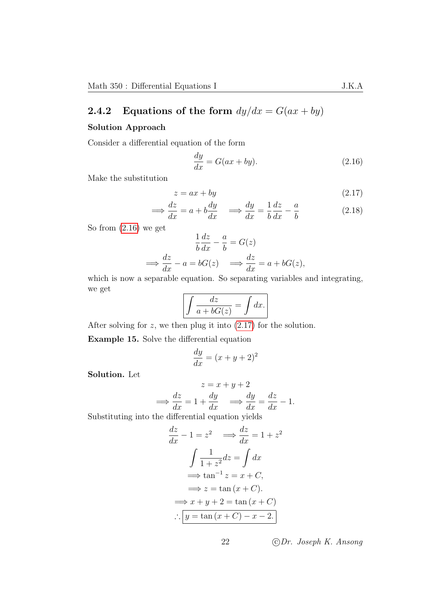### <span id="page-25-0"></span>2.4.2 Equations of the form  $dy/dx = G(ax + by)$

#### Solution Approach

Consider a differential equation of the form

<span id="page-25-2"></span><span id="page-25-1"></span>
$$
\frac{dy}{dx} = G(ax + by).
$$
\n(2.16)

Make the substitution

$$
z = ax + by \tag{2.17}
$$

$$
\implies \frac{dz}{dx} = a + b\frac{dy}{dx} \quad \implies \frac{dy}{dx} = \frac{1}{b}\frac{dz}{dx} - \frac{a}{b} \tag{2.18}
$$

So from [\(2.16\)](#page-25-1) we get

$$
\frac{1}{b}\frac{dz}{dx} - \frac{a}{b} = G(z)
$$

$$
\implies \frac{dz}{dx} - a = bG(z) \implies \frac{dz}{dx} = a + bG(z),
$$

which is now a separable equation. So separating variables and integrating, we get

$$
\int \frac{dz}{a + bG(z)} = \int dx.
$$

After solving for  $z$ , we then plug it into  $(2.17)$  for the solution.

Example 15. Solve the differential equation

$$
\frac{dy}{dx} = (x + y + 2)^2
$$

Solution. Let

$$
z = x + y + 2
$$

$$
\implies \frac{dz}{dx} = 1 + \frac{dy}{dx} \implies \frac{dy}{dx} = \frac{dz}{dx} - 1.
$$

Substituting into the differential equation yields

$$
\frac{dz}{dx} - 1 = z^2 \implies \frac{dz}{dx} = 1 + z^2
$$

$$
\int \frac{1}{1 + z^2} dz = \int dx
$$

$$
\implies \tan^{-1} z = x + C,
$$

$$
\implies z = \tan(x + C).
$$

$$
\implies x + y + 2 = \tan(x + C)
$$

$$
\therefore \boxed{y = \tan(x + C) - x - 2.}
$$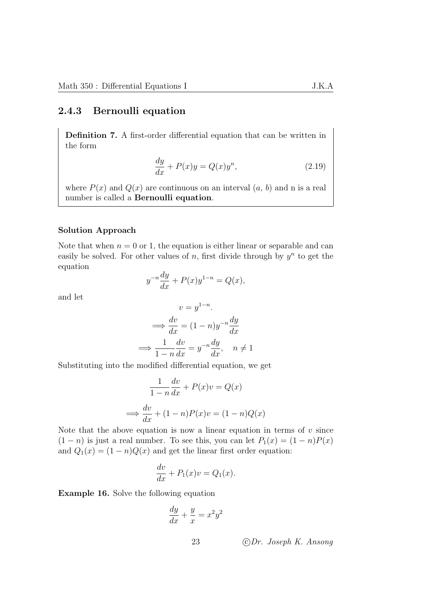#### <span id="page-26-0"></span>2.4.3 Bernoulli equation

Definition 7. A first-order differential equation that can be written in the form

$$
\frac{dy}{dx} + P(x)y = Q(x)y^n,
$$
\n(2.19)

where  $P(x)$  and  $Q(x)$  are continuous on an interval  $(a, b)$  and n is a real number is called a Bernoulli equation.

#### Solution Approach

Note that when  $n = 0$  or 1, the equation is either linear or separable and can easily be solved. For other values of n, first divide through by  $y^n$  to get the equation

$$
y^{-n}\frac{dy}{dx} + P(x)y^{1-n} = Q(x),
$$

and let

$$
v = y^{1-n}.
$$
  
\n
$$
\implies \frac{dv}{dx} = (1-n)y^{-n}\frac{dy}{dx}
$$
  
\n
$$
\implies \frac{1}{1-n}\frac{dv}{dx} = y^{-n}\frac{dy}{dx}, \quad n \neq 1
$$

Substituting into the modified differential equation, we get

$$
\frac{1}{1-n}\frac{dv}{dx} + P(x)v = Q(x)
$$

$$
\implies \frac{dv}{dx} + (1-n)P(x)v = (1-n)Q(x)
$$

Note that the above equation is now a linear equation in terms of  $v$  since  $(1 - n)$  is just a real number. To see this, you can let  $P_1(x) = (1 - n)P(x)$ and  $Q_1(x) = (1 - n)Q(x)$  and get the linear first order equation:

$$
\frac{dv}{dx} + P_1(x)v = Q_1(x).
$$

Example 16. Solve the following equation

$$
\frac{dy}{dx} + \frac{y}{x} = x^2 y^2
$$

$$
J.K.
$$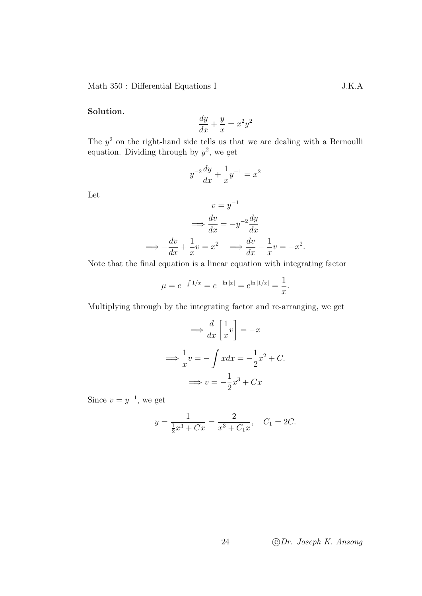#### Solution.

$$
\frac{dy}{dx} + \frac{y}{x} = x^2 y^2
$$

The  $y^2$  on the right-hand side tells us that we are dealing with a Bernoulli equation. Dividing through by  $y^2$ , we get

$$
y^{-2}\frac{dy}{dx} + \frac{1}{x}y^{-1} = x^2
$$

Let

$$
v = y^{-1}
$$

$$
\implies \frac{dv}{dx} = -y^{-2}\frac{dy}{dx}
$$

$$
\implies -\frac{dv}{dx} + \frac{1}{x}v = x^2 \implies \frac{dv}{dx} - \frac{1}{x}v = -x^2.
$$

Note that the final equation is a linear equation with integrating factor

$$
\mu = e^{-\int 1/x} = e^{-\ln|x|} = e^{\ln|1/x|} = \frac{1}{x}.
$$

Multiplying through by the integrating factor and re-arranging, we get

$$
\implies \frac{d}{dx} \left[ \frac{1}{x} v \right] = -x
$$

$$
\implies \frac{1}{x} v = -\int x dx = -\frac{1}{2} x^2 + C.
$$

$$
\implies v = -\frac{1}{2} x^3 + C x
$$

Since  $v = y^{-1}$ , we get

$$
y = \frac{1}{\frac{1}{2}x^3 + Cx} = \frac{2}{x^3 + C_1x}, \quad C_1 = 2C.
$$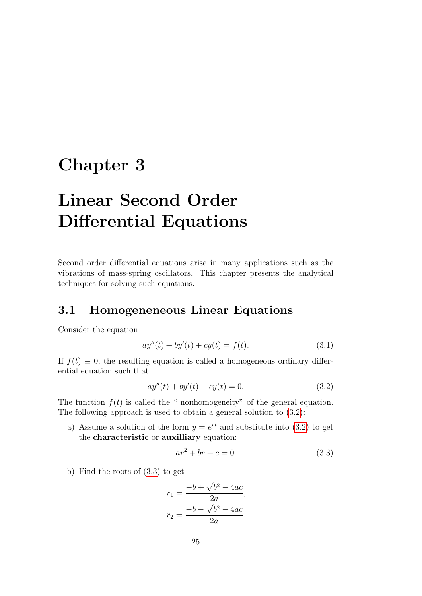## <span id="page-28-0"></span>Chapter 3

# Linear Second Order Differential Equations

Second order differential equations arise in many applications such as the vibrations of mass-spring oscillators. This chapter presents the analytical techniques for solving such equations.

## <span id="page-28-1"></span>3.1 Homogeneneous Linear Equations

Consider the equation

<span id="page-28-4"></span>
$$
ay''(t) + by'(t) + cy(t) = f(t).
$$
\n(3.1)

If  $f(t) \equiv 0$ , the resulting equation is called a homogeneous ordinary differential equation such that

$$
ay''(t) + by'(t) + cy(t) = 0.
$$
\n(3.2)

The function  $f(t)$  is called the " nonhomogeneity" of the general equation. The following approach is used to obtain a general solution to [\(3.2\)](#page-28-2):

a) Assume a solution of the form  $y = e^{rt}$  and substitute into [\(3.2\)](#page-28-2) to get the characteristic or auxilliary equation:

<span id="page-28-3"></span><span id="page-28-2"></span>
$$
ar^2 + br + c = 0.
$$
 (3.3)

b) Find the roots of [\(3.3\)](#page-28-3) to get

$$
r_1 = \frac{-b + \sqrt{b^2 - 4ac}}{2a},
$$

$$
r_2 = \frac{-b - \sqrt{b^2 - 4ac}}{2a}.
$$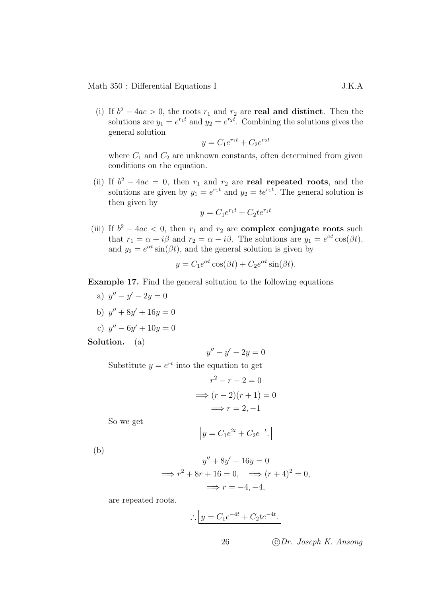(i) If  $b^2 - 4ac > 0$ , the roots  $r_1$  and  $r_2$  are **real and distinct**. Then the solutions are  $y_1 = e^{r_1 t}$  and  $y_2 = e^{r_2 t}$ . Combining the solutions gives the general solution

$$
y = C_1 e^{r_1 t} + C_2 e^{r_2 t}
$$

where  $C_1$  and  $C_2$  are unknown constants, often determined from given conditions on the equation.

(ii) If  $b^2 - 4ac = 0$ , then  $r_1$  and  $r_2$  are **real repeated roots**, and the solutions are given by  $y_1 = e^{r_1 t}$  and  $y_2 = t e^{r_1 t}$ . The general solution is then given by

$$
y = C_1 e^{r_1 t} + C_2 t e^{r_1 t}
$$

(iii) If  $b^2 - 4ac < 0$ , then  $r_1$  and  $r_2$  are **complex conjugate roots** such that  $r_1 = \alpha + i\beta$  and  $r_2 = \alpha - i\beta$ . The solutions are  $y_1 = e^{\alpha t} \cos(\beta t)$ , and  $y_2 = e^{\alpha t} \sin(\beta t)$ , and the general solution is given by

$$
y = C_1 e^{\alpha t} \cos(\beta t) + C_2 e^{\alpha t} \sin(\beta t).
$$

#### Example 17. Find the general soltution to the following equations

- a)  $y'' y' 2y = 0$
- b)  $y'' + 8y' + 16y = 0$

c) 
$$
y'' - 6y' + 10y = 0
$$

Solution. (a)

$$
y'' - y' - 2y = 0
$$

Substitute  $y = e^{rt}$  into the equation to get

$$
r^{2} - r - 2 = 0
$$

$$
\implies (r - 2)(r + 1) = 0
$$

$$
\implies r = 2, -1
$$

So we get

$$
y = C_1 e^{2t} + C_2 e^{-t}.
$$

(b)

$$
y'' + 8y' + 16y = 0
$$
  
\n
$$
\implies r^2 + 8r + 16 = 0, \implies (r+4)^2 = 0,
$$
  
\n
$$
\implies r = -4, -4,
$$

are repeated roots.

$$
\therefore \boxed{y = C_1 e^{-4t} + C_2 t e^{-4t}}.
$$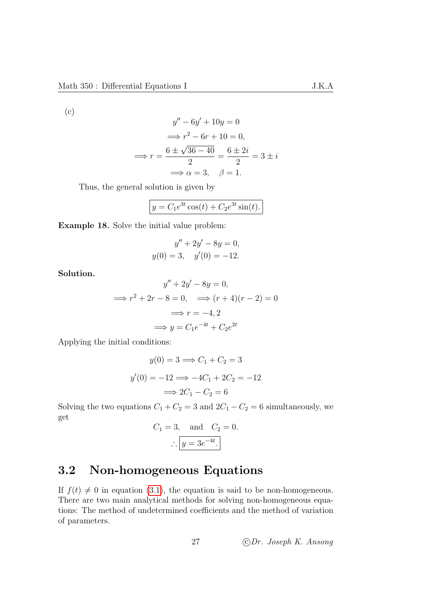(c)

$$
y'' - 6y' + 10y = 0
$$

$$
\implies r^2 - 6r + 10 = 0,
$$

$$
\implies r = \frac{6 \pm \sqrt{36 - 40}}{2} = \frac{6 \pm 2i}{2} = 3 \pm i
$$

$$
\implies \alpha = 3, \quad \beta = 1.
$$

Thus, the general solution is given by

$$
y = C_1 e^{3t} \cos(t) + C_2 e^{3t} \sin(t).
$$

Example 18. Solve the initial value problem:

$$
y'' + 2y' - 8y = 0,
$$
  

$$
y(0) = 3, \quad y'(0) = -12.
$$

Solution.

$$
y'' + 2y' - 8y = 0,
$$
  

$$
\implies r^2 + 2r - 8 = 0, \implies (r + 4)(r - 2) = 0
$$
  

$$
\implies r = -4, 2
$$
  

$$
\implies y = C_1 e^{-4t} + C_2 e^{2t}
$$

Applying the initial conditions:

$$
y(0) = 3 \Longrightarrow C_1 + C_2 = 3
$$

$$
y'(0) = -12 \Longrightarrow -4C_1 + 2C_2 = -12
$$

$$
\Longrightarrow 2C_1 - C_2 = 6
$$

Solving the two equations  $C_1 + C_2 = 3$  and  $2C_1 - C_2 = 6$  simultaneously, we get

$$
C_1 = 3, \quad \text{and} \quad C_2 = 0.
$$

$$
\therefore \boxed{y = 3e^{-4t}}.
$$

## <span id="page-30-0"></span>3.2 Non-homogeneous Equations

If  $f(t) \neq 0$  in equation [\(3.1\)](#page-28-4), the equation is said to be non-homogeneous. There are two main analytical methods for solving non-homogeneous equations: The method of undetermined coefficients and the method of variation of parameters.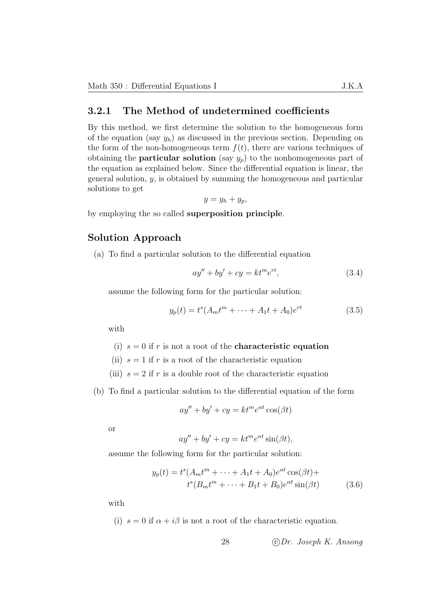#### <span id="page-31-0"></span>3.2.1 The Method of undetermined coefficients

By this method, we first determine the solution to the homogeneous form of the equation (say  $y_h$ ) as discussed in the previous section. Depending on the form of the non-homogeneous term  $f(t)$ , there are various techniques of obtaining the **particular solution** (say  $y_p$ ) to the nonhomogeneous part of the equation as explained below. Since the differential equation is linear, the general solution,  $y$ , is obtained by summing the homogeneous and particular solutions to get

$$
y=y_h+y_p,
$$

by employing the so called superposition principle.

#### Solution Approach

(a) To find a particular solution to the differential equation

<span id="page-31-2"></span><span id="page-31-1"></span>
$$
ay'' + by' + cy = kt^m e^{rt},
$$
\n
$$
(3.4)
$$

assume the following form for the particular solution:

$$
y_p(t) = t^s (A_m t^m + \dots + A_1 t + A_0) e^{rt}
$$
\n(3.5)

with

(i)  $s = 0$  if r is not a root of the **characteristic equation** 

(ii)  $s = 1$  if r is a root of the characteristic equation

(iii)  $s = 2$  if r is a double root of the characteristic equation

(b) To find a particular solution to the differential equation of the form

$$
ay'' + by' + cy = kt^m e^{\alpha t} \cos(\beta t)
$$

or

<span id="page-31-3"></span>
$$
ay'' + by' + cy = kt^m e^{\alpha t} \sin(\beta t),
$$

assume the following form for the particular solution:

$$
y_p(t) = t^s (A_m t^m + \dots + A_1 t + A_0) e^{\alpha t} \cos(\beta t) +
$$
  

$$
t^s (B_m t^m + \dots + B_1 t + B_0) e^{\alpha t} \sin(\beta t)
$$
 (3.6)

with

(i)  $s = 0$  if  $\alpha + i\beta$  is not a root of the characteristic equation.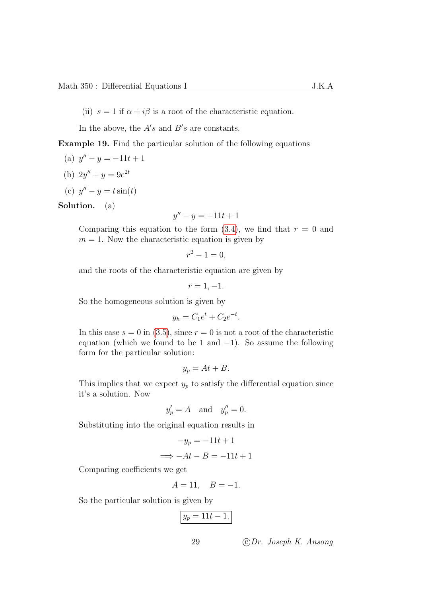In the above, the  $A's$  and  $B's$  are constants.

Example 19. Find the particular solution of the following equations

- (a)  $y'' y = -11t + 1$
- (b)  $2y'' + y = 9e^{2t}$

$$
(c) y'' - y = t \sin(t)
$$

Solution. (a)

$$
y'' - y = -11t + 1
$$

Comparing this equation to the form  $(3.4)$ , we find that  $r = 0$  and  $m = 1$ . Now the characteristic equation is given by

$$
r^2 - 1 = 0,
$$

and the roots of the characteristic equation are given by

$$
r=1,-1.
$$

So the homogeneous solution is given by

$$
y_h = C_1 e^t + C_2 e^{-t}.
$$

In this case  $s = 0$  in [\(3.5\)](#page-31-2), since  $r = 0$  is not a root of the characteristic equation (which we found to be 1 and  $-1$ ). So assume the following form for the particular solution:

$$
y_p = At + B.
$$

This implies that we expect  $y_p$  to satisfy the differential equation since it's a solution. Now

$$
y_p' = A \quad \text{and} \quad y_p'' = 0.
$$

Substituting into the original equation results in

$$
-y_p = -11t + 1
$$

$$
\implies -At - B = -11t + 1
$$

Comparing coefficients we get

$$
A = 11, \quad B = -1.
$$

So the particular solution is given by

$$
y_p = 11t - 1.
$$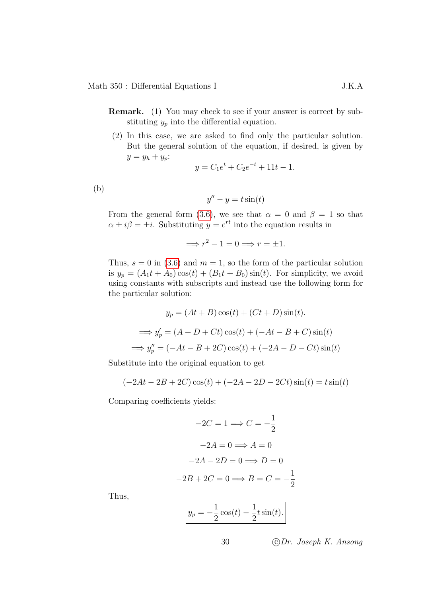- Remark. (1) You may check to see if your answer is correct by substituting  $y_p$  into the differential equation.
	- (2) In this case, we are asked to find only the particular solution. But the general solution of the equation, if desired, is given by  $y = y_h + y_p$ :

$$
y = C_1 e^t + C_2 e^{-t} + 11t - 1.
$$

(b)

$$
y'' - y = t\sin(t)
$$

From the general form [\(3.6\)](#page-31-3), we see that  $\alpha = 0$  and  $\beta = 1$  so that  $\alpha \pm i\beta = \pm i$ . Substituting  $y = e^{rt}$  into the equation results in

$$
\implies r^2 - 1 = 0 \implies r = \pm 1.
$$

Thus,  $s = 0$  in [\(3.6\)](#page-31-3) and  $m = 1$ , so the form of the particular solution is  $y_p = (A_1t + A_0)\cos(t) + (B_1t + B_0)\sin(t)$ . For simplicity, we avoid using constants with subscripts and instead use the following form for the particular solution:

$$
y_p = (At + B)\cos(t) + (Ct + D)\sin(t).
$$
  
\n
$$
\implies y'_p = (A + D + Ct)\cos(t) + (-At - B + C)\sin(t)
$$
  
\n
$$
\implies y''_p = (-At - B + 2C)\cos(t) + (-2A - D - Ct)\sin(t)
$$

Substitute into the original equation to get

$$
(-2At - 2B + 2C)\cos(t) + (-2A - 2D - 2Ct)\sin(t) = t\sin(t)
$$

Comparing coefficients yields:

$$
-2C = 1 \Longrightarrow C = -\frac{1}{2}
$$

$$
-2A = 0 \Longrightarrow A = 0
$$

$$
-2A - 2D = 0 \Longrightarrow D = 0
$$

$$
-2B + 2C = 0 \Longrightarrow B = C = -\frac{1}{2}
$$

Thus,

$$
y_p = -\frac{1}{2}\cos(t) - \frac{1}{2}t\sin(t).
$$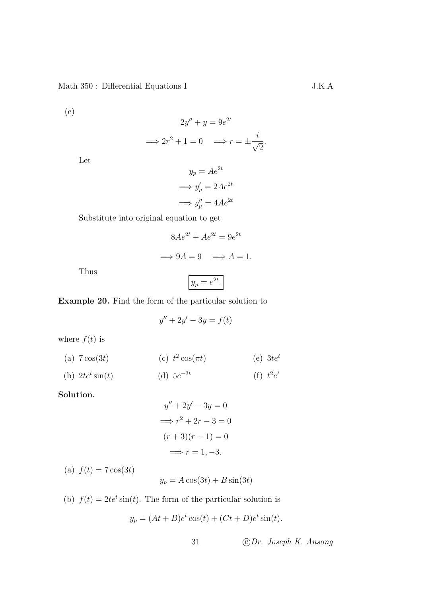(c)

$$
2y'' + y = 9e^{2t}
$$

$$
\implies 2r^2 + 1 = 0 \implies r = \pm \frac{i}{\sqrt{2}}.
$$

Let

$$
y_p = Ae^{2t}
$$

$$
\implies y'_p = 2Ae^{2t}
$$

$$
\implies y''_p = 4Ae^{2t}
$$

Substitute into original equation to get

$$
8Ae^{2t} + Ae^{2t} = 9e^{2t}
$$

$$
\implies 9A = 9 \implies A = 1.
$$

Thus

$$
y_p = e^{2t}.
$$

<span id="page-34-0"></span>Example 20. Find the form of the particular solution to

$$
y'' + 2y' - 3y = f(t)
$$

where  $f(t)$  is

(a) 
$$
7\cos(3t)
$$
 (c)  $t^2\cos(\pi t)$  (e)  $3te^t$ 

(b) 
$$
2te^t \sin(t)
$$
 (d)  $5e^{-3t}$  (f)  $t^2e^t$ 

Solution.

$$
y'' + 2y' - 3y = 0
$$

$$
\implies r^2 + 2r - 3 = 0
$$

$$
(r+3)(r-1) = 0
$$

$$
\implies r = 1, -3.
$$

(a)  $f(t) = 7 \cos(3t)$ 

 $y_p = A \cos(3t) + B \sin(3t)$ 

(b)  $f(t) = 2te^t \sin(t)$ . The form of the particular solution is

$$
y_p = (At + B)e^t \cos(t) + (Ct + D)e^t \sin(t).
$$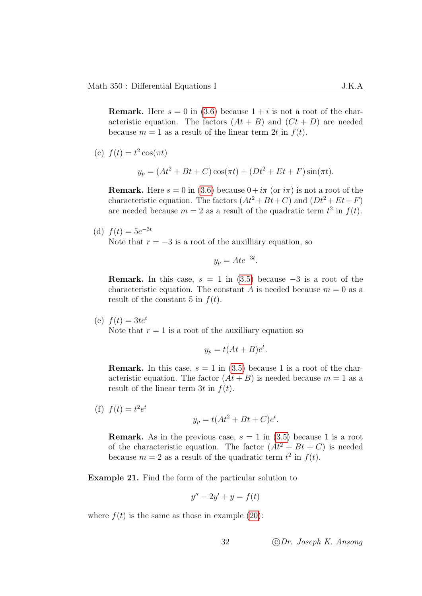**Remark.** Here  $s = 0$  in [\(3.6\)](#page-31-3) because  $1 + i$  is not a root of the characteristic equation. The factors  $(At + B)$  and  $(Ct + D)$  are needed because  $m = 1$  as a result of the linear term 2t in  $f(t)$ .

(c) 
$$
f(t) = t^2 \cos(\pi t)
$$

$$
y_p = (At^2 + Bt + C)\cos(\pi t) + (Dt^2 + Et + F)\sin(\pi t).
$$

**Remark.** Here  $s = 0$  in [\(3.6\)](#page-31-3) because  $0+i\pi$  (or  $i\pi$ ) is not a root of the characteristic equation. The factors  $(At^2 + Bt + C)$  and  $(Dt^2 + Et+F)$ are needed because  $m = 2$  as a result of the quadratic term  $t^2$  in  $f(t)$ .

(d) 
$$
f(t) = 5e^{-3t}
$$

Note that  $r = -3$  is a root of the auxilliary equation, so

$$
y_p = A t e^{-3t}.
$$

**Remark.** In this case,  $s = 1$  in [\(3.5\)](#page-31-2) because  $-3$  is a root of the characteristic equation. The constant A is needed because  $m = 0$  as a result of the constant 5 in  $f(t)$ .

(e)  $f(t) = 3te^{t}$ Note that  $r = 1$  is a root of the auxilliary equation so

$$
y_p = t(At + B)e^t.
$$

**Remark.** In this case,  $s = 1$  in [\(3.5\)](#page-31-2) because 1 is a root of the characteristic equation. The factor  $(At + B)$  is needed because  $m = 1$  as a result of the linear term 3t in  $f(t)$ .

(f)  $f(t) = t^2 e^t$ 

$$
y_p = t(At^2 + Bt + C)e^t.
$$

**Remark.** As in the previous case,  $s = 1$  in [\(3.5\)](#page-31-2) because 1 is a root of the characteristic equation. The factor  $(At^2 + Bt + C)$  is needed because  $m = 2$  as a result of the quadratic term  $t^2$  in  $f(t)$ .

Example 21. Find the form of the particular solution to

$$
y'' - 2y' + y = f(t)
$$

where  $f(t)$  is the same as those in example [\(20\)](#page-34-0):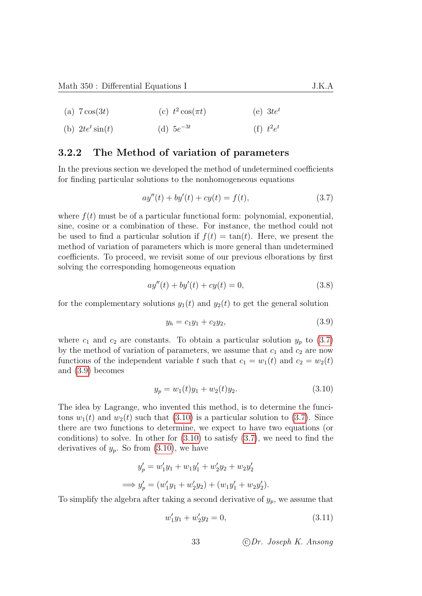- (a)  $7 \cos(3t)$ (c)  $t^2 \cos(\pi t)$ (e)  $3te^t$
- (b)  $2te^t \sin(t)$ (d)  $5e^{-3t}$ (f)  $t^2e^t$

### 3.2.2 The Method of variation of parameters

In the previous section we developed the method of undetermined coefficients for finding particular solutions to the nonhomogeneous equations

<span id="page-36-0"></span>
$$
ay''(t) + by'(t) + cy(t) = f(t),
$$
\n(3.7)

where  $f(t)$  must be of a particular functional form: polynomial, exponential, sine, cosine or a combination of these. For instance, the method could not be used to find a particular solution if  $f(t) = \tan(t)$ . Here, we present the method of variation of parameters which is more general than undetermined coefficients. To proceed, we revisit some of our previous elborations by first solving the corresponding homogeneous equation

$$
ay''(t) + by'(t) + cy(t) = 0,
$$
\n(3.8)

for the complementary solutions  $y_1(t)$  and  $y_2(t)$  to get the general solution

<span id="page-36-3"></span><span id="page-36-1"></span>
$$
y_h = c_1 y_1 + c_2 y_2, \tag{3.9}
$$

where  $c_1$  and  $c_2$  are constants. To obtain a particular solution  $y_p$  to [\(3.7\)](#page-36-0) by the method of variation of parameters, we assume that  $c_1$  and  $c_2$  are now functions of the independent variable t such that  $c_1 = w_1(t)$  and  $c_2 = w_2(t)$ and [\(3.9\)](#page-36-1) becomes

<span id="page-36-2"></span>
$$
y_p = w_1(t)y_1 + w_2(t)y_2.
$$
 (3.10)

The idea by Lagrange, who invented this method, is to determine the funcitons  $w_1(t)$  and  $w_2(t)$  such that [\(3.10\)](#page-36-2) is a particular solution to [\(3.7\)](#page-36-0). Since there are two functions to determine, we expect to have two equations (or conditions) to solve. In other for  $(3.10)$  to satisfy  $(3.7)$ , we need to find the derivatives of  $y_p$ . So from  $(3.10)$ , we have

$$
y'_p = w'_1y_1 + w_1y'_1 + w'_2y_2 + w_2y'_2
$$
  

$$
\implies y'_p = (w'_1y_1 + w'_2y_2) + (w_1y'_1 + w_2y'_2).
$$

To simplify the algebra after taking a second derivative of  $y_p$ , we assume that

<span id="page-36-4"></span>
$$
w_1'y_1 + w_2'y_2 = 0,\t\t(3.11)
$$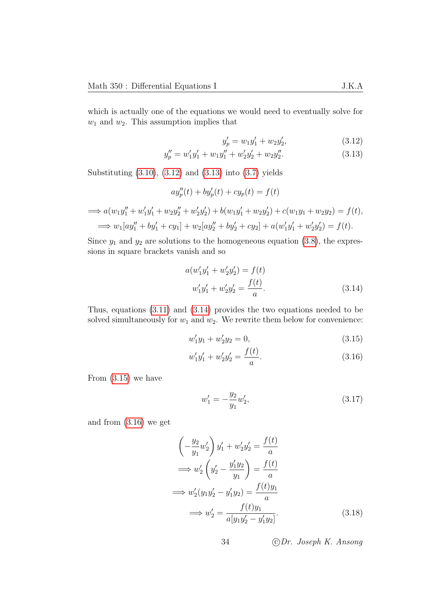which is actually one of the equations we would need to eventually solve for  $w_1$  and  $w_2$ . This assumption implies that

<span id="page-37-1"></span><span id="page-37-0"></span>
$$
y_p' = w_1 y_1' + w_2 y_2',\tag{3.12}
$$

$$
y_p'' = w_1'y_1' + w_1y_1'' + w_2'y_2' + w_2y_2''.
$$
\n(3.13)

Substituting [\(3.10\)](#page-36-2), [\(3.12\)](#page-37-0) and [\(3.13\)](#page-37-1) into [\(3.7\)](#page-36-0) yields

$$
ay_p''(t) + by_p'(t) + cy_p(t) = f(t)
$$

$$
\implies a(w_1y_1'' + w_1'y_1' + w_2y_2'' + w_2'y_2') + b(w_1y_1' + w_2y_2') + c(w_1y_1 + w_2y_2) = f(t),
$$
  

$$
\implies w_1[ay_1'' + by_1' + cy_1] + w_2[ay_2'' + by_2' + cy_2] + a(w_1'y_1' + w_2'y_2') = f(t).
$$

Since  $y_1$  and  $y_2$  are solutions to the homogeneous equation [\(3.8\)](#page-36-3), the expressions in square brackets vanish and so

<span id="page-37-2"></span>
$$
a(w'_1y'_1 + w'_2y'_2) = f(t)
$$
  

$$
w'_1y'_1 + w'_2y'_2 = \frac{f(t)}{a}.
$$
 (3.14)

Thus, equations [\(3.11\)](#page-36-4) and [\(3.14\)](#page-37-2) provides the two equations needed to be solved simultaneously for  $w_1$  and  $w_2$ . We rewrite them below for convenience:

<span id="page-37-3"></span>
$$
w_1'y_1 + w_2'y_2 = 0,\t\t(3.15)
$$

$$
w_1'y_1' + w_2'y_2' = \frac{f(t)}{a}.
$$
\n(3.16)

From  $(3.15)$  we have

<span id="page-37-6"></span><span id="page-37-5"></span><span id="page-37-4"></span>
$$
w_1' = -\frac{y_2}{y_1} w_2',\tag{3.17}
$$

and from [\(3.16\)](#page-37-4) we get

$$
\left(-\frac{y_2}{y_1}w_2'\right)y_1' + w_2'y_2' = \frac{f(t)}{a}
$$
  
\n
$$
\implies w_2'\left(y_2' - \frac{y_1'y_2}{y_1}\right) = \frac{f(t)}{a}
$$
  
\n
$$
\implies w_2'(y_1y_2' - y_1'y_2) = \frac{f(t)y_1}{a}
$$
  
\n
$$
\implies w_2' = \frac{f(t)y_1}{a[y_1y_2' - y_1'y_2]}.
$$
\n(3.18)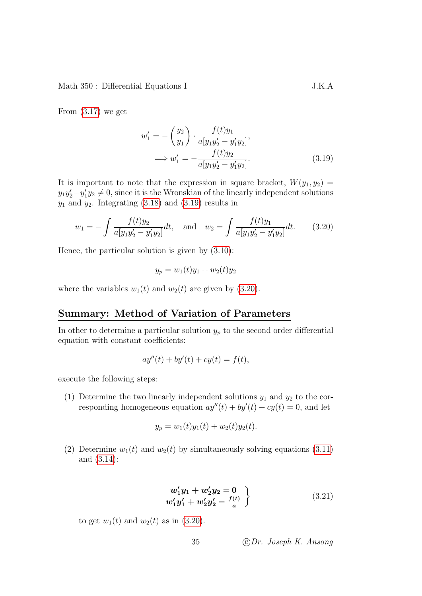From  $(3.17)$  we get

<span id="page-38-0"></span>
$$
w'_1 = -\left(\frac{y_2}{y_1}\right) \cdot \frac{f(t)y_1}{a[y_1y'_2 - y'_1y_2]},
$$
  

$$
\implies w'_1 = -\frac{f(t)y_2}{a[y_1y'_2 - y'_1y_2]}.
$$
(3.19)

It is important to note that the expression in square bracket,  $W(y_1, y_2)$  =  $y_1y_2'-y_1'y_2 \neq 0$ , since it is the Wronskian of the linearly independent solutions  $y_1$  and  $y_2$ . Integrating [\(3.18\)](#page-37-6) and [\(3.19\)](#page-38-0) results in

$$
w_1 = -\int \frac{f(t)y_2}{a[y_1y_2' - y_1'y_2]}dt, \text{ and } w_2 = \int \frac{f(t)y_1}{a[y_1y_2' - y_1'y_2]}dt.
$$
 (3.20)

Hence, the particular solution is given by [\(3.10\)](#page-36-2):

<span id="page-38-1"></span>
$$
y_p = w_1(t)y_1 + w_2(t)y_2
$$

where the variables  $w_1(t)$  and  $w_2(t)$  are given by [\(3.20\)](#page-38-1).

#### Summary: Method of Variation of Parameters

In other to determine a particular solution  $y_p$  to the second order differential equation with constant coefficients:

$$
ay''(t) + by'(t) + cy(t) = f(t),
$$

execute the following steps:

(1) Determine the two linearly independent solutions  $y_1$  and  $y_2$  to the corresponding homogeneous equation  $ay''(t) + by'(t) + cy(t) = 0$ , and let

$$
y_p = w_1(t)y_1(t) + w_2(t)y_2(t).
$$

(2) Determine  $w_1(t)$  and  $w_2(t)$  by simultaneously solving equations [\(3.11\)](#page-36-4) and [\(3.14\)](#page-37-2):

<span id="page-38-2"></span>
$$
w'_1y_1 + w'_2y_2 = 0 w'_1y'_1 + w'_2y'_2 = \frac{f(t)}{a}
$$
 (3.21)

to get  $w_1(t)$  and  $w_2(t)$  as in [\(3.20\)](#page-38-1).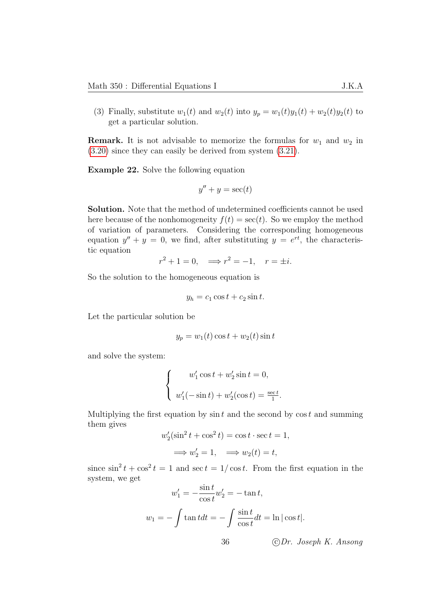(3) Finally, substitute  $w_1(t)$  and  $w_2(t)$  into  $y_p = w_1(t)y_1(t) + w_2(t)y_2(t)$  to get a particular solution.

**Remark.** It is not advisable to memorize the formulas for  $w_1$  and  $w_2$  in [\(3.20\)](#page-38-1) since they can easily be derived from system [\(3.21\)](#page-38-2).

Example 22. Solve the following equation

$$
y'' + y = \sec(t)
$$

Solution. Note that the method of undetermined coefficients cannot be used here because of the nonhomogeneity  $f(t) = \sec(t)$ . So we employ the method of variation of parameters. Considering the corresponding homogeneous equation  $y'' + y = 0$ , we find, after substituting  $y = e^{rt}$ , the characteristic equation

$$
r^2 + 1 = 0, \implies r^2 = -1, \quad r = \pm i.
$$

So the solution to the homogeneous equation is

$$
y_h = c_1 \cos t + c_2 \sin t.
$$

Let the particular solution be

$$
y_p = w_1(t)\cos t + w_2(t)\sin t
$$

and solve the system:

$$
\begin{cases}\n w_1' \cos t + w_2' \sin t = 0, \\
w_1'(-\sin t) + w_2'(\cos t) = \frac{\sec t}{1}\n\end{cases}
$$

Multiplying the first equation by  $\sin t$  and the second by  $\cos t$  and summing them gives

$$
w_2'(\sin^2 t + \cos^2 t) = \cos t \cdot \sec t = 1,
$$
  

$$
\implies w_2' = 1, \implies w_2(t) = t,
$$

since  $\sin^2 t + \cos^2 t = 1$  and  $\sec t = 1/\cos t$ . From the first equation in the system, we get

$$
w'_1 = -\frac{\sin t}{\cos t} w'_2 = -\tan t,
$$
  

$$
w_1 = -\int \tan t dt = -\int \frac{\sin t}{\cos t} dt = \ln|\cos t|.
$$

36 c Dr. Joseph K. Ansong

.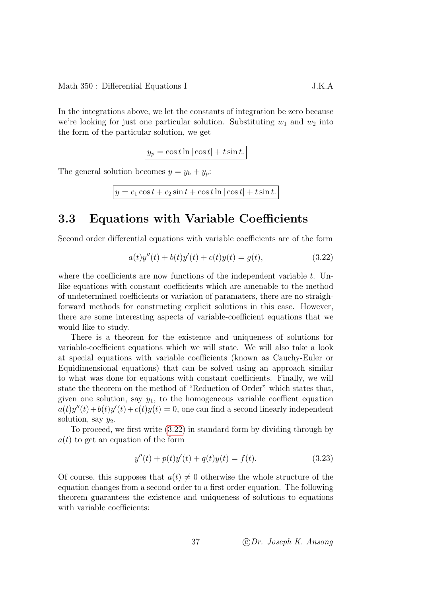In the integrations above, we let the constants of integration be zero because we're looking for just one particular solution. Substituting  $w_1$  and  $w_2$  into the form of the particular solution, we get

$$
y_p = \cos t \ln|\cos t| + t \sin t.
$$

The general solution becomes  $y = y_h + y_p$ :

$$
y = c_1 \cos t + c_2 \sin t + \cos t \ln |\cos t| + t \sin t.
$$

# 3.3 Equations with Variable Coefficients

Second order differential equations with variable coefficients are of the form

<span id="page-40-0"></span>
$$
a(t)y''(t) + b(t)y'(t) + c(t)y(t) = g(t),
$$
\n(3.22)

where the coefficients are now functions of the independent variable  $t$ . Unlike equations with constant coefficients which are amenable to the method of undetermined coefficients or variation of paramaters, there are no straighforward methods for constructing explicit solutions in this case. However, there are some interesting aspects of variable-coefficient equations that we would like to study.

There is a theorem for the existence and uniqueness of solutions for variable-coefficient equations which we will state. We will also take a look at special equations with variable coefficients (known as Cauchy-Euler or Equidimensional equations) that can be solved using an approach similar to what was done for equations with constant coefficients. Finally, we will state the theorem on the method of "Reduction of Order" which states that, given one solution, say  $y_1$ , to the homogeneous variable coeffient equation  $a(t)y''(t) + b(t)y'(t) + c(t)y(t) = 0$ , one can find a second linearly independent solution, say  $y_2$ .

To proceed, we first write [\(3.22\)](#page-40-0) in standard form by dividing through by  $a(t)$  to get an equation of the form

$$
y''(t) + p(t)y'(t) + q(t)y(t) = f(t).
$$
\n(3.23)

Of course, this supposes that  $a(t) \neq 0$  otherwise the whole structure of the equation changes from a second order to a first order equation. The following theorem guarantees the existence and uniqueness of solutions to equations with variable coefficients: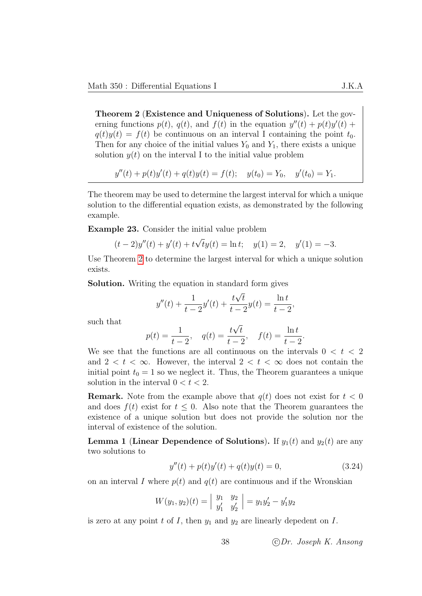<span id="page-41-0"></span>Theorem 2 (Existence and Uniqueness of Solutions). Let the governing functions  $p(t)$ ,  $q(t)$ , and  $f(t)$  in the equation  $y''(t) + p(t)y'(t) +$  $q(t)y(t) = f(t)$  be continuous on an interval I containing the point  $t_0$ . Then for any choice of the initial values  $Y_0$  and  $Y_1$ , there exists a unique solution  $y(t)$  on the interval I to the initial value problem

$$
y''(t) + p(t)y'(t) + q(t)y(t) = f(t); \quad y(t_0) = Y_0, \quad y'(t_0) = Y_1.
$$

The theorem may be used to determine the largest interval for which a unique solution to the differential equation exists, as demonstrated by the following example.

Example 23. Consider the initial value problem

$$
(t-2)y''(t) + y'(t) + t\sqrt{t}y(t) = \ln t; \quad y(1) = 2, \quad y'(1) = -3.
$$

Use Theorem [2](#page-41-0) to determine the largest interval for which a unique solution exists.

Solution. Writing the equation in standard form gives

$$
y''(t) + \frac{1}{t-2}y'(t) + \frac{t\sqrt{t}}{t-2}y(t) = \frac{\ln t}{t-2},
$$

such that

$$
p(t) = \frac{1}{t-2}
$$
,  $q(t) = \frac{t\sqrt{t}}{t-2}$ ,  $f(t) = \frac{\ln t}{t-2}$ .

We see that the functions are all continuous on the intervals  $0 < t < 2$ and  $2 < t < \infty$ . However, the interval  $2 < t < \infty$  does not contain the initial point  $t_0 = 1$  so we neglect it. Thus, the Theorem guarantees a unique solution in the interval  $0 < t < 2$ .

**Remark.** Note from the example above that  $q(t)$  does not exist for  $t < 0$ and does  $f(t)$  exist for  $t \leq 0$ . Also note that the Theorem guarantees the existence of a unique solution but does not provide the solution nor the interval of existence of the solution.

<span id="page-41-1"></span>**Lemma 1 (Linear Dependence of Solutions).** If  $y_1(t)$  and  $y_2(t)$  are any two solutions to

<span id="page-41-2"></span>
$$
y''(t) + p(t)y'(t) + q(t)y(t) = 0,
$$
\n(3.24)

on an interval I where  $p(t)$  and  $q(t)$  are continuous and if the Wronskian

$$
W(y_1, y_2)(t) = \begin{vmatrix} y_1 & y_2 \\ y'_1 & y'_2 \end{vmatrix} = y_1 y'_2 - y'_1 y_2
$$

is zero at any point t of I, then  $y_1$  and  $y_2$  are linearly depedent on I.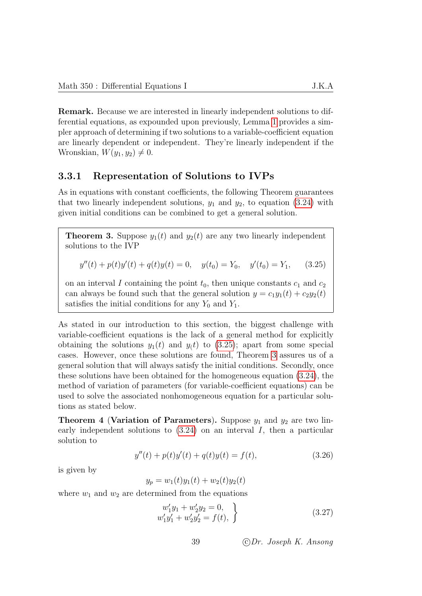Remark. Because we are interested in linearly independent solutions to differential equations, as expounded upon previously, Lemma [1](#page-41-1) provides a simpler approach of determining if two solutions to a variable-coefficient equation are linearly dependent or independent. They're linearly independent if the Wronskian,  $W(y_1, y_2) \neq 0$ .

#### 3.3.1 Representation of Solutions to IVPs

As in equations with constant coefficients, the following Theorem guarantees that two linearly independent solutions,  $y_1$  and  $y_2$ , to equation [\(3.24\)](#page-41-2) with given initial conditions can be combined to get a general solution.

<span id="page-42-1"></span>**Theorem 3.** Suppose  $y_1(t)$  and  $y_2(t)$  are any two linearly independent solutions to the IVP

<span id="page-42-0"></span>
$$
y''(t) + p(t)y'(t) + q(t)y(t) = 0, \quad y(t_0) = Y_0, \quad y'(t_0) = Y_1,\tag{3.25}
$$

on an interval I containing the point  $t_0$ , then unique constants  $c_1$  and  $c_2$ can always be found such that the general solution  $y = c_1y_1(t) + c_2y_2(t)$ satisfies the initial conditions for any  $Y_0$  and  $Y_1$ .

As stated in our introduction to this section, the biggest challenge with variable-coefficient equations is the lack of a general method for explicitly obtaining the solutions  $y_1(t)$  and  $y(t)$  to [\(3.25\)](#page-42-0); apart from some special cases. However, once these solutions are found, Theorem [3](#page-42-1) assures us of a general solution that will always satisfy the initial conditions. Secondly, once these solutions have been obtained for the homogeneous equation [\(3.24\)](#page-41-2), the method of variation of parameters (for variable-coefficient equations) can be used to solve the associated nonhomogeneous equation for a particular solutions as stated below.

**Theorem 4 (Variation of Parameters).** Suppose  $y_1$  and  $y_2$  are two linearly independent solutions to [\(3.24\)](#page-41-2) on an interval I, then a particular solution to

$$
y''(t) + p(t)y'(t) + q(t)y(t) = f(t),
$$
\n(3.26)

is given by

$$
y_p = w_1(t)y_1(t) + w_2(t)y_2(t)
$$

where  $w_1$  and  $w_2$  are determined from the equations

<span id="page-42-3"></span><span id="page-42-2"></span>
$$
w'_1y_1 + w'_2y_2 = 0,w'_1y'_1 + w'_2y'_2 = f(t),
$$
\n(3.27)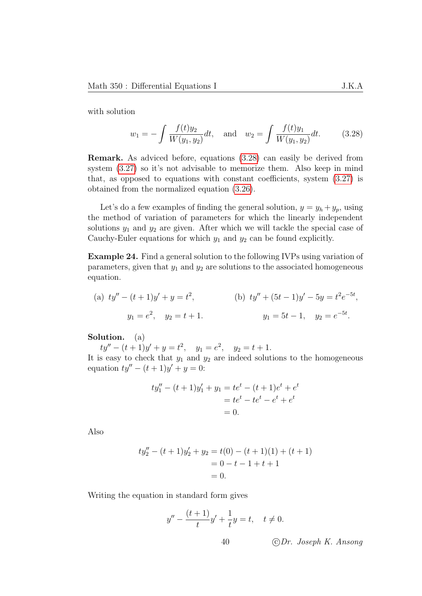with solution

<span id="page-43-0"></span>
$$
w_1 = -\int \frac{f(t)y_2}{W(y_1, y_2)} dt, \text{ and } w_2 = \int \frac{f(t)y_1}{W(y_1, y_2)} dt.
$$
 (3.28)

Remark. As adviced before, equations [\(3.28\)](#page-43-0) can easily be derived from system  $(3.27)$  so it's not advisable to memorize them. Also keep in mind that, as opposed to equations with constant coefficients, system [\(3.27\)](#page-42-2) is obtained from the normalized equation [\(3.26\)](#page-42-3).

Let's do a few examples of finding the general solution,  $y = y_h + y_p$ , using the method of variation of parameters for which the linearly independent solutions  $y_1$  and  $y_2$  are given. After which we will tackle the special case of Cauchy-Euler equations for which  $y_1$  and  $y_2$  can be found explicitly.

Example 24. Find a general solution to the following IVPs using variation of parameters, given that  $y_1$  and  $y_2$  are solutions to the associated homogeneous equation.

(a) 
$$
ty'' - (t+1)y' + y = t^2
$$
,  
\n $y_1 = e^2$ ,  $y_2 = t+1$ .  
\n(b)  $ty'' + (5t-1)y' - 5y = t^2e^{-5t}$ ,  
\n $y_1 = 5t - 1$ ,  $y_2 = e^{-5t}$ .

Solution. (a)

 $ty'' - (t+1)y' + y = t^2$ ,  $y_1 = e^2$ ,  $y_2 = t+1$ .

It is easy to check that  $y_1$  and  $y_2$  are indeed solutions to the homogeneous equation  $ty'' - (t + 1)y' + y = 0$ :

$$
ty''_1 - (t+1)y'_1 + y_1 = te^t - (t+1)e^t + e^t
$$
  
=  $te^t - te^t - e^t + e^t$   
= 0.

Also

$$
ty''_2 - (t+1)y'_2 + y_2 = t(0) - (t+1)(1) + (t+1)
$$
  
= 0 - t - 1 + t + 1  
= 0.

Writing the equation in standard form gives

$$
y'' - \frac{(t+1)}{t}y' + \frac{1}{t}y = t, \quad t \neq 0.
$$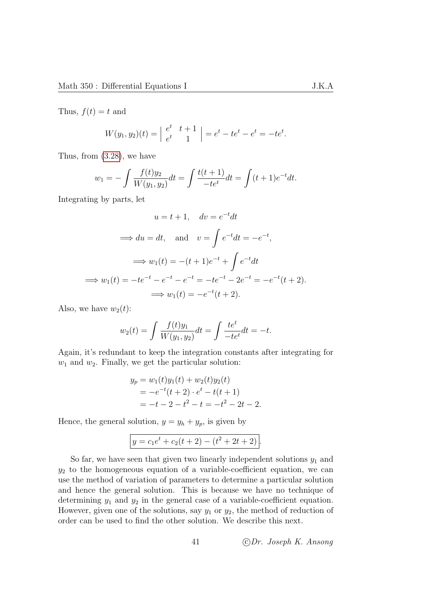Thus,  $f(t) = t$  and

$$
W(y_1, y_2)(t) = \begin{vmatrix} e^t & t+1 \ e^t & 1 \end{vmatrix} = e^t - te^t - e^t = -te^t.
$$

Thus, from [\(3.28\)](#page-43-0), we have

$$
w_1 = -\int \frac{f(t)y_2}{W(y_1, y_2)} dt = \int \frac{t(t+1)}{-te^t} dt = \int (t+1)e^{-t} dt.
$$

Integrating by parts, let

$$
u = t + 1, \quad dv = e^{-t}dt
$$
  
\n
$$
\implies du = dt, \quad \text{and} \quad v = \int e^{-t}dt = -e^{-t},
$$
  
\n
$$
\implies w_1(t) = -(t+1)e^{-t} + \int e^{-t}dt
$$
  
\n
$$
\implies w_1(t) = -te^{-t} - e^{-t} = -te^{-t} - 2e^{-t} = -e^{-t}(t+2).
$$
  
\n
$$
\implies w_1(t) = -e^{-t}(t+2).
$$

Also, we have  $w_2(t)$ :

$$
w_2(t) = \int \frac{f(t)y_1}{W(y_1, y_2)} dt = \int \frac{te^t}{-te^t} dt = -t.
$$

Again, it's redundant to keep the integration constants after integrating for  $w_1$  and  $w_2$ . Finally, we get the particular solution:

$$
y_p = w_1(t)y_1(t) + w_2(t)y_2(t)
$$
  
=  $-e^{-t}(t+2) \cdot e^{t} - t(t+1)$   
=  $-t - 2 - t^2 - t = -t^2 - 2t - 2$ .

Hence, the general solution,  $y = y_h + y_p$ , is given by

$$
y = c_1 e^t + c_2(t+2) - (t^2 + 2t + 2).
$$

So far, we have seen that given two linearly independent solutions  $y_1$  and  $y_2$  to the homogeneous equation of a variable-coefficient equation, we can use the method of variation of parameters to determine a particular solution and hence the general solution. This is because we have no technique of determining  $y_1$  and  $y_2$  in the general case of a variable-coefficient equation. However, given one of the solutions, say  $y_1$  or  $y_2$ , the method of reduction of order can be used to find the other solution. We describe this next.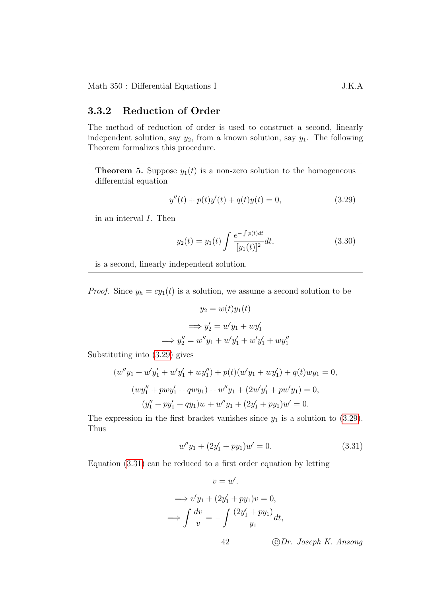### 3.3.2 Reduction of Order

The method of reduction of order is used to construct a second, linearly independent solution, say  $y_2$ , from a known solution, say  $y_1$ . The following Theorem formalizes this procedure.

**Theorem 5.** Suppose  $y_1(t)$  is a non-zero solution to the homogeneous differential equation

$$
y''(t) + p(t)y'(t) + q(t)y(t) = 0,
$$
\n(3.29)

in an interval I. Then

<span id="page-45-0"></span>
$$
y_2(t) = y_1(t) \int \frac{e^{-\int p(t)dt}}{[y_1(t)]^2} dt,
$$
\n(3.30)

is a second, linearly independent solution.

*Proof.* Since  $y_h = cy_1(t)$  is a solution, we assume a second solution to be

$$
y_2 = w(t)y_1(t)
$$

$$
\implies y_2' = w'y_1 + wy_1'
$$

$$
\implies y_2'' = w''y_1 + w'y_1' + w'y_1' + wy_1''
$$

Substituting into [\(3.29\)](#page-45-0) gives

$$
(w''y_1 + w'y'_1 + w'y'_1 + wy''_1) + p(t)(w'y_1 + wy'_1) + q(t)wy_1 = 0,
$$
  
\n
$$
(wy''_1 + pw'y'_1 + qwy_1) + w''y_1 + (2w'y'_1 + pw'y_1) = 0,
$$
  
\n
$$
(y''_1 + py'_1 + qy_1)w + w''y_1 + (2y'_1 + py_1)w' = 0.
$$

The expression in the first bracket vanishes since  $y_1$  is a solution to [\(3.29\)](#page-45-0). Thus

<span id="page-45-1"></span>
$$
w''y_1 + (2y'_1 + py_1)w' = 0.
$$
\n(3.31)

Equation [\(3.31\)](#page-45-1) can be reduced to a first order equation by letting

$$
v = w'.
$$
  
\n
$$
\implies v'y_1 + (2y'_1 + py_1)v = 0,
$$
  
\n
$$
\implies \int \frac{dv}{v} = -\int \frac{(2y'_1 + py_1)}{y_1} dt,
$$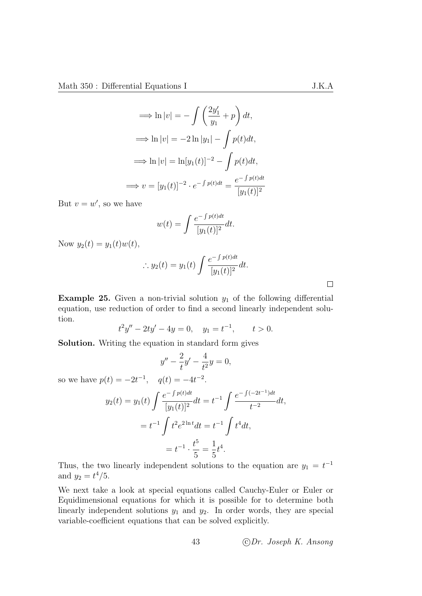$$
\implies \ln|v| = -\int \left(\frac{2y_1'}{y_1} + p\right) dt,
$$
  

$$
\implies \ln|v| = -2\ln|y_1| - \int p(t)dt,
$$
  

$$
\implies \ln|v| = \ln[y_1(t)]^{-2} - \int p(t)dt,
$$
  

$$
\implies v = [y_1(t)]^{-2} \cdot e^{-\int p(t)dt} = \frac{e^{-\int p(t)dt}}{[y_1(t)]^2}
$$

But  $v = w'$ , so we have

$$
w(t) = \int \frac{e^{-\int p(t)dt}}{[y_1(t)]^2} dt.
$$

Now  $y_2(t) = y_1(t)w(t)$ ,

$$
\therefore y_2(t) = y_1(t) \int \frac{e^{-\int p(t)dt}}{[y_1(t)]^2} dt.
$$

Example 25. Given a non-trivial solution  $y_1$  of the following differential equation, use reduction of order to find a second linearly independent solution.

$$
t^2y'' - 2ty' - 4y = 0, \quad y_1 = t^{-1}, \qquad t > 0.
$$

Solution. Writing the equation in standard form gives

$$
y'' - \frac{2}{t}y' - \frac{4}{t^2}y = 0,
$$

so we have  $p(t) = -2t^{-1}$ ,  $q(t) = -4t^{-2}$ .

$$
y_2(t) = y_1(t) \int \frac{e^{-\int p(t)dt}}{[y_1(t)]^2} dt = t^{-1} \int \frac{e^{-\int (-2t^{-1})dt}}{t^{-2}} dt,
$$
  
=  $t^{-1} \int t^2 e^{2\ln t} dt = t^{-1} \int t^4 dt,$   
=  $t^{-1} \cdot \frac{t^5}{5} = \frac{1}{5} t^4.$ 

Thus, the two linearly independent solutions to the equation are  $y_1 = t^{-1}$ and  $y_2 = t^4/5$ .

We next take a look at special equations called Cauchy-Euler or Euler or Equidimensional equations for which it is possible for to determine both linearly independent solutions  $y_1$  and  $y_2$ . In order words, they are special variable-coefficient equations that can be solved explicitly.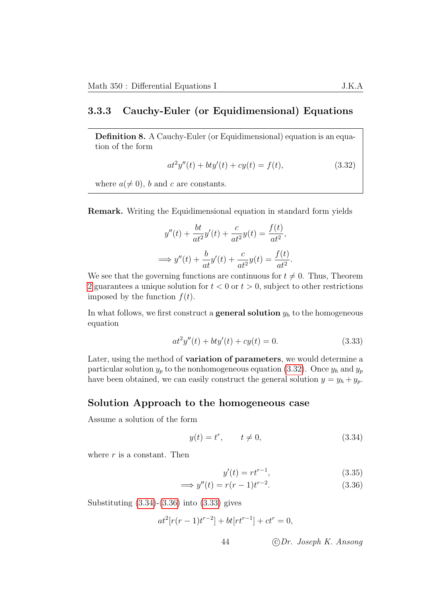#### 3.3.3 Cauchy-Euler (or Equidimensional) Equations

Definition 8. A Cauchy-Euler (or Equidimensional) equation is an equation of the form

<span id="page-47-0"></span>
$$
at^2y''(t) + bty'(t) + cy(t) = f(t),
$$
\n(3.32)

where  $a \neq 0$ , b and c are constants.

Remark. Writing the Equidimensional equation in standard form yields

$$
y''(t) + \frac{bt}{at^2}y'(t) + \frac{c}{at^2}y(t) = \frac{f(t)}{at^2},
$$
  

$$
\implies y''(t) + \frac{b}{at}y'(t) + \frac{c}{at^2}y(t) = \frac{f(t)}{at^2}.
$$

We see that the governing functions are continuous for  $t \neq 0$ . Thus, Theorem [2](#page-41-0) guarantees a unique solution for  $t < 0$  or  $t > 0$ , subject to other restrictions imposed by the function  $f(t)$ .

In what follows, we first construct a **general solution**  $y_h$  to the homogeneous equation

<span id="page-47-3"></span>
$$
at^2y''(t) + bty'(t) + cy(t) = 0.
$$
\n(3.33)

Later, using the method of variation of parameters, we would determine a particular solution  $y_p$  to the nonhomogeneous equation [\(3.32\)](#page-47-0). Once  $y_h$  and  $y_p$ have been obtained, we can easily construct the general solution  $y = y_h + y_p$ .

#### Solution Approach to the homogeneous case

Assume a solution of the form

$$
y(t) = t^r, \qquad t \neq 0,\tag{3.34}
$$

where  $r$  is a constant. Then

<span id="page-47-2"></span><span id="page-47-1"></span>
$$
y'(t) = rt^{r-1},
$$
\n(3.35)

$$
\implies y''(t) = r(r-1)t^{r-2}.\tag{3.36}
$$

Substituting [\(3.34\)](#page-47-1)-[\(3.36\)](#page-47-2) into [\(3.33\)](#page-47-3) gives

$$
at^2[r(r-1)t^{r-2}] + bt[rt^{r-1}] + ct^r = 0,
$$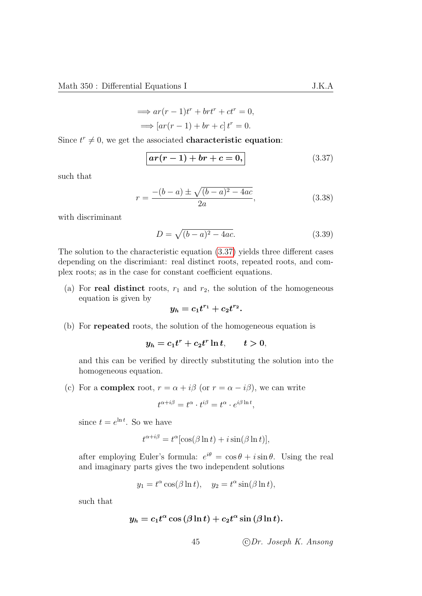$$
\implies ar(r-1)t^r + brt^r + ct^r = 0,
$$
  

$$
\implies [ar(r-1) + br + c]t^r = 0.
$$

Since  $t^r \neq 0$ , we get the associated **characteristic equation**:

<span id="page-48-0"></span>
$$
ar(r-1) + br + c = 0,
$$
\n(3.37)

such that

$$
r = \frac{-(b-a) \pm \sqrt{(b-a)^2 - 4ac}}{2a},
$$
\n(3.38)

with discriminant

$$
D = \sqrt{(b-a)^2 - 4ac}.
$$
 (3.39)

The solution to the characteristic equation [\(3.37\)](#page-48-0) yields three different cases depending on the discrimiant: real distinct roots, repeated roots, and complex roots; as in the case for constant coefficient equations.

(a) For real distinct roots,  $r_1$  and  $r_2$ , the solution of the homogeneous equation is given by

$$
y_h = c_1 t^{r_1} + c_2 t^{r_2}.
$$

(b) For repeated roots, the solution of the homogeneous equation is

$$
y_h = c_1 t^r + c_2 t^r \ln t, \qquad t > 0,
$$

and this can be verified by directly substituting the solution into the homogeneous equation.

(c) For a **complex** root,  $r = \alpha + i\beta$  (or  $r = \alpha - i\beta$ ), we can write

$$
t^{\alpha+i\beta} = t^{\alpha} \cdot t^{i\beta} = t^{\alpha} \cdot e^{i\beta \ln t},
$$

since  $t = e^{\ln t}$ . So we have

$$
t^{\alpha+i\beta} = t^{\alpha} [\cos(\beta \ln t) + i \sin(\beta \ln t)],
$$

after employing Euler's formula:  $e^{i\theta} = \cos \theta + i \sin \theta$ . Using the real and imaginary parts gives the two independent solutions

$$
y_1 = t^{\alpha} \cos(\beta \ln t), \quad y_2 = t^{\alpha} \sin(\beta \ln t),
$$

such that

$$
y_h = c_1 t^{\alpha} \cos{(\beta \ln t)} + c_2 t^{\alpha} \sin{(\beta \ln t)}.
$$

45 c Dr. Joseph K. Ansong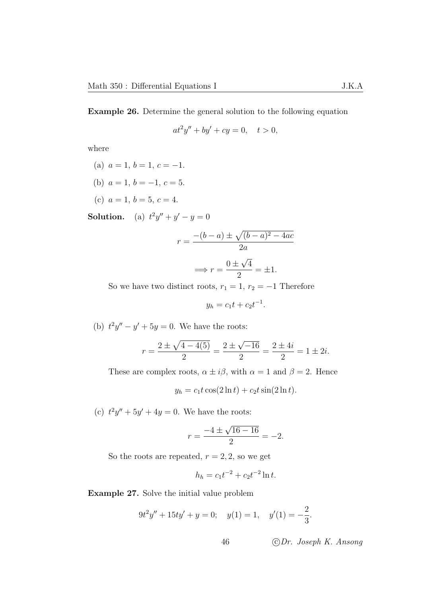Example 26. Determine the general solution to the following equation

$$
at^2y'' + by' + cy = 0, \quad t > 0,
$$

where

- (a)  $a = 1, b = 1, c = -1.$
- (b)  $a = 1, b = -1, c = 5.$
- (c)  $a = 1, b = 5, c = 4.$

**Solution.** (a)  $t^2y'' + y' - y = 0$ 

$$
r = \frac{-(b-a) \pm \sqrt{(b-a)^2 - 4ac}}{2a}
$$

$$
\implies r = \frac{0 \pm \sqrt{4}}{2} = \pm 1.
$$

So we have two distinct roots,  $r_1 = 1$ ,  $r_2 = -1$  Therefore

$$
y_h = c_1 t + c_2 t^{-1}.
$$

(b)  $t^2y'' - y' + 5y = 0$ . We have the roots:

$$
r = \frac{2 \pm \sqrt{4 - 4(5)}}{2} = \frac{2 \pm \sqrt{-16}}{2} = \frac{2 \pm 4i}{2} = 1 \pm 2i.
$$

These are complex roots,  $\alpha \pm i\beta$ , with  $\alpha = 1$  and  $\beta = 2$ . Hence

$$
y_h = c_1 t \cos(2 \ln t) + c_2 t \sin(2 \ln t).
$$

(c)  $t^2y'' + 5y' + 4y = 0$ . We have the roots:

$$
r = \frac{-4 \pm \sqrt{16 - 16}}{2} = -2.
$$

So the roots are repeated,  $r = 2, 2$ , so we get

$$
h_h = c_1 t^{-2} + c_2 t^{-2} \ln t.
$$

Example 27. Solve the initial value problem

$$
9t2y'' + 15ty' + y = 0; \quad y(1) = 1, \quad y'(1) = -\frac{2}{3}.
$$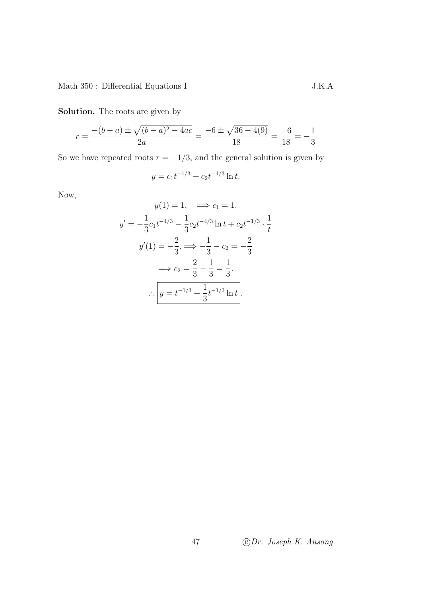Solution. The roots are given by

$$
r = \frac{-(b-a) \pm \sqrt{(b-a)^2 - 4ac}}{2a} = \frac{-6 \pm \sqrt{36 - 4(9)}}{18} = \frac{-6}{18} = -\frac{1}{3}
$$

So we have repeated roots  $r = -1/3$ , and the general solution is given by

$$
y = c_1 t^{-1/3} + c_2 t^{-1/3} \ln t.
$$

Now,

$$
y(1) = 1, \implies c_1 = 1.
$$
  

$$
y' = -\frac{1}{3}c_1t^{-4/3} - \frac{1}{3}c_2t^{-4/3}\ln t + c_2t^{-1/3} \cdot \frac{1}{t}
$$
  

$$
y'(1) = -\frac{2}{3}, \implies -\frac{1}{3} - c_2 = -\frac{2}{3}
$$
  

$$
\implies c_2 = \frac{2}{3} - \frac{1}{3} = \frac{1}{3}.
$$
  

$$
\therefore \boxed{y = t^{-1/3} + \frac{1}{3}t^{-1/3}\ln t}.
$$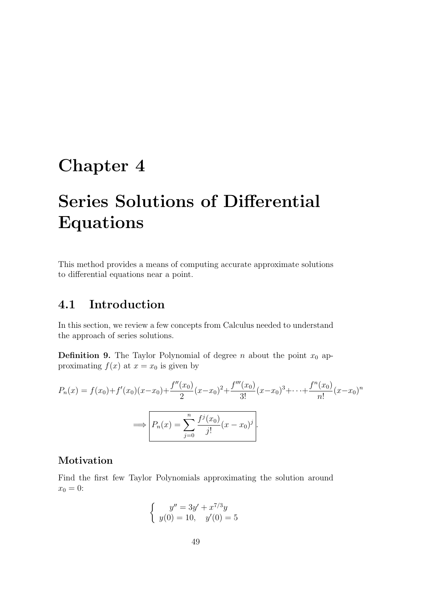# Chapter 4

# Series Solutions of Differential Equations

This method provides a means of computing accurate approximate solutions to differential equations near a point.

# 4.1 Introduction

In this section, we review a few concepts from Calculus needed to understand the approach of series solutions.

**Definition 9.** The Taylor Polynomial of degree n about the point  $x_0$  approximating  $f(x)$  at  $x = x_0$  is given by

$$
P_n(x) = f(x_0) + f'(x_0)(x - x_0) + \frac{f''(x_0)}{2}(x - x_0)^2 + \frac{f'''(x_0)}{3!}(x - x_0)^3 + \dots + \frac{f^n(x_0)}{n!}(x - x_0)^n
$$

$$
\implies \boxed{P_n(x) = \sum_{j=0}^n \frac{f^j(x_0)}{j!}(x - x_0)^j}.
$$

# Motivation

Find the first few Taylor Polynomials approximating the solution around  $x_0 = 0$ :

$$
\begin{cases}\n y'' = 3y' + x^{7/3}y \\
y(0) = 10, \quad y'(0) = 5\n\end{cases}
$$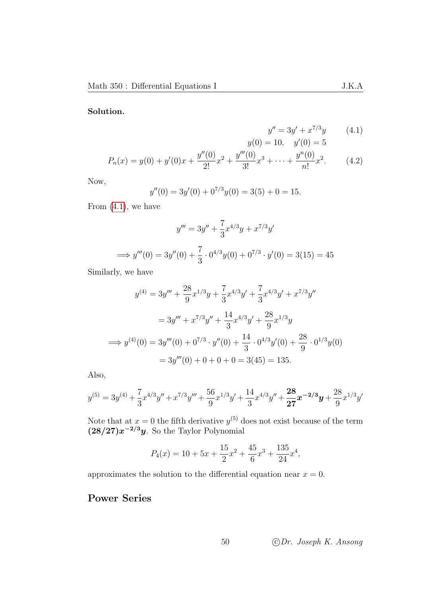#### Solution.

<span id="page-53-0"></span>
$$
y'' = 3y' + x^{7/3}y
$$
 (4.1)  

$$
y(0) = 10, \quad y'(0) = 5
$$

$$
P_n(x) = y(0) + y'(0)x + \frac{y''(0)}{2!}x^2 + \frac{y'''(0)}{3!}x^3 + \dots + \frac{y^n(0)}{n!}x^2.
$$
 (4.2)

Now,

$$
y''(0) = 3y'(0) + 0^{7/3}y(0) = 3(5) + 0 = 15.
$$

From  $(4.1)$ , we have

$$
y''' = 3y'' + \frac{7}{3}x^{4/3}y + x^{7/3}y'
$$
  
\n
$$
\implies y'''(0) = 3y''(0) + \frac{7}{3} \cdot 0^{4/3}y(0) + 0^{7/3} \cdot y'(0) = 3(15) = 45
$$

Similarly, we have

$$
y^{(4)} = 3y''' + \frac{28}{9}x^{1/3}y + \frac{7}{3}x^{4/3}y' + \frac{7}{3}x^{4/3}y' + x^{7/3}y''
$$
  

$$
= 3y''' + x^{7/3}y'' + \frac{14}{3}x^{4/3}y' + \frac{28}{9}x^{1/3}y
$$
  

$$
\implies y^{(4)}(0) = 3y'''(0) + 0^{7/3} \cdot y''(0) + \frac{14}{3} \cdot 0^{4/3}y'(0) + \frac{28}{9} \cdot 0^{1/3}y(0)
$$
  

$$
= 3y'''(0) + 0 + 0 + 0 = 3(45) = 135.
$$

Also,

$$
y^{(5)} = 3y^{(4)} + \frac{7}{3}x^{4/3}y'' + x^{7/3}y''' + \frac{56}{9}x^{1/3}y' + \frac{14}{3}x^{4/3}y'' + \frac{28}{27}x^{-2/3}y' + \frac{28}{9}x^{1/3}y'
$$

Note that at  $x = 0$  the fifth derivative  $y^{(5)}$  does not exist because of the term  $(28/27)x^{-2/3}y$ . So the Taylor Polynomial

$$
P_4(x) = 10 + 5x + \frac{15}{2}x^2 + \frac{45}{6}x^3 + \frac{135}{24}x^4,
$$

approximates the solution to the differential equation near  $x = 0$ .

# Power Series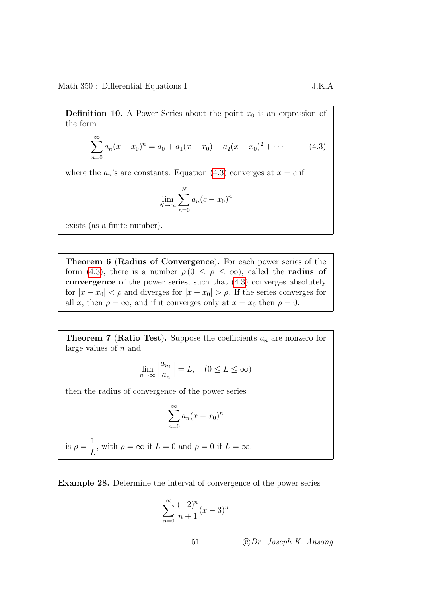**Definition 10.** A Power Series about the point  $x_0$  is an expression of the form

$$
\sum_{n=0}^{\infty} a_n (x - x_0)^n = a_0 + a_1 (x - x_0) + a_2 (x - x_0)^2 + \cdots
$$
 (4.3)

where the  $a_n$ 's are constants. Equation [\(4.3\)](#page-54-0) converges at  $x = c$  if

<span id="page-54-0"></span>
$$
\lim_{N \to \infty} \sum_{n=0}^{N} a_n (c - x_0)^n
$$

exists (as a finite number).

Theorem 6 (Radius of Convergence). For each power series of the form [\(4.3\)](#page-54-0), there is a number  $\rho(0 \leq \rho \leq \infty)$ , called the **radius of** convergence of the power series, such that [\(4.3\)](#page-54-0) converges absolutely for  $|x-x_0| < \rho$  and diverges for  $|x-x_0| > \rho$ . If the series converges for all x, then  $\rho = \infty$ , and if it converges only at  $x = x_0$  then  $\rho = 0$ .

**Theorem 7 (Ratio Test).** Suppose the coefficients  $a_n$  are nonzero for large values of n and

$$
\lim_{n \to \infty} \left| \frac{a_{n_1}}{a_n} \right| = L, \quad (0 \le L \le \infty)
$$

then the radius of convergence of the power series

$$
\sum_{n=0}^{\infty} a_n (x - x_0)^n
$$

is  $\rho =$ 1 L , with  $\rho = \infty$  if  $L = 0$  and  $\rho = 0$  if  $L = \infty$ .

Example 28. Determine the interval of convergence of the power series

$$
\sum_{n=0}^{\infty} \frac{(-2)^n}{n+1} (x-3)^n
$$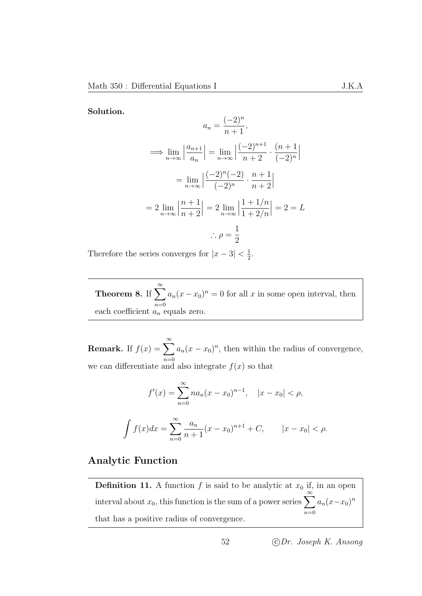Solution.

$$
a_n = \frac{(-2)^n}{n+1},
$$
  
\n
$$
\implies \lim_{n \to \infty} \left| \frac{a_{n+1}}{a_n} \right| = \lim_{n \to \infty} \left| \frac{(-2)^{n+1}}{n+2} \cdot \frac{(n+1)}{(-2)^n} \right|
$$
  
\n
$$
= \lim_{n \to \infty} \left| \frac{(-2)^n (-2)}{(-2)^n} \cdot \frac{n+1}{n+2} \right|
$$
  
\n
$$
= 2 \lim_{n \to \infty} \left| \frac{n+1}{n+2} \right| = 2 \lim_{n \to \infty} \left| \frac{1+1/n}{1+2/n} \right| = 2 = L
$$
  
\n
$$
\therefore \rho = \frac{1}{2}
$$

Therefore the series converges for  $|x-3| < \frac{1}{2}$  $\frac{1}{2}$ .

Theorem 8. If  $\sum_{n=1}^{\infty}$  $n=0$  $a_n(x-x_0)^n = 0$  for all x in some open interval, then each coefficient  $a_n$  equals zero.

**Remark.** If  $f(x) = \sum_{n=0}^{\infty}$  $n=0$  $a_n(x-x_0)^n$ , then within the radius of convergence, we can differentiate and also integrate  $f(x)$  so that

$$
f'(x) = \sum_{n=0}^{\infty} n a_n (x - x_0)^{n-1}, \quad |x - x_0| < \rho,
$$

$$
\int f(x)dx = \sum_{n=0}^{\infty} \frac{a_n}{n+1} (x - x_0)^{n+1} + C, \qquad |x - x_0| < \rho.
$$

## Analytic Function

**Definition 11.** A function f is said to be analytic at  $x_0$  if, in an open interval about  $x_0$ , this function is the sum of a power series  $\sum_{n=1}^{\infty}$  $n=0$  $a_n(x-x_0)^n$ that has a positive radius of convergence.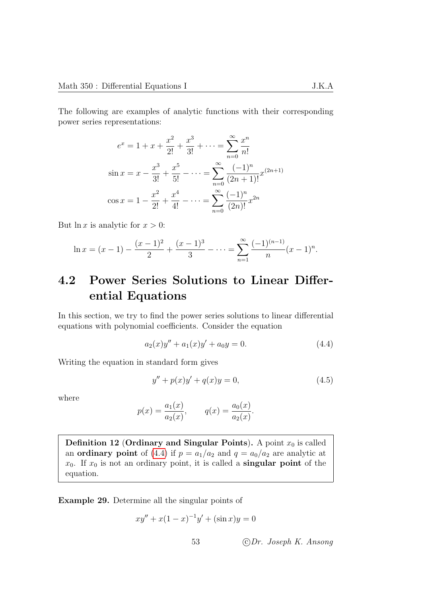The following are examples of analytic functions with their corresponding power series representations:

$$
e^{x} = 1 + x + \frac{x^{2}}{2!} + \frac{x^{3}}{3!} + \dots = \sum_{n=0}^{\infty} \frac{x^{n}}{n!}
$$
  

$$
\sin x = x - \frac{x^{3}}{3!} + \frac{x^{5}}{5!} - \dots = \sum_{n=0}^{\infty} \frac{(-1)^{n}}{(2n+1)!} x^{(2n+1)}
$$
  

$$
\cos x = 1 - \frac{x^{2}}{2!} + \frac{x^{4}}{4!} - \dots = \sum_{n=0}^{\infty} \frac{(-1)^{n}}{(2n)!} x^{2n}
$$

But  $\ln x$  is analytic for  $x > 0$ :

$$
\ln x = (x - 1) - \frac{(x - 1)^2}{2} + \frac{(x - 1)^3}{3} - \dots = \sum_{n=1}^{\infty} \frac{(-1)^{(n-1)}}{n} (x - 1)^n.
$$

# 4.2 Power Series Solutions to Linear Differential Equations

In this section, we try to find the power series solutions to linear differential equations with polynomial coefficients. Consider the equation

$$
a_2(x)y'' + a_1(x)y' + a_0y = 0.
$$
\n(4.4)

Writing the equation in standard form gives

<span id="page-56-0"></span>
$$
y'' + p(x)y' + q(x)y = 0,
$$
\n(4.5)

where

$$
p(x) = \frac{a_1(x)}{a_2(x)},
$$
  $q(x) = \frac{a_0(x)}{a_2(x)}.$ 

Definition 12 (Ordinary and Singular Points). A point  $x_0$  is called an **ordinary point** of [\(4.4\)](#page-56-0) if  $p = a_1/a_2$  and  $q = a_0/a_2$  are analytic at  $x_0$ . If  $x_0$  is not an ordinary point, it is called a **singular point** of the equation.

Example 29. Determine all the singular points of

$$
xy'' + x(1-x)^{-1}y' + (\sin x)y = 0
$$

53 c Dr. Joseph K. Ansong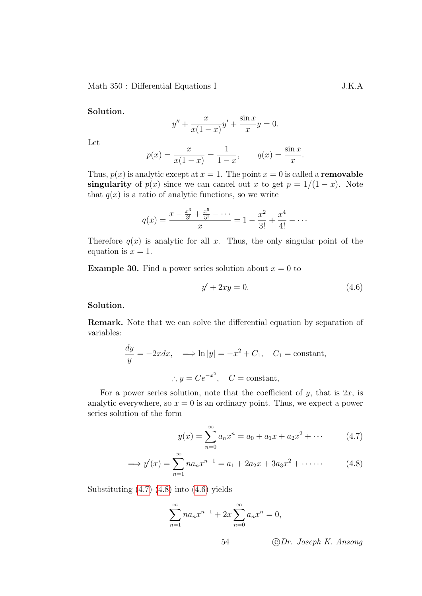#### Solution.

$$
y'' + \frac{x}{x(1-x)}y' + \frac{\sin x}{x}y = 0.
$$

Let

$$
p(x) = \frac{x}{x(1-x)} = \frac{1}{1-x}, \qquad q(x) = \frac{\sin x}{x}.
$$

Thus,  $p(x)$  is analytic except at  $x = 1$ . The point  $x = 0$  is called a **removable** singularity of  $p(x)$  since we can cancel out x to get  $p = 1/(1-x)$ . Note that  $q(x)$  is a ratio of analytic functions, so we write

$$
q(x) = \frac{x - \frac{x^3}{3!} + \frac{x^5}{5!} - \dots}{x} = 1 - \frac{x^2}{3!} + \frac{x^4}{4!} - \dots
$$

Therefore  $q(x)$  is analytic for all x. Thus, the only singular point of the equation is  $x = 1$ .

**Example 30.** Find a power series solution about  $x = 0$  to

<span id="page-57-2"></span>
$$
y' + 2xy = 0.\tag{4.6}
$$

Solution.

Remark. Note that we can solve the differential equation by separation of variables:

$$
\frac{dy}{y} = -2xdx, \implies \ln|y| = -x^2 + C_1, C_1 = \text{constant},
$$
  

$$
\therefore y = Ce^{-x^2}, C = \text{constant},
$$

For a power series solution, note that the coefficient of  $y$ , that is  $2x$ , is analytic everywhere, so  $x = 0$  is an ordinary point. Thus, we expect a power series solution of the form

<span id="page-57-1"></span><span id="page-57-0"></span>
$$
y(x) = \sum_{n=0}^{\infty} a_n x^n = a_0 + a_1 x + a_2 x^2 + \cdots
$$
 (4.7)

$$
\implies y'(x) = \sum_{n=1}^{\infty} n a_n x^{n-1} = a_1 + 2a_2 x + 3a_3 x^2 + \cdots
$$
 (4.8)

Substituting  $(4.7)-(4.8)$  $(4.7)-(4.8)$  $(4.7)-(4.8)$  into  $(4.6)$  yields

$$
\sum_{n=1}^{\infty} n a_n x^{n-1} + 2x \sum_{n=0}^{\infty} a_n x^n = 0,
$$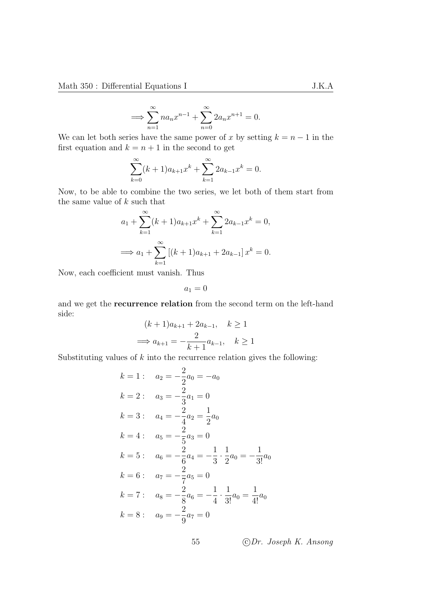$$
\implies \sum_{n=1}^{\infty} n a_n x^{n-1} + \sum_{n=0}^{\infty} 2 a_n x^{n+1} = 0.
$$

We can let both series have the same power of x by setting  $k = n - 1$  in the first equation and  $k = n + 1$  in the second to get

$$
\sum_{k=0}^{\infty} (k+1)a_{k+1}x^k + \sum_{k=1}^{\infty} 2a_{k-1}x^k = 0.
$$

Now, to be able to combine the two series, we let both of them start from the same value of  $k$  such that

$$
a_1 + \sum_{k=1}^{\infty} (k+1)a_{k+1}x^k + \sum_{k=1}^{\infty} 2a_{k-1}x^k = 0,
$$
  

$$
\implies a_1 + \sum_{k=1}^{\infty} [(k+1)a_{k+1} + 2a_{k-1}]x^k = 0.
$$

Now, each coefficient must vanish. Thus

$$
a_1 = 0
$$

and we get the recurrence relation from the second term on the left-hand side:

$$
(k+1)a_{k+1} + 2a_{k-1}, \quad k \ge 1
$$

$$
\implies a_{k+1} = -\frac{2}{k+1}a_{k-1}, \quad k \ge 1
$$

Substituting values of  $k$  into the recurrence relation gives the following:

$$
k = 1: \quad a_2 = -\frac{2}{2}a_0 = -a_0
$$
  
\n
$$
k = 2: \quad a_3 = -\frac{2}{3}a_1 = 0
$$
  
\n
$$
k = 3: \quad a_4 = -\frac{2}{4}a_2 = \frac{1}{2}a_0
$$
  
\n
$$
k = 4: \quad a_5 = -\frac{2}{5}a_3 = 0
$$
  
\n
$$
k = 5: \quad a_6 = -\frac{2}{6}a_4 = -\frac{1}{3} \cdot \frac{1}{2}a_0 = -\frac{1}{3!}a_0
$$
  
\n
$$
k = 6: \quad a_7 = -\frac{2}{7}a_5 = 0
$$
  
\n
$$
k = 7: \quad a_8 = -\frac{2}{8}a_6 = -\frac{1}{4} \cdot \frac{1}{3!}a_0 = \frac{1}{4!}a_0
$$
  
\n
$$
k = 8: \quad a_9 = -\frac{2}{9}a_7 = 0
$$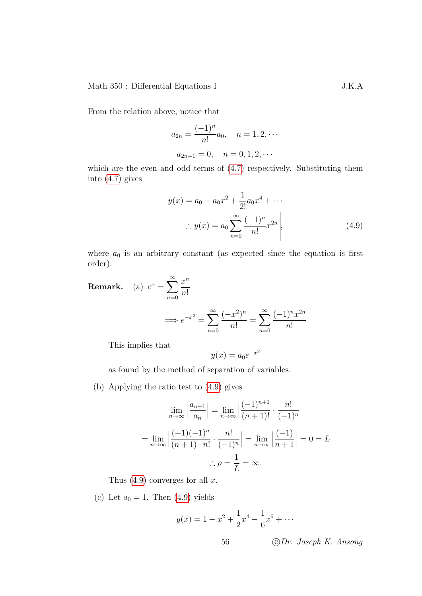From the relation above, notice that

$$
a_{2n} = \frac{(-1)^n}{n!} a_0, \quad n = 1, 2, \cdots
$$

$$
a_{2n+1} = 0, \quad n = 0, 1, 2, \cdots
$$

which are the even and odd terms of  $(4.7)$  respectively. Substituting them into [\(4.7\)](#page-57-0) gives

$$
y(x) = a_0 - a_0 x^2 + \frac{1}{2!} a_0 x^4 + \cdots
$$

$$
\therefore y(x) = a_0 \sum_{n=0}^{\infty} \frac{(-1)^n}{n!} x^{2n}, \qquad (4.9)
$$

where  $a_0$  is an arbitrary constant (as expected since the equation is first order).

**Remark.** (a)  $e^x = \sum_{n=1}^{\infty}$ 

$$
\implies e^{-x^2} = \sum_{n=0}^{\infty} \frac{(-x^2)^n}{n!} = \sum_{n=0}^{\infty} \frac{(-1)^n x^{2n}}{n!}
$$

This implies that

$$
y(x) = a_0 e^{-x^2}
$$

as found by the method of separation of variables.

(b) Applying the ratio test to [\(4.9\)](#page-59-0) gives

 $n=0$ 

 $x^n$  $n!$ 

$$
\lim_{n \to \infty} \left| \frac{a_{n+1}}{a_n} \right| = \lim_{n \to \infty} \left| \frac{(-1)^{n+1}}{(n+1)!} \cdot \frac{n!}{(-1)^n} \right|
$$

$$
= \lim_{n \to \infty} \left| \frac{(-1)(-1)^n}{(n+1) \cdot n!} \cdot \frac{n!}{(-1)^n} \right| = \lim_{n \to \infty} \left| \frac{(-1)}{n+1} \right| = 0 = L
$$

$$
\therefore \rho = \frac{1}{L} = \infty.
$$

Thus  $(4.9)$  converges for all x.

(c) Let  $a_0 = 1$ . Then  $(4.9)$  yields

$$
y(x) = 1 - x^2 + \frac{1}{2}x^4 - \frac{1}{6}x^6 + \dots
$$

<span id="page-59-0"></span>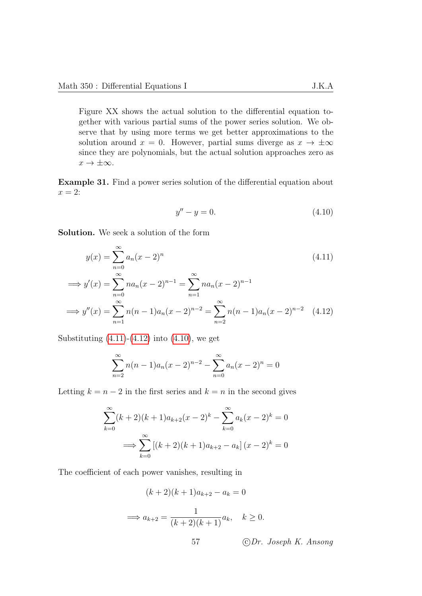Figure XX shows the actual solution to the differential equation together with various partial sums of the power series solution. We observe that by using more terms we get better approximations to the solution around  $x = 0$ . However, partial sums diverge as  $x \to \pm \infty$ since they are polynomials, but the actual solution approaches zero as  $x \to \pm \infty$ .

Example 31. Find a power series solution of the differential equation about  $x = 2$ :

<span id="page-60-2"></span><span id="page-60-1"></span><span id="page-60-0"></span>
$$
y'' - y = 0.\t\t(4.10)
$$

Solution. We seek a solution of the form

$$
y(x) = \sum_{n=0}^{\infty} a_n (x - 2)^n
$$
(4.11)  

$$
\implies y'(x) = \sum_{n=0}^{\infty} n a_n (x - 2)^{n-1} = \sum_{n=1}^{\infty} n a_n (x - 2)^{n-1}
$$
  

$$
\implies y''(x) = \sum_{n=1}^{\infty} n(n-1) a_n (x - 2)^{n-2} = \sum_{n=2}^{\infty} n(n-1) a_n (x - 2)^{n-2}
$$
(4.12)

Substituting  $(4.11)-(4.12)$  $(4.11)-(4.12)$  $(4.11)-(4.12)$  into  $(4.10)$ , we get

$$
\sum_{n=2}^{\infty} n(n-1)a_n(x-2)^{n-2} - \sum_{n=0}^{\infty} a_n(x-2)^n = 0
$$

Letting  $k = n - 2$  in the first series and  $k = n$  in the second gives

$$
\sum_{k=0}^{\infty} (k+2)(k+1)a_{k+2}(x-2)^k - \sum_{k=0}^{\infty} a_k(x-2)^k = 0
$$
  

$$
\implies \sum_{k=0}^{\infty} [(k+2)(k+1)a_{k+2} - a_k] (x-2)^k = 0
$$

The coefficient of each power vanishes, resulting in

(k + 2)(k + 1)ak+2 − a<sup>k</sup> = 0 =⇒ ak+2 = 1 (<sup>k</sup> + 2)(<sup>k</sup> + 1)ak, k <sup>≥</sup> <sup>0</sup>. 57 c Dr. Joseph K. Ansong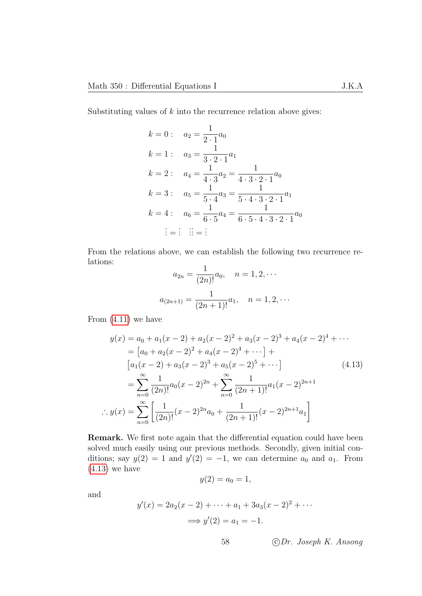Substituting values of  $k$  into the recurrence relation above gives:

$$
k = 0: \quad a_2 = \frac{1}{2 \cdot 1} a_0
$$
  
\n
$$
k = 1: \quad a_3 = \frac{1}{3 \cdot 2 \cdot 1} a_1
$$
  
\n
$$
k = 2: \quad a_4 = \frac{1}{4 \cdot 3} a_2 = \frac{1}{4 \cdot 3 \cdot 2 \cdot 1} a_0
$$
  
\n
$$
k = 3: \quad a_5 = \frac{1}{5 \cdot 4} a_3 = \frac{1}{5 \cdot 4 \cdot 3 \cdot 2 \cdot 1} a_1
$$
  
\n
$$
k = 4: \quad a_6 = \frac{1}{6 \cdot 5} a_4 = \frac{1}{6 \cdot 5 \cdot 4 \cdot 3 \cdot 2 \cdot 1} a_0
$$
  
\n
$$
\vdots = \vdots \quad \vdots = \vdots
$$

From the relations above, we can establish the following two recurrence relations: 1

$$
a_{2n} = \frac{1}{(2n)!} a_0, \quad n = 1, 2, \cdots
$$

$$
a_{(2n+1)} = \frac{1}{(2n+1)!} a_1, \quad n = 1, 2, \cdots
$$

From [\(4.11\)](#page-60-0) we have

$$
y(x) = a_0 + a_1(x - 2) + a_2(x - 2)^2 + a_3(x - 2)^3 + a_4(x - 2)^4 + \cdots
$$
  
\n
$$
= [a_0 + a_2(x - 2)^2 + a_4(x - 2)^4 + \cdots] +
$$
  
\n
$$
[a_1(x - 2) + a_3(x - 2)^3 + a_5(x - 2)^5 + \cdots]
$$
  
\n
$$
= \sum_{n=0}^{\infty} \frac{1}{(2n)!} a_0(x - 2)^{2n} + \sum_{n=0}^{\infty} \frac{1}{(2n+1)!} a_1(x - 2)^{2n+1}
$$
  
\n
$$
\therefore y(x) = \sum_{n=0}^{\infty} \left[ \frac{1}{(2n)!} (x - 2)^{2n} a_0 + \frac{1}{(2n+1)!} (x - 2)^{2n+1} a_1 \right]
$$
 (4.13)

Remark. We first note again that the differential equation could have been solved much easily using our previous methods. Secondly, given initial conditions; say  $y(2) = 1$  and  $y'(2) = -1$ , we can determine  $a_0$  and  $a_1$ . From [\(4.13\)](#page-61-0) we have

<span id="page-61-0"></span>
$$
y(2) = a_0 = 1,
$$

and

$$
y'(x) = 2a_2(x - 2) + \dots + a_1 + 3a_3(x - 2)^2 + \dots
$$
  
 $\implies y'(2) = a_1 = -1.$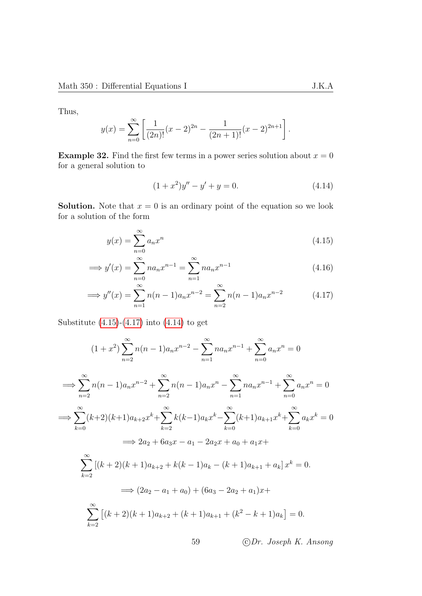Thus,

$$
y(x) = \sum_{n=0}^{\infty} \left[ \frac{1}{(2n)!} (x-2)^{2n} - \frac{1}{(2n+1)!} (x-2)^{2n+1} \right].
$$

**Example 32.** Find the first few terms in a power series solution about  $x = 0$ for a general solution to

<span id="page-62-2"></span><span id="page-62-1"></span><span id="page-62-0"></span>
$$
(1+x^2)y'' - y' + y = 0.
$$
\n(4.14)

**Solution.** Note that  $x = 0$  is an ordinary point of the equation so we look for a solution of the form

$$
y(x) = \sum_{n=0}^{\infty} a_n x^n
$$
\n(4.15)

$$
\implies y'(x) = \sum_{n=0}^{\infty} n a_n x^{n-1} = \sum_{n=1}^{\infty} n a_n x^{n-1}
$$
\n(4.16)

$$
\implies y''(x) = \sum_{n=1}^{\infty} n(n-1)a_n x^{n-2} = \sum_{n=2}^{\infty} n(n-1)a_n x^{n-2}
$$
 (4.17)

Substitute  $(4.15)-(4.17)$  $(4.15)-(4.17)$  $(4.15)-(4.17)$  into  $(4.14)$  to get

$$
(1+x^2)\sum_{n=2}^{\infty}n(n-1)a_n x^{n-2} - \sum_{n=1}^{\infty}na_n x^{n-1} + \sum_{n=0}^{\infty}a_n x^n = 0
$$
  
\n
$$
\implies \sum_{n=2}^{\infty}n(n-1)a_n x^{n-2} + \sum_{n=2}^{\infty}n(n-1)a_n x^n - \sum_{n=1}^{\infty}na_n x^{n-1} + \sum_{n=0}^{\infty}a_n x^n = 0
$$
  
\n
$$
\implies \sum_{k=0}^{\infty}(k+2)(k+1)a_{k+2}x^k + \sum_{k=2}^{\infty}k(k-1)a_k x^k - \sum_{k=0}^{\infty}(k+1)a_{k+1}x^k + \sum_{k=0}^{\infty}a_k x^k = 0
$$
  
\n
$$
\implies 2a_2 + 6a_3x - a_1 - 2a_2x + a_0 + a_1x +
$$
  
\n
$$
\sum_{k=2}^{\infty}[(k+2)(k+1)a_{k+2} + k(k-1)a_k - (k+1)a_{k+1} + a_k]x^k = 0.
$$
  
\n
$$
\implies (2a_2 - a_1 + a_0) + (6a_3 - 2a_2 + a_1)x +
$$
  
\n
$$
\sum_{k=2}^{\infty}[(k+2)(k+1)a_{k+2} + (k+1)a_{k+1} + (k^2 - k + 1)a_k] = 0.
$$
  
\n59 *CDr. Joseph K. Ansong*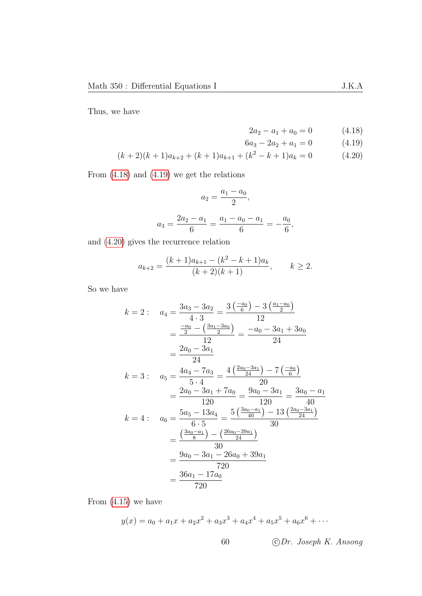Thus, we have

<span id="page-63-2"></span><span id="page-63-1"></span><span id="page-63-0"></span>
$$
2a_2 - a_1 + a_0 = 0 \tag{4.18}
$$

$$
6a_3 - 2a_2 + a_1 = 0 \tag{4.19}
$$

$$
(k+2)(k+1)a_{k+2} + (k+1)a_{k+1} + (k^2 - k + 1)a_k = 0
$$
\n(4.20)

From [\(4.18\)](#page-63-0) and [\(4.19\)](#page-63-1) we get the relations

$$
a_2 = \frac{a_1 - a_0}{2},
$$
  

$$
a_3 = \frac{2a_2 - a_1}{6} = \frac{a_1 - a_0 - a_1}{6} = -\frac{a_0}{6},
$$

and [\(4.20\)](#page-63-2) gives the recurrence relation

$$
a_{k+2} = \frac{(k+1)a_{k+1} - (k^2 - k + 1)a_k}{(k+2)(k+1)}, \qquad k \ge 2.
$$

So we have

$$
k = 2: \quad a_4 = \frac{3a_3 - 3a_2}{4 \cdot 3} = \frac{3(\frac{-a_0}{6}) - 3(\frac{a_1 - a_0}{2})}{12}
$$
  
\n
$$
= \frac{\frac{-a_0}{2} - (\frac{3a_1 - 3a_0}{2})}{12} = \frac{-a_0 - 3a_1 + 3a_0}{24}
$$
  
\n
$$
= \frac{2a_0 - 3a_1}{24}
$$
  
\n
$$
k = 3: \quad a_5 = \frac{4a_4 - 7a_3}{5 \cdot 4} = \frac{4(\frac{2a_0 - 3a_1}{24}) - 7(\frac{-a_0}{6})}{20}
$$
  
\n
$$
= \frac{2a_0 - 3a_1 + 7a_0}{120} = \frac{9a_0 - 3a_1}{120} = \frac{3a_0 - a_1}{40}
$$
  
\n
$$
k = 4: \quad a_6 = \frac{5a_5 - 13a_4}{6 \cdot 5} = \frac{5(\frac{3a_0 - a_1}{40}) - 13(\frac{2a_0 - 3a_1}{24})}{30}
$$
  
\n
$$
= \frac{(\frac{3a_0 - a_1}{8}) - (\frac{26a_0 - 39a_1}{24})}{30}
$$
  
\n
$$
= \frac{9a_0 - 3a_1 - 26a_0 + 39a_1}{720}
$$
  
\n
$$
= \frac{36a_1 - 17a_0}{720}
$$

From [\(4.15\)](#page-62-0) we have

$$
y(x) = a_0 + a_1x + a_2x^2 + a_3x^3 + a_4x^4 + a_5x^5 + a_6x^6 + \cdots
$$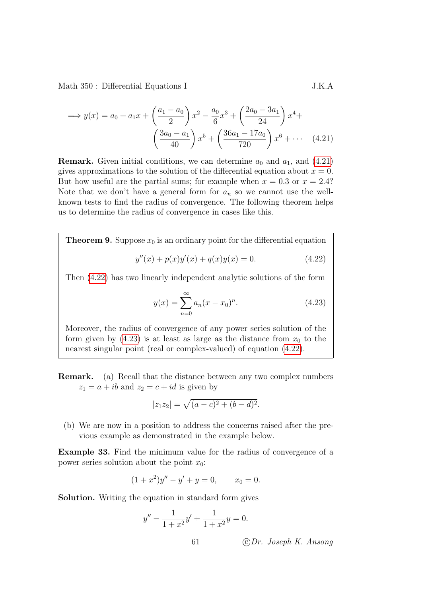$$
\implies y(x) = a_0 + a_1 x + \left(\frac{a_1 - a_0}{2}\right) x^2 - \frac{a_0}{6} x^3 + \left(\frac{2a_0 - 3a_1}{24}\right) x^4 + \left(\frac{3a_0 - a_1}{40}\right) x^5 + \left(\frac{36a_1 - 17a_0}{720}\right) x^6 + \cdots \quad (4.21)
$$

**Remark.** Given initial conditions, we can determine  $a_0$  and  $a_1$ , and  $(4.21)$ gives approximations to the solution of the differential equation about  $x = 0$ . But how useful are the partial sums; for example when  $x = 0.3$  or  $x = 2.4$ ? Note that we don't have a general form for  $a_n$  so we cannot use the wellknown tests to find the radius of convergence. The following theorem helps us to determine the radius of convergence in cases like this.

<span id="page-64-3"></span>**Theorem 9.** Suppose  $x_0$  is an ordinary point for the differential equation

<span id="page-64-0"></span>
$$
y''(x) + p(x)y'(x) + q(x)y(x) = 0.
$$
 (4.22)

Then [\(4.22\)](#page-64-1) has two linearly independent analytic solutions of the form

<span id="page-64-2"></span><span id="page-64-1"></span>
$$
y(x) = \sum_{n=0}^{\infty} a_n (x - x_0)^n.
$$
 (4.23)

Moreover, the radius of convergence of any power series solution of the form given by  $(4.23)$  is at least as large as the distance from  $x_0$  to the nearest singular point (real or complex-valued) of equation [\(4.22\)](#page-64-1).

Remark. (a) Recall that the distance between any two complex numbers  $z_1 = a + ib$  and  $z_2 = c + id$  is given by

$$
|z_1 z_2| = \sqrt{(a-c)^2 + (b-d)^2}.
$$

(b) We are now in a position to address the concerns raised after the previous example as demonstrated in the example below.

Example 33. Find the minimum value for the radius of convergence of a power series solution about the point  $x_0$ :

$$
(1+x^2)y'' - y' + y = 0, \qquad x_0 = 0.
$$

Solution. Writing the equation in standard form gives

$$
y'' - \frac{1}{1+x^2}y' + \frac{1}{1+x^2}y = 0.
$$
  
61 \t\tCDr. Joseph K. Ansong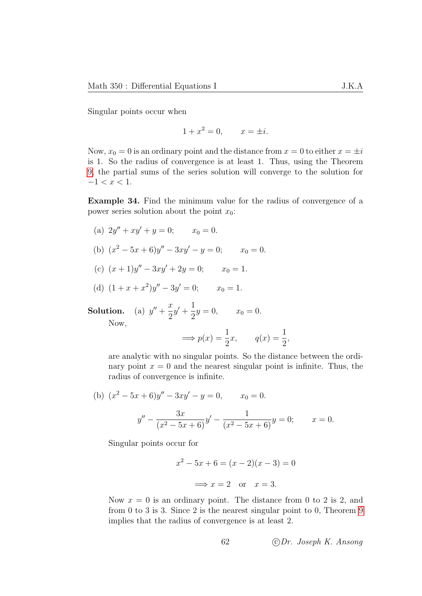Singular points occur when

$$
1 + x^2 = 0, \qquad x = \pm i.
$$

Now,  $x_0 = 0$  is an ordinary point and the distance from  $x = 0$  to either  $x = \pm i$ is 1. So the radius of convergence is at least 1. Thus, using the Theorem [9,](#page-64-3) the partial sums of the series solution will converge to the solution for  $-1 < x < 1$ .

Example 34. Find the minimum value for the radius of convergence of a power series solution about the point  $x_0$ :

- (a)  $2y'' + xy' + y = 0;$   $x_0 = 0.$
- (b)  $(x^2 5x + 6)y'' 3xy' y = 0;$   $x_0 = 0.$
- (c)  $(x+1)y'' 3xy' + 2y = 0;$   $x_0 = 1.$

(d) 
$$
(1 + x + x^2)y'' - 3y' = 0;
$$
  $x_0 = 1.$ 

**Solution.** (a)  $y'' + \frac{x}{2}$ 2  $y' + \frac{1}{2}$  $\frac{1}{2}y = 0,$   $x_0 = 0.$ Now,

$$
\implies p(x) = \frac{1}{2}x, \qquad q(x) = \frac{1}{2},
$$

are analytic with no singular points. So the distance between the ordinary point  $x = 0$  and the nearest singular point is infinite. Thus, the radius of convergence is infinite.

(b) 
$$
(x^2 - 5x + 6)y'' - 3xy' - y = 0
$$
,  $x_0 = 0$ .  

$$
y'' - \frac{3x}{(x^2 - 5x + 6)}y' - \frac{1}{(x^2 - 5x + 6)}y = 0;
$$

Singular points occur for

$$
x^{2} - 5x + 6 = (x - 2)(x - 3) = 0
$$
  

$$
\implies x = 2 \text{ or } x = 3.
$$

Now  $x = 0$  is an ordinary point. The distance from 0 to 2 is 2, and from 0 to 3 is 3. Since 2 is the nearest singular point to 0, Theorem [9](#page-64-3) implies that the radius of convergence is at least 2.

 $x = 0.$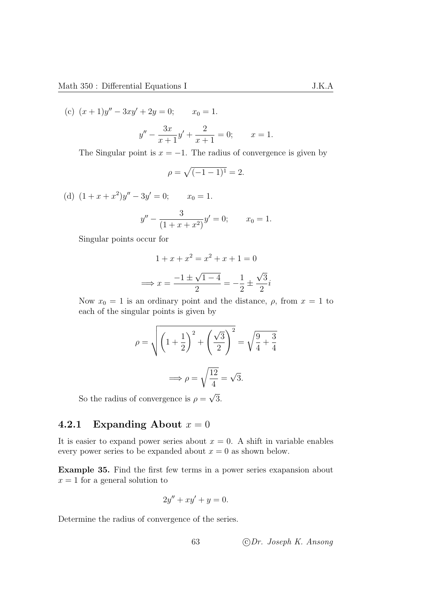(c)  $(x+1)y'' - 3xy' + 2y = 0;$   $x_0 = 1.$ 

$$
y'' - \frac{3x}{x+1}y' + \frac{2}{x+1} = 0; \qquad x = 1.
$$

The Singular point is  $x = -1$ . The radius of convergence is given by

$$
\rho = \sqrt{(-1 - 1)^1} = 2.
$$

(d)  $(1 + x + x^2)y'' - 3y' = 0;$   $x_0 = 1.$ 

$$
y'' - \frac{3}{(1+x+x^2)}y' = 0; \qquad x_0 = 1.
$$

Singular points occur for

$$
1 + x + x2 = x2 + x + 1 = 0
$$

$$
\implies x = \frac{-1 \pm \sqrt{1 - 4}}{2} = -\frac{1}{2} \pm \frac{\sqrt{3}}{2}i
$$

Now  $x_0 = 1$  is an ordinary point and the distance,  $\rho$ , from  $x = 1$  to each of the singular points is given by

$$
\rho = \sqrt{\left(1 + \frac{1}{2}\right)^2 + \left(\frac{\sqrt{3}}{2}\right)^2} = \sqrt{\frac{9}{4} + \frac{3}{4}}
$$

$$
\implies \rho = \sqrt{\frac{12}{4}} = \sqrt{3}.
$$

So the radius of convergence is  $\rho =$ 3.

# 4.2.1 Expanding About  $x = 0$

It is easier to expand power series about  $x = 0$ . A shift in variable enables every power series to be expanded about  $x = 0$  as shown below.

Example 35. Find the first few terms in a power series exapansion about  $x = 1$  for a general solution to

$$
2y'' + xy' + y = 0.
$$

Determine the radius of convergence of the series.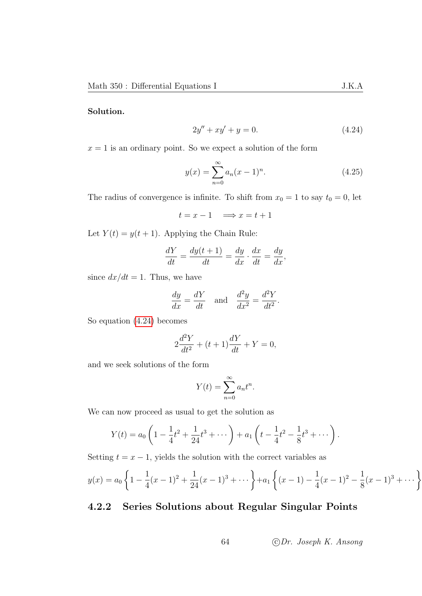#### Solution.

<span id="page-67-0"></span>
$$
2y'' + xy' + y = 0.\t\t(4.24)
$$

 $x = 1$  is an ordinary point. So we expect a solution of the form

$$
y(x) = \sum_{n=0}^{\infty} a_n (x - 1)^n.
$$
 (4.25)

The radius of convergence is infinite. To shift from  $x_0 = 1$  to say  $t_0 = 0$ , let

$$
t = x - 1 \quad \Longrightarrow x = t + 1
$$

Let  $Y(t) = y(t + 1)$ . Applying the Chain Rule:

$$
\frac{dY}{dt} = \frac{dy(t+1)}{dt} = \frac{dy}{dx} \cdot \frac{dx}{dt} = \frac{dy}{dx},
$$

since  $dx/dt = 1$ . Thus, we have

$$
\frac{dy}{dx} = \frac{dY}{dt} \quad \text{and} \quad \frac{d^2y}{dx^2} = \frac{d^2Y}{dt^2}.
$$

So equation [\(4.24\)](#page-67-0) becomes

$$
2\frac{d^2Y}{dt^2} + (t+1)\frac{dY}{dt} + Y = 0,
$$

and we seek solutions of the form

$$
Y(t) = \sum_{n=0}^{\infty} a_n t^n.
$$

We can now proceed as usual to get the solution as

$$
Y(t) = a_0 \left( 1 - \frac{1}{4}t^2 + \frac{1}{24}t^3 + \cdots \right) + a_1 \left( t - \frac{1}{4}t^2 - \frac{1}{8}t^3 + \cdots \right).
$$

Setting  $t = x - 1$ , yields the solution with the correct variables as

$$
y(x) = a_0 \left\{ 1 - \frac{1}{4}(x-1)^2 + \frac{1}{24}(x-1)^3 + \dots \right\} + a_1 \left\{ (x-1) - \frac{1}{4}(x-1)^2 - \frac{1}{8}(x-1)^3 + \dots \right\}
$$

### 4.2.2 Series Solutions about Regular Singular Points

64 c Dr. Joseph K. Ansong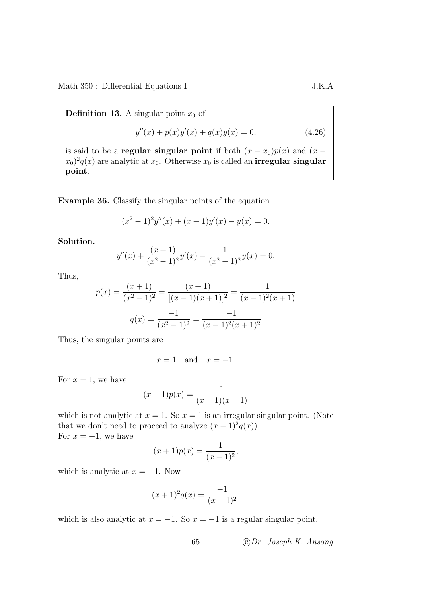**Definition 13.** A singular point  $x_0$  of

$$
y''(x) + p(x)y'(x) + q(x)y(x) = 0,
$$
\n(4.26)

is said to be a **regular singular point** if both  $(x - x_0)p(x)$  and  $(x (x_0)^2 q(x)$  are analytic at  $x_0$ . Otherwise  $x_0$  is called an **irregular singular** point.

<span id="page-68-0"></span>Example 36. Classify the singular points of the equation

$$
(x2 - 1)2y''(x) + (x + 1)y'(x) - y(x) = 0.
$$

Solution.

$$
y''(x) + \frac{(x+1)}{(x^2-1)^2}y'(x) - \frac{1}{(x^2-1)^2}y(x) = 0.
$$

Thus,

$$
p(x) = \frac{(x+1)}{(x^2-1)^2} = \frac{(x+1)}{[(x-1)(x+1)]^2} = \frac{1}{(x-1)^2(x+1)}
$$

$$
q(x) = \frac{-1}{(x^2-1)^2} = \frac{-1}{(x-1)^2(x+1)^2}
$$

Thus, the singular points are

 $x = 1$  and  $x = -1$ .

For  $x = 1$ , we have

$$
(x-1)p(x) = \frac{1}{(x-1)(x+1)}
$$

which is not analytic at  $x = 1$ . So  $x = 1$  is an irregular singular point. (Note that we don't need to proceed to analyze  $(x-1)^2q(x)$ . For  $x = -1$ , we have

$$
(x+1)p(x) = \frac{1}{(x-1)^2},
$$

which is analytic at  $x = -1$ . Now

$$
(x+1)^2 q(x) = \frac{-1}{(x-1)^2},
$$

which is also analytic at  $x = -1$ . So  $x = -1$  is a regular singular point.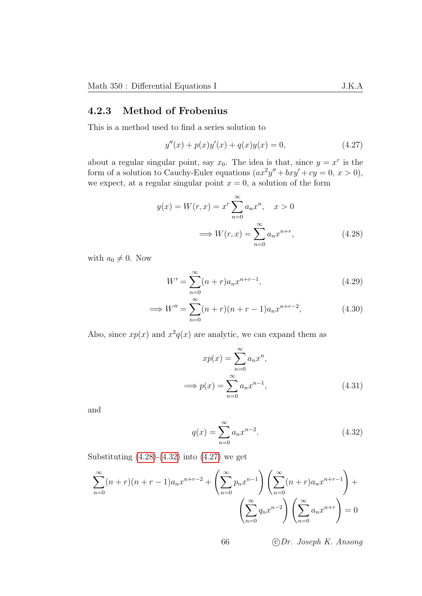### 4.2.3 Method of Frobenius

This is a method used to find a series solution to

<span id="page-69-2"></span>
$$
y''(x) + p(x)y'(x) + q(x)y(x) = 0,
$$
\n(4.27)

about a regular singular point, say  $x_0$ . The idea is that, since  $y = x^r$  is the form of a solution to Cauchy-Euler equations  $(ax^2y'' + bxy' + cy = 0, x > 0)$ , we expect, at a regular singular point  $x = 0$ , a solution of the form

$$
y(x) = W(r, x) = x^r \sum_{n=0}^{\infty} a_n x^n, \quad x > 0
$$

$$
\implies W(r, x) = \sum_{n=0}^{\infty} a_n x^{n+r}, \quad (4.28)
$$

with  $a_0 \neq 0$ . Now

<span id="page-69-0"></span>
$$
W' = \sum_{n=0}^{\infty} (n+r)a_n x^{n+r-1},
$$
\n(4.29)

$$
\implies W'' = \sum_{n=0}^{\infty} (n+r)(n+r-1)a_n x^{n+r-2},
$$
\n(4.30)

Also, since  $xp(x)$  and  $x^2q(x)$  are analytic, we can expand them as

$$
xp(x) = \sum_{n=0}^{\infty} a_n x^n,
$$
  

$$
\implies p(x) = \sum_{n=0}^{\infty} a_n x^{n-1},
$$
 (4.31)

and

<span id="page-69-1"></span>
$$
q(x) = \sum_{n=0}^{\infty} a_n x^{n-2}.
$$
 (4.32)

Substituting  $(4.28)-(4.32)$  $(4.28)-(4.32)$  $(4.28)-(4.32)$  into  $(4.27)$  we get

$$
\sum_{n=0}^{\infty} (n+r)(n+r-1)a_n x^{n+r-2} + \left(\sum_{n=0}^{\infty} p_n x^{n-1}\right) \left(\sum_{n=0}^{\infty} (n+r)a_n x^{n+r-1}\right) + \left(\sum_{n=0}^{\infty} q_n x^{n-2}\right) \left(\sum_{n=0}^{\infty} a_n x^{n+r}\right) = 0
$$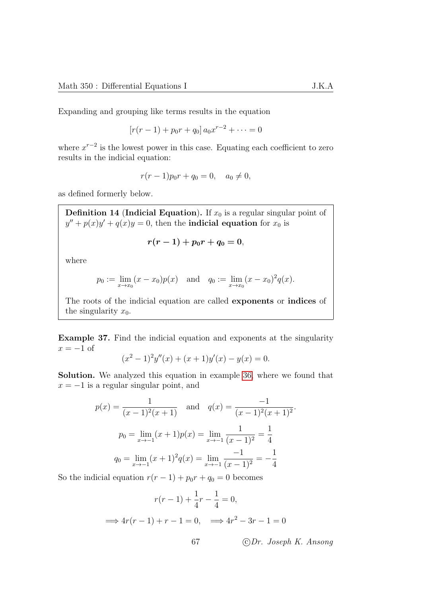Expanding and grouping like terms results in the equation

$$
[r(r-1) + p_0r + q_0] a_0x^{r-2} + \cdots = 0
$$

where  $x^{r-2}$  is the lowest power in this case. Equating each coefficient to zero results in the indicial equation:

$$
r(r-1)p_0r + q_0 = 0, \quad a_0 \neq 0,
$$

as defined formerly below.

**Definition 14 (Indicial Equation).** If  $x_0$  is a regular singular point of  $y'' + p(x)y' + q(x)y = 0$ , then the **indicial equation** for  $x_0$  is

$$
r(r-1) + p_0r + q_0 = 0,
$$

where

$$
p_0 := \lim_{x \to x_0} (x - x_0)p(x)
$$
 and  $q_0 := \lim_{x \to x_0} (x - x_0)^2 q(x)$ .

The roots of the indicial equation are called exponents or indices of the singularity  $x_0$ .

Example 37. Find the indicial equation and exponents at the singularity  $x = -1$  of

$$
(x2 - 1)2y''(x) + (x + 1)y'(x) - y(x) = 0.
$$

Solution. We analyzed this equation in example [36,](#page-68-0) where we found that  $x = -1$  is a regular singular point, and

$$
p(x) = \frac{1}{(x-1)^2(x+1)} \text{ and } q(x) = \frac{-1}{(x-1)^2(x+1)^2}.
$$
  

$$
p_0 = \lim_{x \to -1} (x+1)p(x) = \lim_{x \to -1} \frac{1}{(x-1)^2} = \frac{1}{4}
$$
  

$$
q_0 = \lim_{x \to -1} (x+1)^2 q(x) = \lim_{x \to -1} \frac{-1}{(x-1)^2} = -\frac{1}{4}
$$

So the indicial equation  $r(r-1) + p_0r + q_0 = 0$  becomes

$$
r(r-1) + \frac{1}{4}r - \frac{1}{4} = 0,
$$
  

$$
\implies 4r(r-1) + r - 1 = 0, \implies 4r^2 - 3r - 1 = 0
$$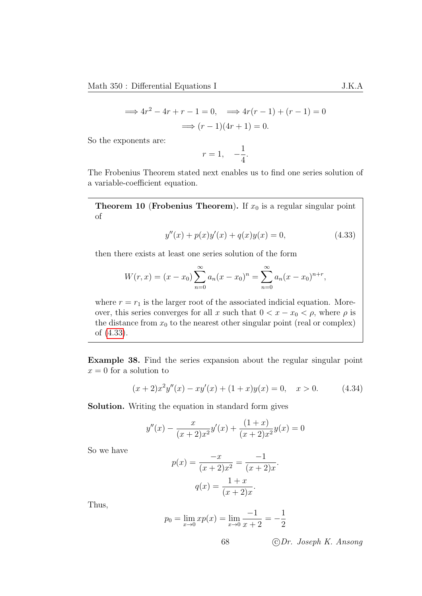$$
\implies 4r^2 - 4r + r - 1 = 0, \implies 4r(r - 1) + (r - 1) = 0
$$
  

$$
\implies (r - 1)(4r + 1) = 0.
$$

So the exponents are:

<span id="page-71-0"></span>
$$
r=1, \quad -\frac{1}{4}.
$$

The Frobenius Theorem stated next enables us to find one series solution of a variable-coefficient equation.

**Theorem 10 (Frobenius Theorem).** If  $x_0$  is a regular singular point of

$$
y''(x) + p(x)y'(x) + q(x)y(x) = 0,
$$
\n(4.33)

then there exists at least one series solution of the form

$$
W(r,x) = (x - x_0) \sum_{n=0}^{\infty} a_n (x - x_0)^n = \sum_{n=0}^{\infty} a_n (x - x_0)^{n+r},
$$

where  $r = r_1$  is the larger root of the associated indicial equation. Moreover, this series converges for all x such that  $0 < x - x_0 < \rho$ , where  $\rho$  is the distance from  $x_0$  to the nearest other singular point (real or complex) of [\(4.33\)](#page-71-0).

Example 38. Find the series expansion about the regular singular point  $x = 0$  for a solution to

$$
(x+2)x^{2}y''(x) - xy'(x) + (1+x)y(x) = 0, \quad x > 0.
$$
 (4.34)

Solution. Writing the equation in standard form gives

$$
y''(x) - \frac{x}{(x+2)x^2}y'(x) + \frac{(1+x)}{(x+2)x^2}y(x) = 0
$$

So we have

$$
p(x) = \frac{-x}{(x+2)x^2} = \frac{-1}{(x+2)x}.
$$

$$
q(x) = \frac{1+x}{(x+2)x}.
$$

Thus,

$$
p_0 = \lim_{x \to 0} x p(x) = \lim_{x \to 0} \frac{-1}{x+2} = -\frac{1}{2}
$$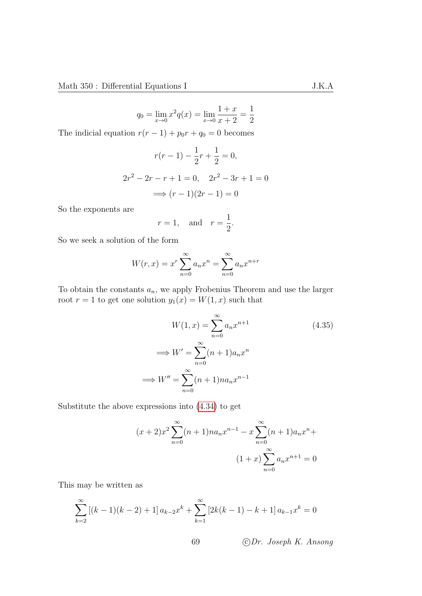$$
q_0 = \lim_{x \to 0} x^2 q(x) = \lim_{x \to 0} \frac{1+x}{x+2} = \frac{1}{2}
$$

The indicial equation  $r(r-1) + p_0r + q_0 = 0$  becomes

$$
r(r-1) - \frac{1}{2}r + \frac{1}{2} = 0,
$$
  

$$
2r^2 - 2r - r + 1 = 0, \quad 2r^2 - 3r + 1 = 0
$$
  

$$
\implies (r-1)(2r - 1) = 0
$$

So the exponents are

$$
r = 1, \quad \text{and} \quad r = \frac{1}{2}.
$$

So we seek a solution of the form

$$
W(r, x) = x^r \sum_{n=0}^{\infty} a_n x^n = \sum_{n=0}^{\infty} a_n x^{n+r}
$$

To obtain the constants  $a_n$ , we apply Frobenius Theorem and use the larger root  $r = 1$  to get one solution  $y_1(x) = W(1, x)$  such that

<span id="page-72-0"></span>
$$
W(1, x) = \sum_{n=0}^{\infty} a_n x^{n+1}
$$
\n
$$
\implies W' = \sum_{n=0}^{\infty} (n+1) a_n x^n
$$
\n
$$
\implies W'' = \sum_{n=0}^{\infty} (n+1) n a_n x^{n-1}
$$
\n(4.35)

Substitute the above expressions into [\(4.34\)](#page-71-0) to get

$$
(x+2)x^{2} \sum_{n=0}^{\infty} (n+1)na_{n}x^{n-1} - x \sum_{n=0}^{\infty} (n+1)a_{n}x^{n} +
$$

$$
(1+x) \sum_{n=0}^{\infty} a_{n}x^{n+1} = 0
$$

This may be written as

$$
\sum_{k=2}^{\infty} \left[ (k-1)(k-2) + 1 \right] a_{k-2} x^k + \sum_{k=1}^{\infty} \left[ 2k(k-1) - k + 1 \right] a_{k-1} x^k = 0
$$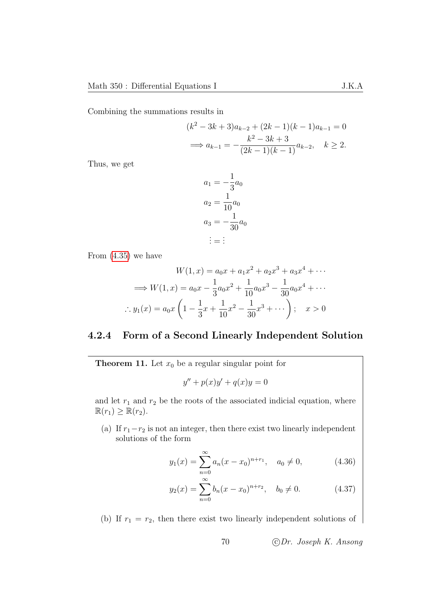Combining the summations results in

$$
(k2 - 3k + 3)ak-2 + (2k - 1)(k - 1)ak-1 = 0
$$
  

$$
\implies ak-1 = -\frac{k2 - 3k + 3}{(2k - 1)(k - 1)}ak-2, \quad k \ge 2.
$$

Thus, we get

$$
a_1 = -\frac{1}{3}a_0
$$
  
\n
$$
a_2 = \frac{1}{10}a_0
$$
  
\n
$$
a_3 = -\frac{1}{30}a_0
$$
  
\n
$$
\vdots = \vdots
$$

From [\(4.35\)](#page-72-0) we have

$$
W(1, x) = a_0 x + a_1 x^2 + a_2 x^3 + a_3 x^4 + \cdots
$$
  
\n
$$
\implies W(1, x) = a_0 x - \frac{1}{3} a_0 x^2 + \frac{1}{10} a_0 x^3 - \frac{1}{30} a_0 x^4 + \cdots
$$
  
\n
$$
\therefore y_1(x) = a_0 x \left( 1 - \frac{1}{3} x + \frac{1}{10} x^2 - \frac{1}{30} x^3 + \cdots \right); \quad x > 0
$$

### 4.2.4 Form of a Second Linearly Independent Solution

**Theorem 11.** Let  $x_0$  be a regular singular point for

 $y'' + p(x)y' + q(x)y = 0$ 

and let  $r_1$  and  $r_2$  be the roots of the associated indicial equation, where  $\mathbb{R}(r_1) \geq \mathbb{R}(r_2).$ 

(a) If  $r_1-r_2$  is not an integer, then there exist two linearly independent solutions of the form

$$
y_1(x) = \sum_{n=0}^{\infty} a_n (x - x_0)^{n+r_1}, \quad a_0 \neq 0,
$$
 (4.36)

$$
y_2(x) = \sum_{n=0}^{\infty} b_n (x - x_0)^{n+r_2}, \quad b_0 \neq 0.
$$
 (4.37)

(b) If  $r_1 = r_2$ , then there exist two linearly independent solutions of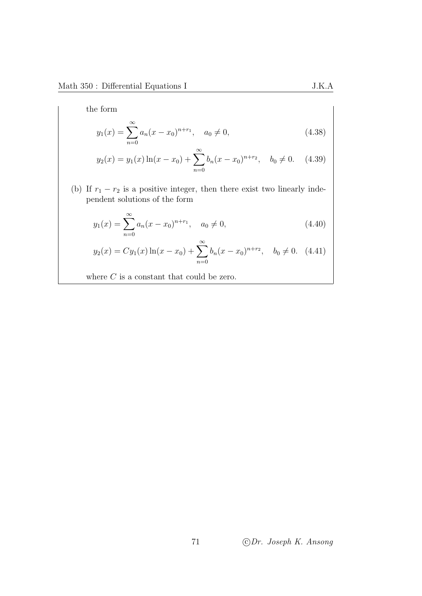the form

$$
y_1(x) = \sum_{n=0}^{\infty} a_n (x - x_0)^{n+r_1}, \quad a_0 \neq 0,
$$
\n(4.38)

$$
y_2(x) = y_1(x) \ln(x - x_0) + \sum_{n=0}^{\infty} b_n(x - x_0)^{n+r_2}, \quad b_0 \neq 0. \quad (4.39)
$$

(b) If  $r_1 - r_2$  is a positive integer, then there exist two linearly independent solutions of the form

$$
y_1(x) = \sum_{n=0}^{\infty} a_n (x - x_0)^{n+r_1}, \quad a_0 \neq 0,
$$
\n(4.40)

$$
y_2(x) = Cy_1(x)\ln(x - x_0) + \sum_{n=0}^{\infty} b_n(x - x_0)^{n+r_2}, \quad b_0 \neq 0. \tag{4.41}
$$

where  $C$  is a constant that could be zero.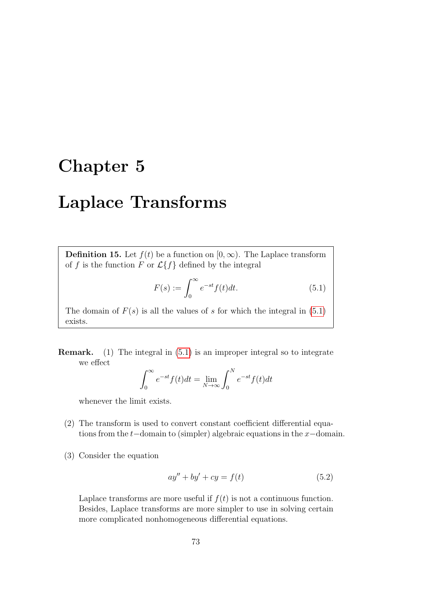## Chapter 5

## Laplace Transforms

**Definition 15.** Let  $f(t)$  be a function on  $[0, \infty)$ . The Laplace transform of f is the function F or  $\mathcal{L}{f}$  defined by the integral

<span id="page-76-0"></span>
$$
F(s) := \int_0^\infty e^{-st} f(t) dt.
$$
\n(5.1)

The domain of  $F(s)$  is all the values of s for which the integral in [\(5.1\)](#page-76-0) exists.

Remark. (1) The integral in [\(5.1\)](#page-76-0) is an improper integral so to integrate we effect

$$
\int_0^\infty e^{-st} f(t) dt = \lim_{N \to \infty} \int_0^N e^{-st} f(t) dt
$$

whenever the limit exists.

- (2) The transform is used to convert constant coefficient differential equations from the t−domain to (simpler) algebraic equations in the x−domain.
- (3) Consider the equation

$$
ay'' + by' + cy = f(t)
$$
\n
$$
(5.2)
$$

Laplace transforms are more useful if  $f(t)$  is not a continuous function. Besides, Laplace transforms are more simpler to use in solving certain more complicated nonhomogeneous differential equations.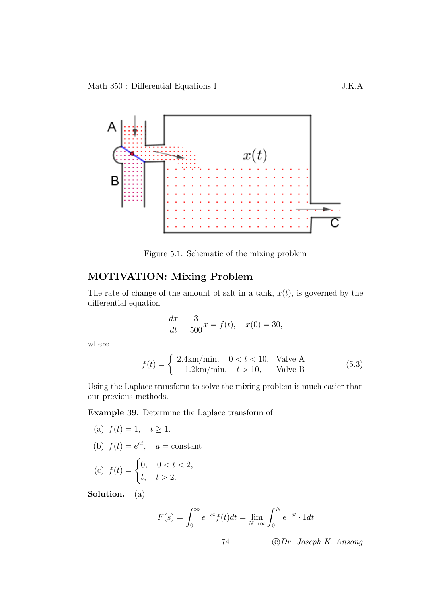

Figure 5.1: Schematic of the mixing problem

#### MOTIVATION: Mixing Problem

The rate of change of the amount of salt in a tank,  $x(t)$ , is governed by the differential equation

$$
\frac{dx}{dt} + \frac{3}{500}x = f(t), \quad x(0) = 30,
$$

where

$$
f(t) = \begin{cases} 2.4 \text{km/min}, & 0 < t < 10, \text{Value A} \\ 1.2 \text{km/min}, & t > 10, \text{Value B} \end{cases} \tag{5.3}
$$

Using the Laplace transform to solve the mixing problem is much easier than our previous methods.

Example 39. Determine the Laplace transform of

(a) 
$$
f(t) = 1
$$
,  $t \ge 1$ .  
\n(b)  $f(t) = e^{at}$ ,  $a = \text{constant}$   
\n(c)  $f(t) = \begin{cases} 0, & 0 < t < 2, \\ t, & t > 2. \end{cases}$ 

Solution. (a)

$$
F(s) = \int_0^\infty e^{-st} f(t) dt = \lim_{N \to \infty} \int_0^N e^{-st} \cdot 1 dt
$$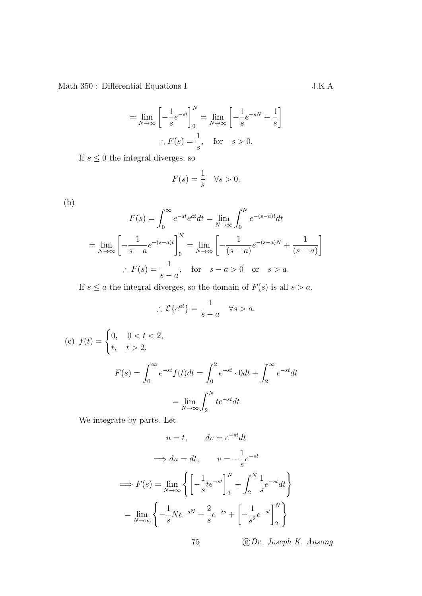$$
= \lim_{N \to \infty} \left[ -\frac{1}{s} e^{-st} \right]_0^N = \lim_{N \to \infty} \left[ -\frac{1}{s} e^{-sN} + \frac{1}{s} \right]
$$

$$
\therefore F(s) = \frac{1}{s}, \text{ for } s > 0.
$$

If  $s \leq 0$  the integral diverges, so

$$
F(s) = \frac{1}{s} \quad \forall s > 0.
$$

(b)

$$
F(s) = \int_0^\infty e^{-st} e^{at} dt = \lim_{N \to \infty} \int_0^N e^{-(s-a)t} dt
$$

$$
= \lim_{N \to \infty} \left[ -\frac{1}{s-a} e^{-(s-a)t} \right]_0^N = \lim_{N \to \infty} \left[ -\frac{1}{(s-a)} e^{-(s-a)N} + \frac{1}{(s-a)} \right]
$$

$$
\therefore F(s) = \frac{1}{s-a}, \quad \text{for} \quad s-a > 0 \quad \text{or} \quad s > a.
$$

If  $s \le a$  the integral diverges, so the domain of  $F(s)$  is all  $s > a$ .

$$
\therefore \mathcal{L}\{e^{at}\} = \frac{1}{s-a} \quad \forall s > a.
$$

(c) 
$$
f(t) = \begin{cases} 0, & 0 < t < 2, \\ t, & t > 2. \end{cases}
$$
  

$$
F(s) = \int_0^\infty e^{-st} f(t) dt = \int_0^2 e^{-st} \cdot 0 dt + \int_2^\infty e^{-st} dt
$$

$$
= \lim_{N \to \infty} \int_2^N t e^{-st} dt
$$

We integrate by parts. Let

$$
u = t, \qquad dv = e^{-st}dt
$$

$$
\implies du = dt, \qquad v = -\frac{1}{s}e^{-st}
$$

$$
\implies F(s) = \lim_{N \to \infty} \left\{ \left[ -\frac{1}{s}te^{-st} \right]_2^N + \int_2^N \frac{1}{s}e^{-st}dt \right\}
$$

$$
= \lim_{N \to \infty} \left\{ -\frac{1}{s}Ne^{-sN} + \frac{2}{s}e^{-2s} + \left[ -\frac{1}{s^2}e^{-st} \right]_2^N \right\}
$$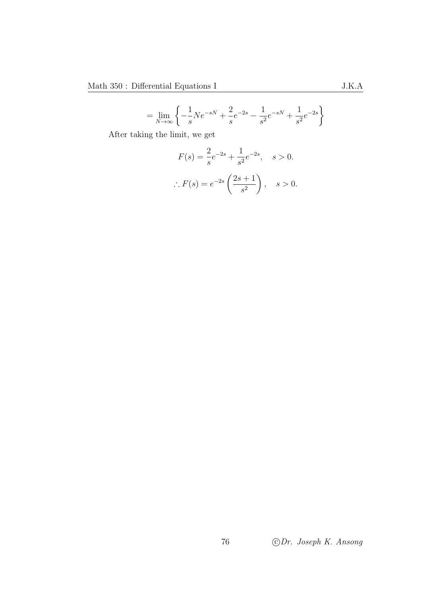$=\lim_{N\to\infty}\left\{-\frac{1}{s}\right\}$ s  $Ne^{-sN} + \frac{2}{s}$ s  $e^{-2s} - \frac{1}{a}$  $\frac{1}{s^2}e^{-sN} + \frac{1}{s^2}$  $\frac{1}{s^2}e^{-2s}$ 

After taking the limit, we get

$$
F(s) = \frac{2}{s}e^{-2s} + \frac{1}{s^2}e^{-2s}, \quad s > 0.
$$
  
 
$$
\therefore F(s) = e^{-2s} \left(\frac{2s+1}{s^2}\right), \quad s > 0.
$$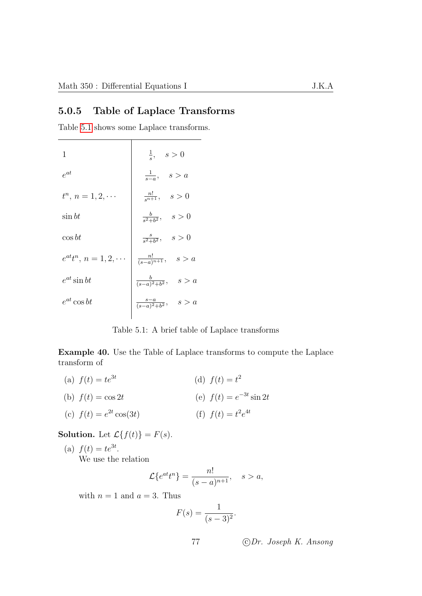#### 5.0.5 Table of Laplace Transforms

Table [5.1](#page-80-0) shows some Laplace transforms.

| 1                             | $\frac{1}{s}, \quad s > 0$             |
|-------------------------------|----------------------------------------|
| $e^{at}$                      | $\frac{1}{s-a}, \quad s > a$           |
| $t^n, n = 1, 2, \cdots$       | $\frac{n!}{s^{n+1}}, \quad s > 0$      |
| $\sin bt$                     | $\frac{b}{s^2+b^2}, \quad s>0$         |
| $\cos bt$                     | $\frac{s}{s^2+b^2}, \quad s>0$         |
| $e^{at}t^n, n = 1, 2, \cdots$ | $\frac{n!}{(s-a)^{n+1}}, \quad s > a$  |
| $e^{at}\sin bt$               | $\frac{b}{(s-a)^2 + b^2}, \quad s > a$ |
| $e^{at}\cos bt$               | $\frac{s-a}{(s-a)^2+b^2}, \quad s > a$ |
|                               |                                        |

<span id="page-80-0"></span>Table 5.1: A brief table of Laplace transforms

Example 40. Use the Table of Laplace transforms to compute the Laplace transform of

(a)  $f(t) = te^{3t}$ (b)  $f(t) = \cos 2t$ (c)  $f(t) = e^{2t} \cos(3t)$ (d)  $f(t) = t^2$ (e)  $f(t) = e^{-3t} \sin 2t$ (f)  $f(t) = t^2 e^{4t}$ 

**Solution.** Let  $\mathcal{L}{f(t)} = F(s)$ .

(a)  $f(t) = te^{3t}$ . We use the relation

$$
\mathcal{L}\lbrace e^{at}t^n\rbrace = \frac{n!}{(s-a)^{n+1}}, \quad s > a,
$$

with  $n = 1$  and  $a = 3$ . Thus

$$
F(s) = \frac{1}{(s-3)^2}.
$$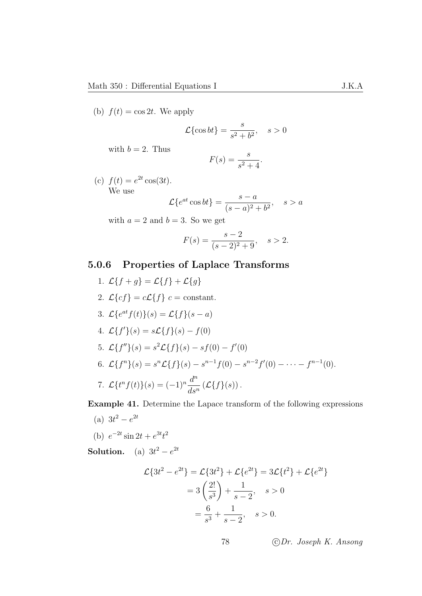(b)  $f(t) = \cos 2t$ . We apply

$$
\mathcal{L}\{\cos bt\} = \frac{s}{s^2 + b^2}, \quad s > 0
$$

with  $b = 2$ . Thus

$$
F(s) = \frac{s}{s^2 + 4}.
$$

(c)  $f(t) = e^{2t} \cos(3t)$ . We use

$$
\mathcal{L}\lbrace e^{at}\cos bt\rbrace = \frac{s-a}{(s-a)^2 + b^2}, \quad s > a
$$

with  $a = 2$  and  $b = 3$ . So we get

$$
F(s) = \frac{s-2}{(s-2)^2 + 9}, \quad s > 2.
$$

#### 5.0.6 Properties of Laplace Transforms

1.  $\mathcal{L}{f+g} = \mathcal{L}{f} + \mathcal{L}{g}$ 2.  $\mathcal{L}{cf} = c\mathcal{L}{f}$   $c = \text{constant}$ . 3.  $\mathcal{L}\{e^{at}f(t)\}(s) = \mathcal{L}\{f\}(s-a)$ 4.  $\mathcal{L}{f}'(s) = s\mathcal{L}{f}(s) - f(0)$ 5.  $\mathcal{L}\lbrace f'' \rbrace (s) = s^2 \mathcal{L}\lbrace f \rbrace (s) - sf(0) - f'(0)$ 6.  $\mathcal{L}\lbrace f^n \rbrace (s) = s^n \mathcal{L}\lbrace f \rbrace (s) - s^{n-1} f(0) - s^{n-2} f'(0) - \cdots - f^{n-1}(0).$ 7.  $\mathcal{L}\lbrace t^n f(t) \rbrace (s) = (-1)^n \frac{d^n}{dt^n}$  $ds^n$  $(\mathcal{L}{f}(s))$ .

Example 41. Determine the Lapace transform of the following expressions

(a)  $3t^2 - e^{2t}$ 

(b) 
$$
e^{-2t} \sin 2t + e^{3t}t^2
$$

**Solution.** (a)  $3t^2 - e^{2t}$ 

$$
\mathcal{L}\{3t^2 - e^{2t}\} = \mathcal{L}\{3t^2\} + \mathcal{L}\{e^{2t}\} = 3\mathcal{L}\{t^2\} + \mathcal{L}\{e^{2t}\}
$$

$$
= 3\left(\frac{2!}{s^3}\right) + \frac{1}{s-2}, \quad s > 0
$$

$$
= \frac{6}{s^3} + \frac{1}{s-2}, \quad s > 0.
$$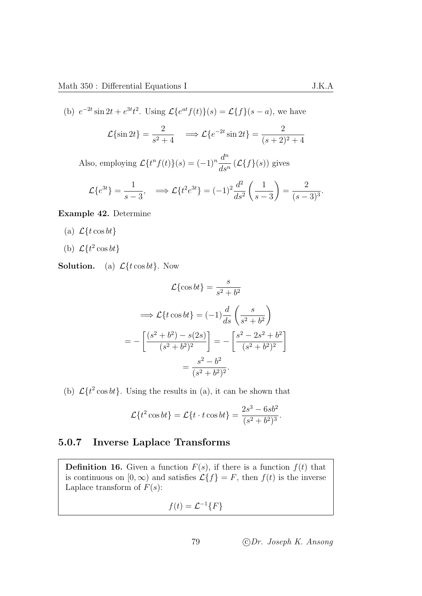(b) 
$$
e^{-2t} \sin 2t + e^{3t}t^2
$$
. Using  $\mathcal{L}\{e^{at}f(t)\}(s) = \mathcal{L}\{f\}(s-a)$ , we have  

$$
\mathcal{L}\{\sin 2t\} = \frac{2}{s^2 + 4} \implies \mathcal{L}\{e^{-2t} \sin 2t\} = \frac{2}{(s+2)^2 + 4}
$$

Also, employing  $\mathcal{L}\lbrace t^n f(t) \rbrace (s) = (-1)^n \frac{d^n}{dt^n}$  $ds^n$  $(\mathcal{L}{f}(s))$  gives

$$
\mathcal{L}\{e^{3t}\} = \frac{1}{s-3}, \quad \Longrightarrow \mathcal{L}\{t^2e^{3t}\} = (-1)^2\frac{d^2}{ds^2}\left(\frac{1}{s-3}\right) = \frac{2}{(s-3)^3}.
$$

Example 42. Determine

- (a)  $\mathcal{L}\lbrace t \cos bt \rbrace$
- (b)  $\mathcal{L}\lbrace t^2 \cos bt \rbrace$

**Solution.** (a)  $\mathcal{L}\lbrace t \cos bt \rbrace$ . Now

$$
\mathcal{L}\{\cos bt\} = \frac{s}{s^2 + b^2}
$$

$$
\implies \mathcal{L}\{t\cos bt\} = (-1)\frac{d}{ds}\left(\frac{s}{s^2 + b^2}\right)
$$

$$
= -\left[\frac{(s^2 + b^2) - s(2s)}{(s^2 + b^2)^2}\right] = -\left[\frac{s^2 - 2s^2 + b^2}{(s^2 + b^2)^2}\right]
$$

$$
= \frac{s^2 - b^2}{(s^2 + b^2)^2}.
$$

(b)  $\mathcal{L}\lbrace t^2 \cos bt \rbrace$ . Using the results in (a), it can be shown that

$$
\mathcal{L}\lbrace t^2 \cos bt \rbrace = \mathcal{L}\lbrace t \cdot t \cos bt \rbrace = \frac{2s^3 - 6sb^2}{(s^2 + b^2)^3}.
$$

#### 5.0.7 Inverse Laplace Transforms

**Definition 16.** Given a function  $F(s)$ , if there is a function  $f(t)$  that is continuous on  $[0, \infty)$  and satisfies  $\mathcal{L}{f} = F$ , then  $f(t)$  is the inverse Laplace transform of  $F(s)$ :

$$
f(t) = \mathcal{L}^{-1}{F}
$$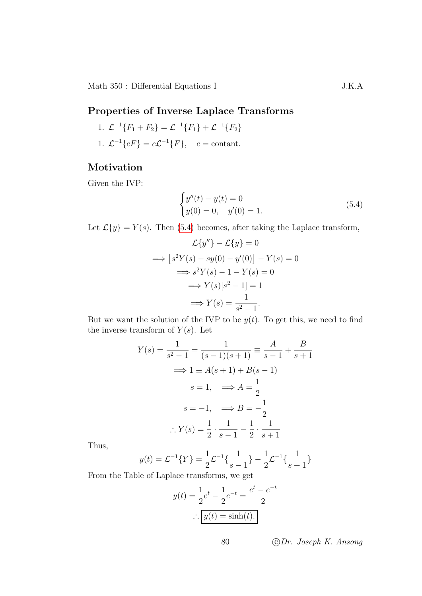#### Properties of Inverse Laplace Transforms

1. 
$$
\mathcal{L}^{-1}{F_1 + F_2} = \mathcal{L}^{-1}{F_1} + \mathcal{L}^{-1}{F_2}
$$

1.  $\mathcal{L}^{-1}{cF} = c\mathcal{L}^{-1}{F}$ ,  $c = \text{constant}$ .

#### Motivation

Given the IVP:

<span id="page-83-0"></span>
$$
\begin{cases}\ny''(t) - y(t) = 0 \\
y(0) = 0, \quad y'(0) = 1.\n\end{cases}
$$
\n(5.4)

Let  $\mathcal{L}{y} = Y(s)$ . Then [\(5.4\)](#page-83-0) becomes, after taking the Laplace transform,

$$
\mathcal{L}{y''} - \mathcal{L}{y} = 0
$$
  
\n
$$
\implies [s^2Y(s) - sy(0) - y'(0)] - Y(s) = 0
$$
  
\n
$$
\implies s^2Y(s) - 1 - Y(s) = 0
$$
  
\n
$$
\implies Y(s)[s^2 - 1] = 1
$$
  
\n
$$
\implies Y(s) = \frac{1}{s^2 - 1}.
$$

But we want the solution of the IVP to be  $y(t)$ . To get this, we need to find the inverse transform of  $Y(s)$ . Let

$$
Y(s) = \frac{1}{s^2 - 1} = \frac{1}{(s - 1)(s + 1)} \equiv \frac{A}{s - 1} + \frac{B}{s + 1}
$$
  
\n
$$
\implies 1 \equiv A(s + 1) + B(s - 1)
$$
  
\n
$$
s = 1, \implies A = \frac{1}{2}
$$
  
\n
$$
s = -1, \implies B = -\frac{1}{2}
$$
  
\n
$$
\therefore Y(s) = \frac{1}{2} \cdot \frac{1}{s - 1} - \frac{1}{2} \cdot \frac{1}{s + 1}
$$

Thus,

$$
y(t) = \mathcal{L}^{-1}{Y} = \frac{1}{2}\mathcal{L}^{-1}\left\{\frac{1}{s-1}\right\} - \frac{1}{2}\mathcal{L}^{-1}\left\{\frac{1}{s+1}\right\}
$$

From the Table of Laplace transforms, we get

$$
y(t) = \frac{1}{2}e^t - \frac{1}{2}e^{-t} = \frac{e^t - e^{-t}}{2}
$$

$$
\therefore \boxed{y(t) = \sinh(t).}
$$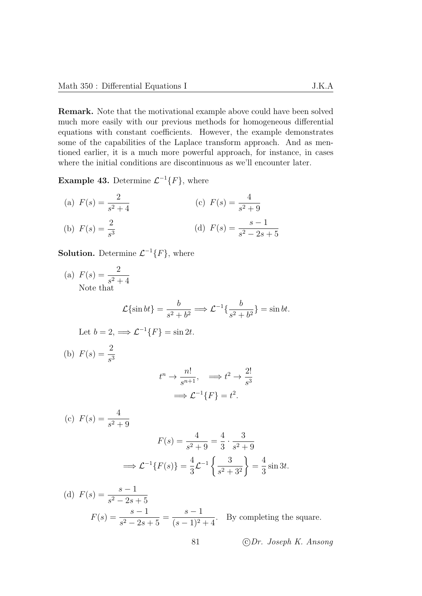Remark. Note that the motivational example above could have been solved much more easily with our previous methods for homogeneous differential equations with constant coefficients. However, the example demonstrates some of the capabilities of the Laplace transform approach. And as mentioned earlier, it is a much more powerful approach, for instance, in cases where the initial conditions are discontinuous as we'll encounter later.

**Example 43.** Determine  $\mathcal{L}^{-1}{F}$ , where

(a) 
$$
F(s) = \frac{2}{s^2 + 4}
$$
  
\n(b)  $F(s) = \frac{2}{s^3}$   
\n(c)  $F(s) = \frac{4}{s^2 + 9}$   
\n(d)  $F(s) = \frac{s - 1}{s^2 - 2s + 5}$ 

**Solution.** Determine  $\mathcal{L}^{-1}{F}$ , where

(a)  $F(s) = \frac{2}{2}$  $s^2 + 4$ Note that

$$
\mathcal{L}\{\sin bt\} = \frac{b}{s^2 + b^2} \Longrightarrow \mathcal{L}^{-1}\{\frac{b}{s^2 + b^2}\} = \sin bt.
$$

Let 
$$
b = 2
$$
,  $\Longrightarrow$   $\mathcal{L}^{-1}{F} = \sin 2t$ .

(b)  $F(s) = \frac{2}{s}$  $s^3$  $t^n \to \frac{n!}{n!}$  $\frac{n!}{s^{n+1}}, \quad \Longrightarrow t^2 \to \frac{2!}{s^3}$  $s^3$  $\implies$   $\mathcal{L}^{-1}{F} = t^2$ . (c)  $F(s) = \frac{4}{3}$  $s^2 + 9$ 

$$
F(s) = \frac{4}{s^2 + 9} = \frac{4}{3} \cdot \frac{3}{s^2 + 9}
$$

$$
\implies \mathcal{L}^{-1}{F(s)} = \frac{4}{3}\mathcal{L}^{-1}\left\{\frac{3}{s^2 + 3^2}\right\} = \frac{4}{3}\sin 3t.
$$

(d) 
$$
F(s) = \frac{s-1}{s^2 - 2s + 5}
$$
  

$$
F(s) = \frac{s-1}{s^2 - 2s + 5} = \frac{s-1}{(s-1)^2 + 4}.
$$
 By completing the square.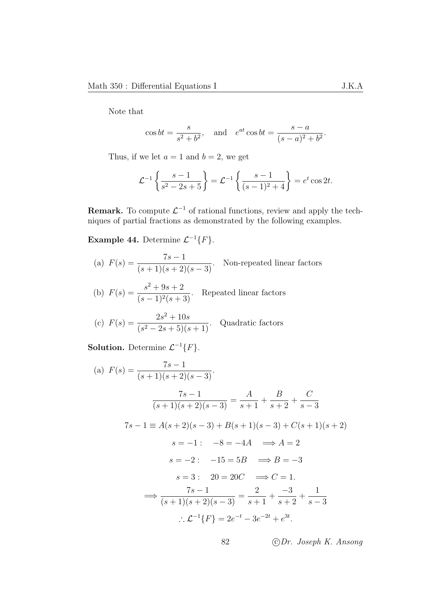Note that

$$
\cos bt = \frac{s}{s^2 + b^2}
$$
, and  $e^{at} \cos bt = \frac{s - a}{(s - a)^2 + b^2}$ .

Thus, if we let  $a = 1$  and  $b = 2$ , we get

$$
\mathcal{L}^{-1}\left\{\frac{s-1}{s^2-2s+5}\right\} = \mathcal{L}^{-1}\left\{\frac{s-1}{(s-1)^2+4}\right\} = e^t \cos 2t.
$$

**Remark.** To compute  $\mathcal{L}^{-1}$  of rational functions, review and apply the techniques of partial fractions as demonstrated by the following examples.

**Example 44.** Determine  $\mathcal{L}^{-1}{F}$ .

- (a)  $F(s) = \frac{7s-1}{(s+1)(s+2)}$  $\frac{1}{(s+1)(s+2)(s-3)}$ . Non-repeated linear factors
- (b)  $F(s) = \frac{s^2 + 9s + 2}{(s+1)^2}$  $\frac{3}{(s-1)^2(s+3)}$ . Repeated linear factors
- (c)  $F(s) = \frac{2s^2 + 10s}{(s s) + 5}$  $\frac{2s+16s}{(s^2-2s+5)(s+1)}$ . Quadratic factors

**Solution.** Determine  $\mathcal{L}^{-1}{F}$ .

(a) 
$$
F(s) = \frac{7s - 1}{(s + 1)(s + 2)(s - 3)}
$$
  
\n
$$
\frac{7s - 1}{(s + 1)(s + 2)(s - 3)} = \frac{A}{s + 1} + \frac{B}{s + 2} + \frac{C}{s - 3}
$$
\n
$$
7s - 1 \equiv A(s + 2)(s - 3) + B(s + 1)(s - 3) + C(s + 1)(s + 2)
$$
\n
$$
s = -1: \quad -8 = -4A \implies A = 2
$$
\n
$$
s = -2: \quad -15 = 5B \implies B = -3
$$
\n
$$
s = 3: \quad 20 = 20C \implies C = 1.
$$
\n
$$
\implies \frac{7s - 1}{(s + 1)(s + 2)(s - 3)} = \frac{2}{s + 1} + \frac{-3}{s + 2} + \frac{1}{s - 3}
$$
\n
$$
\therefore \mathcal{L}^{-1}{F} = 2e^{-t} - 3e^{-2t} + e^{3t}.
$$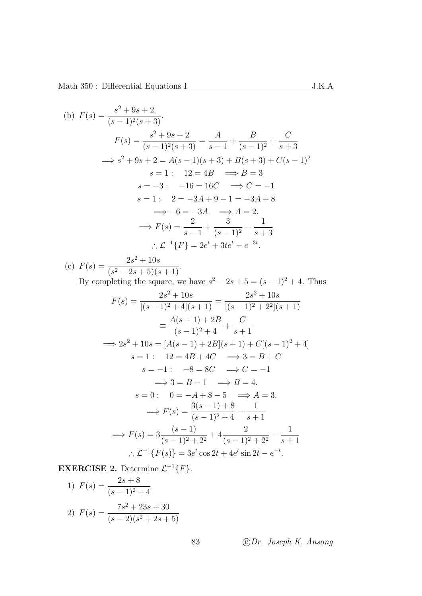(b) 
$$
F(s) = \frac{s^2 + 9s + 2}{(s - 1)^2(s + 3)}
$$
.  
\n
$$
F(s) = \frac{s^2 + 9s + 2}{(s - 1)^2(s + 3)} = \frac{A}{s - 1} + \frac{B}{(s - 1)^2} + \frac{C}{s + 3}
$$
\n
$$
\implies s^2 + 9s + 2 = A(s - 1)(s + 3) + B(s + 3) + C(s - 1)^2
$$
\n
$$
s = 1: 12 = 4B \implies B = 3
$$
\n
$$
s = -3: -16 = 16C \implies C = -1
$$
\n
$$
s = 1: 2 = -3A + 9 - 1 = -3A + 8
$$
\n
$$
\implies -6 = -3A \implies A = 2.
$$
\n
$$
\implies F(s) = \frac{2}{s - 1} + \frac{3}{(s - 1)^2} - \frac{1}{s + 3}
$$
\n
$$
\therefore \mathcal{L}^{-1}{F} = 2e^t + 3te^t - e^{-3t}.
$$

(c)  $F(s) = \frac{2s^2 + 10s}{(s - s) + 5(s)}$  $\frac{2s+10s}{(s^2-2s+5)(s+1)}.$ 

By completing the square, we have  $s^2 - 2s + 5 = (s - 1)^2 + 4$ . Thus

$$
F(s) = \frac{2s^2 + 10s}{[(s-1)^2 + 4](s+1)} = \frac{2s^2 + 10s}{[(s-1)^2 + 2^2](s+1)}
$$
  
\n
$$
\equiv \frac{A(s-1) + 2B}{(s-1)^2 + 4} + \frac{C}{s+1}
$$
  
\n
$$
\Rightarrow 2s^2 + 10s = [A(s-1) + 2B](s+1) + C[(s-1)^2 + 4]
$$
  
\n
$$
s = 1: 12 = 4B + 4C \Rightarrow 3 = B + C
$$
  
\n
$$
s = -1: -8 = 8C \Rightarrow C = -1
$$
  
\n
$$
\Rightarrow 3 = B - 1 \Rightarrow B = 4.
$$
  
\n
$$
s = 0: 0 = -A + 8 - 5 \Rightarrow A = 3.
$$
  
\n
$$
\Rightarrow F(s) = \frac{3(s-1) + 8}{(s-1)^2 + 4} - \frac{1}{s+1}
$$
  
\n
$$
\Rightarrow F(s) = 3\frac{(s-1)}{(s-1)^2 + 2^2} + 4\frac{2}{(s-1)^2 + 2^2} - \frac{1}{s+1}
$$
  
\n
$$
\therefore \mathcal{L}^{-1}{F(s)} = 3e^t \cos 2t + 4e^t \sin 2t - e^{-t}.
$$

**EXERCISE 2.** Determine  $\mathcal{L}^{-1}{F}$ .

1) 
$$
F(s) = \frac{2s+8}{(s-1)^2+4}
$$
  
2) 
$$
F(s) = \frac{7s^2+23s+30}{(s-2)(s^2+2s+5)}
$$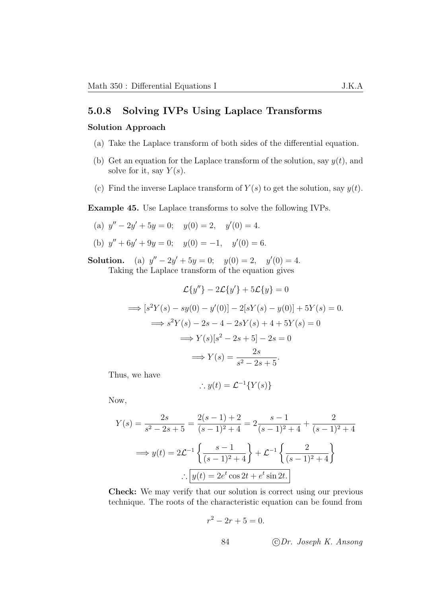#### 5.0.8 Solving IVPs Using Laplace Transforms

#### Solution Approach

- (a) Take the Laplace transform of both sides of the differential equation.
- (b) Get an equation for the Laplace transform of the solution, say  $y(t)$ , and solve for it, say  $Y(s)$ .
- (c) Find the inverse Laplace transform of  $Y(s)$  to get the solution, say  $y(t)$ .

Example 45. Use Laplace transforms to solve the following IVPs.

- (a)  $y'' 2y' + 5y = 0$ ;  $y(0) = 2$ ,  $y'(0) = 4$ .
- (b)  $y'' + 6y' + 9y = 0$ ;  $y(0) = -1$ ,  $y'(0) = 6$ .

Solution. (a)  $y'' - 2y' + 5y = 0$ ;  $y(0) = 2$ ,  $y'(0) = 4$ . Taking the Laplace transform of the equation gives

$$
\mathcal{L}{y''} - 2\mathcal{L}{y'} + 5\mathcal{L}{y} = 0
$$
  
\n
$$
\implies [s^2Y(s) - sy(0) - y'(0)] - 2[sY(s) - y(0)] + 5Y(s) = 0.
$$
  
\n
$$
\implies s^2Y(s) - 2s - 4 - 2sY(s) + 4 + 5Y(s) = 0
$$
  
\n
$$
\implies Y(s)[s^2 - 2s + 5] - 2s = 0
$$
  
\n
$$
\implies Y(s) = \frac{2s}{s^2 - 2s + 5}.
$$

Thus, we have

$$
\therefore y(t) = \mathcal{L}^{-1}{Y(s)}
$$

Now,

$$
Y(s) = \frac{2s}{s^2 - 2s + 5} = \frac{2(s - 1) + 2}{(s - 1)^2 + 4} = 2\frac{s - 1}{(s - 1)^2 + 4} + \frac{2}{(s - 1)^2 + 4}
$$

$$
\implies y(t) = 2\mathcal{L}^{-1}\left\{\frac{s - 1}{(s - 1)^2 + 4}\right\} + \mathcal{L}^{-1}\left\{\frac{2}{(s - 1)^2 + 4}\right\}
$$

$$
\therefore \boxed{y(t) = 2e^t \cos 2t + e^t \sin 2t.}
$$

Check: We may verify that our solution is correct using our previous technique. The roots of the characteristic equation can be found from

$$
r^2 - 2r + 5 = 0.
$$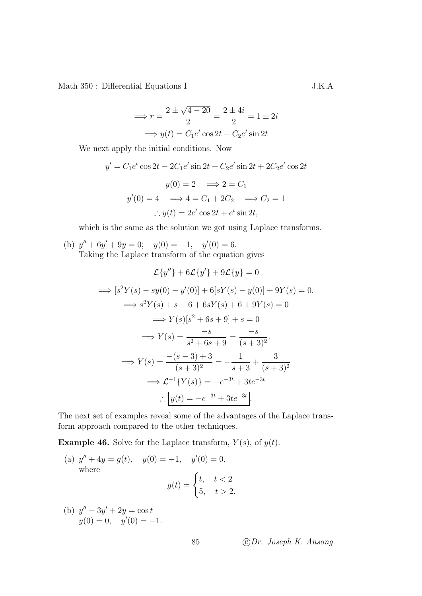$$
\implies r = \frac{2 \pm \sqrt{4 - 20}}{2} = \frac{2 \pm 4i}{2} = 1 \pm 2i
$$

$$
\implies y(t) = C_1 e^t \cos 2t + C_2 e^t \sin 2t
$$

We next apply the initial conditions. Now

$$
y' = C_1 e^t \cos 2t - 2C_1 e^t \sin 2t + C_2 e^t \sin 2t + 2C_2 e^t \cos 2t
$$
  

$$
y(0) = 2 \implies 2 = C_1
$$
  

$$
y'(0) = 4 \implies 4 = C_1 + 2C_2 \implies C_2 = 1
$$
  

$$
\therefore y(t) = 2e^t \cos 2t + e^t \sin 2t,
$$

which is the same as the solution we got using Laplace transforms.

(b) 
$$
y'' + 6y' + 9y = 0
$$
;  $y(0) = -1$ ,  $y'(0) = 6$ .  
Taking the Laplace transform of the equation gives

$$
\mathcal{L}{y''} + 6\mathcal{L}{y'} + 9\mathcal{L}{y} = 0
$$
  
\n
$$
\implies [s^2Y(s) - sy(0) - y'(0)] + 6[sY(s) - y(0)] + 9Y(s) = 0.
$$
  
\n
$$
\implies s^2Y(s) + s - 6 + 6sY(s) + 6 + 9Y(s) = 0
$$
  
\n
$$
\implies Y(s)[s^2 + 6s + 9] + s = 0
$$
  
\n
$$
\implies Y(s) = \frac{-s}{s^2 + 6s + 9} = \frac{-s}{(s+3)^2}.
$$
  
\n
$$
\implies Y(s) = \frac{-(s-3) + 3}{(s+3)^2} = -\frac{1}{s+3} + \frac{3}{(s+3)^2}
$$
  
\n
$$
\implies \mathcal{L}^{-1}{Y(s)} = -e^{-3t} + 3te^{-3t}
$$
  
\n
$$
\therefore \boxed{y(t) = -e^{-3t} + 3te^{-3t}}.
$$

The next set of examples reveal some of the advantages of the Laplace transform approach compared to the other techniques.

**Example 46.** Solve for the Laplace transform,  $Y(s)$ , of  $y(t)$ .

(a) 
$$
y'' + 4y = g(t)
$$
,  $y(0) = -1$ ,  $y'(0) = 0$ ,  
where  

$$
g(t) = \begin{cases} t, & t < 2 \\ 5, & t > 2 \end{cases}
$$

(b) 
$$
y'' - 3y' + 2y = \cos t
$$
  
\n $y(0) = 0, \quad y'(0) = -1.$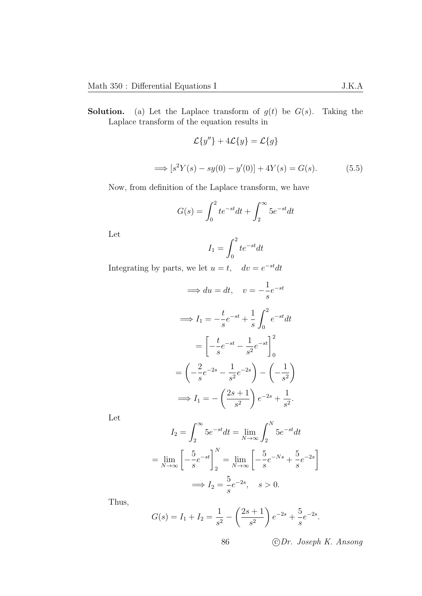**Solution.** (a) Let the Laplace transform of  $g(t)$  be  $G(s)$ . Taking the Laplace transform of the equation results in

$$
\mathcal{L}{y''} + 4\mathcal{L}{y} = \mathcal{L}{g}
$$

$$
\implies [s^2Y(s) - sy(0) - y'(0)] + 4Y(s) = G(s).
$$
(5.5)

Now, from definition of the Laplace transform, we have

$$
G(s) = \int_0^2 t e^{-st} dt + \int_2^\infty 5 e^{-st} dt
$$

Let

<span id="page-89-0"></span>
$$
I_1 = \int_0^2 t e^{-st} dt
$$

Integrating by parts, we let  $u = t$ ,  $dv = e^{-st}dt$ 

$$
\implies du = dt, \quad v = -\frac{1}{s}e^{-st}
$$
\n
$$
\implies I_1 = -\frac{t}{s}e^{-st} + \frac{1}{s}\int_0^2 e^{-st}dt
$$
\n
$$
= \left[ -\frac{t}{s}e^{-st} - \frac{1}{s^2}e^{-st} \right]_0^2
$$
\n
$$
= \left( -\frac{2}{s}e^{-2s} - \frac{1}{s^2}e^{-2s} \right) - \left( -\frac{1}{s^2} \right)
$$
\n
$$
\implies I_1 = -\left( \frac{2s+1}{s^2} \right)e^{-2s} + \frac{1}{s^2}.
$$

Let

$$
I_2 = \int_2^{\infty} 5e^{-st} dt = \lim_{N \to \infty} \int_2^N 5e^{-st} dt
$$

$$
= \lim_{N \to \infty} \left[ -\frac{5}{s} e^{-st} \right]_2^N = \lim_{N \to \infty} \left[ -\frac{5}{s} e^{-Ns} + \frac{5}{s} e^{-2s} \right]
$$

$$
\implies I_2 = \frac{5}{s} e^{-2s}, \quad s > 0.
$$

Thus,

$$
G(s) = I_1 + I_2 = \frac{1}{s^2} - \left(\frac{2s+1}{s^2}\right)e^{-2s} + \frac{5}{s}e^{-2s}.
$$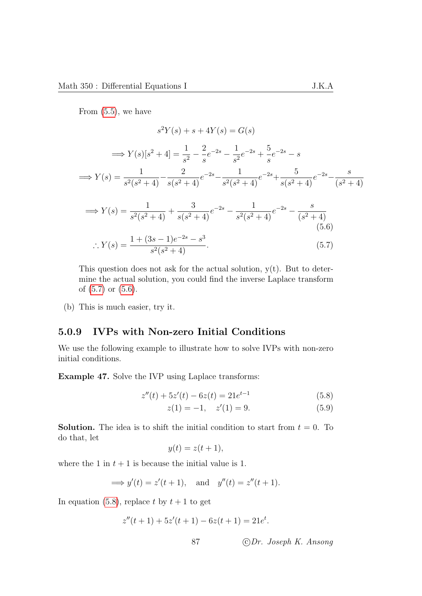From [\(5.5\)](#page-89-0), we have

$$
s^{2}Y(s) + s + 4Y(s) = G(s)
$$
  
\n
$$
\implies Y(s)[s^{2} + 4] = \frac{1}{s^{2}} - \frac{2}{s}e^{-2s} - \frac{1}{s^{2}}e^{-2s} + \frac{5}{s}e^{-2s} - s
$$
  
\n
$$
\implies Y(s) = \frac{1}{s^{2}(s^{2} + 4)} - \frac{2}{s(s^{2} + 4)}e^{-2s} - \frac{1}{s^{2}(s^{2} + 4)}e^{-2s} + \frac{5}{s(s^{2} + 4)}e^{-2s} - \frac{s}{(s^{2} + 4)}
$$
  
\n
$$
\implies Y(s) = \frac{1}{s^{2}(s^{2} + 4)} + \frac{3}{s(s^{2} + 4)}e^{-2s} - \frac{1}{s^{2}(s^{2} + 4)}e^{-2s} - \frac{s}{(s^{2} + 4)}
$$
  
\n
$$
\therefore Y(s) = \frac{1 + (3s - 1)e^{-2s} - s^{3}}{s^{2}(s^{2} + 4)}.
$$
  
\n(5.6)

<span id="page-90-1"></span>This question does not ask for the actual solution,  $y(t)$ . But to determine the actual solution, you could find the inverse Laplace transform of [\(5.7\)](#page-90-0) or [\(5.6\)](#page-90-1).

(b) This is much easier, try it.

#### 5.0.9 IVPs with Non-zero Initial Conditions

We use the following example to illustrate how to solve IVPs with non-zero initial conditions.

Example 47. Solve the IVP using Laplace transforms:

$$
z''(t) + 5z'(t) - 6z(t) = 21e^{t-1}
$$
\n(5.8)

<span id="page-90-0"></span>
$$
z(1) = -1, \quad z'(1) = 9. \tag{5.9}
$$

**Solution.** The idea is to shift the initial condition to start from  $t = 0$ . To do that, let

<span id="page-90-2"></span>
$$
y(t) = z(t+1),
$$

where the 1 in  $t + 1$  is because the initial value is 1.

$$
\implies
$$
  $y'(t) = z'(t+1)$ , and  $y''(t) = z''(t+1)$ .

In equation [\(5.8\)](#page-90-2), replace t by  $t + 1$  to get

$$
z''(t+1) + 5z'(t+1) - 6z(t+1) = 21e^t.
$$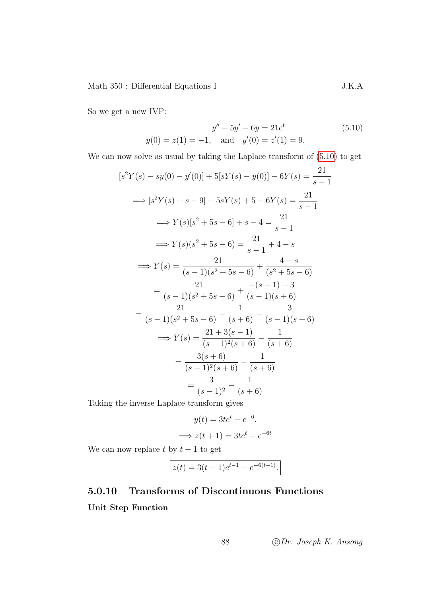So we get a new IVP:

<span id="page-91-0"></span>
$$
y'' + 5y' - 6y = 21e^t
$$
 (5.10)  

$$
y(0) = z(1) = -1, \text{ and } y'(0) = z'(1) = 9.
$$

We can now solve as usual by taking the Laplace transform of [\(5.10\)](#page-91-0) to get

$$
[s^{2}Y(s) - sy(0) - y'(0)] + 5[sY(s) - y(0)] - 6Y(s) = \frac{21}{s - 1}
$$
  
\n
$$
\implies [s^{2}Y(s) + s - 9] + 5sY(s) + 5 - 6Y(s) = \frac{21}{s - 1}
$$
  
\n
$$
\implies Y(s)[s^{2} + 5s - 6] + s - 4 = \frac{21}{s - 1}
$$
  
\n
$$
\implies Y(s)(s^{2} + 5s - 6) = \frac{21}{s - 1} + 4 - s
$$
  
\n
$$
\implies Y(s) = \frac{21}{(s - 1)(s^{2} + 5s - 6)} + \frac{4 - s}{(s^{2} + 5s - 6)}
$$
  
\n
$$
= \frac{21}{(s - 1)(s^{2} + 5s - 6)} - \frac{1}{(s + 6)} + \frac{3}{(s - 1)(s + 6)}
$$
  
\n
$$
\implies Y(s) = \frac{21 + 3(s - 1)}{(s - 1)^{2}(s + 6)} - \frac{1}{(s + 6)}
$$
  
\n
$$
\implies \frac{3(s + 6)}{(s - 1)^{2}(s + 6)} - \frac{1}{(s + 6)}
$$
  
\n
$$
= \frac{3}{(s - 1)^{2}} - \frac{1}{(s + 6)}
$$

Taking the inverse Laplace transform gives

$$
y(t) = 3te^{t} - e^{-6}.
$$
  

$$
\implies z(t+1) = 3te^{t} - e^{-6t}
$$

We can now replace  $t$  by  $t-1$  to get

$$
z(t) = 3(t-1)e^{t-1} - e^{-6(t-1)}.
$$

## 5.0.10 Transforms of Discontinuous Functions Unit Step Function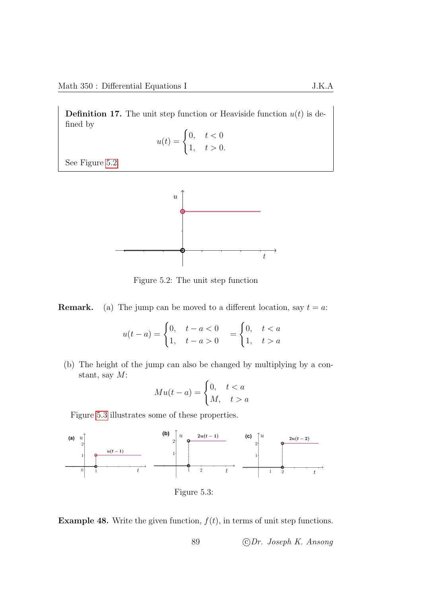**Definition 17.** The unit step function or Heaviside function  $u(t)$  is defined by

$$
u(t) = \begin{cases} 0, & t < 0 \\ 1, & t > 0. \end{cases}
$$

See Figure [5.2.](#page-92-0)



<span id="page-92-0"></span>Figure 5.2: The unit step function

**Remark.** (a) The jump can be moved to a different location, say  $t = a$ :

$$
u(t-a) = \begin{cases} 0, & t-a < 0 \\ 1, & t-a > 0 \end{cases} = \begin{cases} 0, & t < a \\ 1, & t > a \end{cases}
$$

(b) The height of the jump can also be changed by multiplying by a constant, say  $M$ :

<span id="page-92-1"></span>
$$
Mu(t-a) = \begin{cases} 0, & t < a \\ M, & t > a \end{cases}
$$

Figure [5.3](#page-92-1) illustrates some of these properties.



**Example 48.** Write the given function,  $f(t)$ , in terms of unit step functions.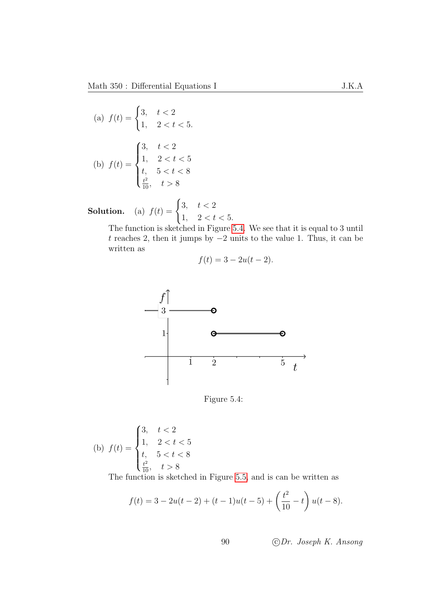(a) 
$$
f(t) = \begin{cases} 3, & t < 2 \\ 1, & 2 < t < 5. \end{cases}
$$

(b) 
$$
f(t) = \begin{cases} 3, & t < 2 \\ 1, & 2 < t < 5 \\ t, & 5 < t < 8 \\ \frac{t^2}{10}, & t > 8 \end{cases}
$$

**Solution.** (a)  $f(t) = \begin{cases} 3, & t < 2 \\ 1, & t \end{cases}$ 1,  $2 < t < 5$ .

The function is sketched in Figure [5.4.](#page-93-0) We see that it is equal to 3 until t reaches 2, then it jumps by −2 units to the value 1. Thus, it can be written as

$$
f(t) = 3 - 2u(t - 2).
$$



<span id="page-93-0"></span>Figure 5.4:

(b) 
$$
f(t) = \begin{cases} 3, & t < 2 \\ 1, & 2 < t < 5 \\ t, & 5 < t < 8 \\ \frac{t^2}{10}, & t > 8 \end{cases}
$$

The function is sketched in Figure [5.5,](#page-94-0) and is can be written as

$$
f(t) = 3 - 2u(t - 2) + (t - 1)u(t - 5) + \left(\frac{t^2}{10} - t\right)u(t - 8).
$$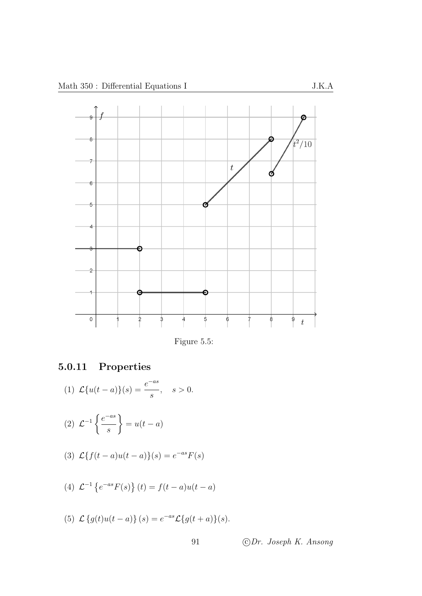

<span id="page-94-0"></span>Figure 5.5:

## 5.0.11 Properties

(1) 
$$
\mathcal{L}{u(t-a)}(s) = \frac{e^{-as}}{s}, \quad s > 0.
$$

$$
(2) \mathcal{L}^{-1}\left\{\frac{e^{-as}}{s}\right\} = u(t-a)
$$

(3) 
$$
\mathcal{L}{f(t-a)u(t-a)}(s) = e^{-as}F(s)
$$

(4) 
$$
\mathcal{L}^{-1}\left\{e^{-as}F(s)\right\}(t) = f(t-a)u(t-a)
$$

(5)  $\mathcal{L}\left\{g(t)u(t-a)\right\}(s) = e^{-as}\mathcal{L}\left\{g(t+a)\right\}(s).$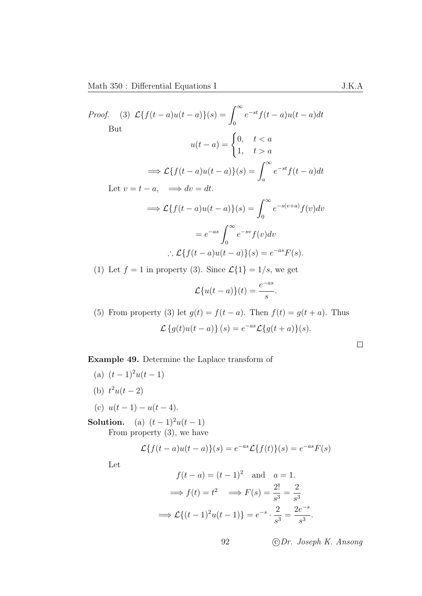Proof. (3) 
$$
\mathcal{L}{f(t-a)u(t-a)}(s) = \int_0^\infty e^{-st}f(t-a)u(t-a)dt
$$
  
\nBut  
\n
$$
u(t-a) = \begin{cases} 0, & t < a \\ 1, & t > a \end{cases}
$$
\n
$$
\implies \mathcal{L}{f(t-a)u(t-a)}(s) = \int_a^\infty e^{-st}f(t-a)dt
$$
\nLet  $v = t-a$ ,  $\implies dv = dt$ .  
\n
$$
\implies \mathcal{L}{f(t-a)u(t-a)}(s) = \int_0^\infty e^{-s(v+a)}f(v)dv
$$
\n
$$
= e^{-as} \int_0^\infty e^{-sv}f(v)dv
$$
\n
$$
\therefore \mathcal{L}{f(t-a)u(t-a)}(s) = e^{-as}F(s).
$$
\n(1) Let  $f = 1$  in property (3). Since  $\mathcal{L}{1} = 1/s$ , we get  
\n
$$
\mathcal{L}{u(t-a)}(t) = \frac{e^{-as}}{s}.
$$

(5) From property (3) let  $g(t) = f(t-a)$ . Then  $f(t) = g(t+a)$ . Thus  $\mathcal{L}\left\{g(t)u(t-a)\right\}(s) = e^{-as}\mathcal{L}\left\{g(t+a)\right\}(s).$ 

 $\hfill \square$ 

### Example 49. Determine the Laplace transform of

(a)  $(t-1)^2u(t-1)$ (b)  $t^2u(t-2)$ (c)  $u(t-1) - u(t-4)$ .

## **Solution.** (a)  $(t-1)^2u(t-1)$

From property (3), we have

$$
\mathcal{L}{f(t-a)u(t-a)}(s) = e^{-as}\mathcal{L}{f(t)}(s) = e^{-as}F(s)
$$

Let

$$
f(t-a) = (t-1)^2 \quad \text{and} \quad a = 1.
$$

$$
\implies f(t) = t^2 \quad \implies F(s) = \frac{2!}{s^3} = \frac{2}{s^3}
$$

$$
\implies \mathcal{L}\{(t-1)^2u(t-1)\} = e^{-s} \cdot \frac{2}{s^3} = \frac{2e^{-s}}{s^3}.
$$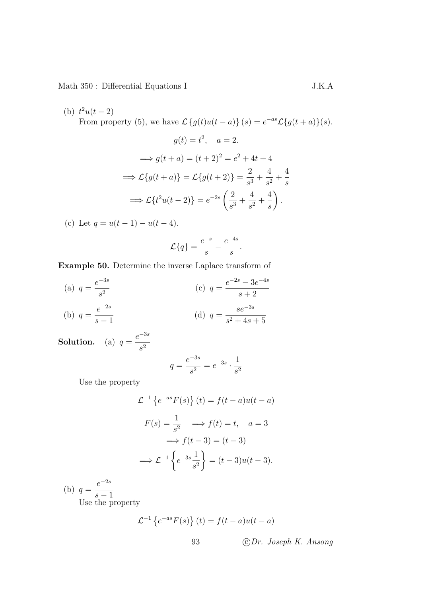(b)  $t^2u(t-2)$ From property (5), we have  $\mathcal{L}\left\{g(t)u(t-a)\right\}(s) = e^{-as}\mathcal{L}\left\{g(t+a)\right\}(s)$ .

$$
g(t) = t^2, \quad a = 2.
$$
  
\n
$$
\implies g(t+a) = (t+2)^2 = e^2 + 4t + 4
$$
  
\n
$$
\implies \mathcal{L}{g(t+a)} = \mathcal{L}{g(t+2)} = \frac{2}{s^3} + \frac{4}{s^2} + \frac{4}{s}
$$
  
\n
$$
\implies \mathcal{L}{t^2u(t-2)} = e^{-2s} \left(\frac{2}{s^3} + \frac{4}{s^2} + \frac{4}{s}\right).
$$

(c) Let  $q = u(t-1) - u(t-4)$ .

$$
\mathcal{L}{q} = \frac{e^{-s}}{s} - \frac{e^{-4s}}{s}.
$$

Example 50. Determine the inverse Laplace transform of

(a) 
$$
q = \frac{e^{-3s}}{s^2}
$$
  
\n(b)  $q = \frac{e^{-2s}}{s-1}$   
\n(c)  $q = \frac{e^{-2s} - 3e^{-4s}}{s+2}$   
\n(d)  $q = \frac{se^{-3s}}{s^2 + 4s + 5}$ 

**Solution.** (a)  $q =$  $e^{-3s}$  $s^2$ 

$$
q = \frac{e^{-3s}}{s^2} = e^{-3s} \cdot \frac{1}{s^2}
$$

Use the property

$$
\mathcal{L}^{-1}\left\{e^{-as}F(s)\right\}(t) = f(t-a)u(t-a)
$$

$$
F(s) = \frac{1}{s^2} \implies f(t) = t, \quad a = 3
$$

$$
\implies f(t-3) = (t-3)
$$

$$
\implies \mathcal{L}^{-1}\left\{e^{-3s}\frac{1}{s^2}\right\} = (t-3)u(t-3).
$$

(b)  $q =$  $e^{-2s}$  $s - 1$ 

Use the property

$$
\mathcal{L}^{-1}\left\{e^{-as}F(s)\right\}(t) = f(t-a)u(t-a)
$$
  
93 \t\t\t $\textcircled{1}$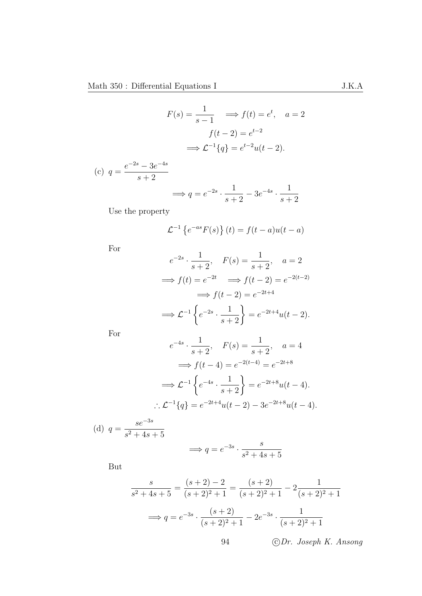$$
F(s) = \frac{1}{s - 1} \implies f(t) = e^t, \quad a = 2
$$

$$
f(t - 2) = e^{t - 2}
$$

$$
\implies \mathcal{L}^{-1}{q} = e^{t - 2}u(t - 2).
$$

(c) 
$$
q = \frac{e^{-2s} - 3e^{-4s}}{s+2}
$$

$$
\implies q = e^{-2s} \cdot \frac{1}{s+2} - 3e^{-4s} \cdot \frac{1}{s+2}
$$

Use the property

$$
\mathcal{L}^{-1}\left\{e^{-as}F(s)\right\}(t) = f(t-a)u(t-a)
$$

For

$$
e^{-2s} \cdot \frac{1}{s+2}, \quad F(s) = \frac{1}{s+2}, \quad a = 2
$$
  
\n
$$
\implies f(t) = e^{-2t} \implies f(t-2) = e^{-2(t-2)}
$$
  
\n
$$
\implies f(t-2) = e^{-2t+4}
$$
  
\n
$$
\implies \mathcal{L}^{-1} \left\{ e^{-2s} \cdot \frac{1}{s+2} \right\} = e^{-2t+4} u(t-2).
$$

For

$$
e^{-4s} \cdot \frac{1}{s+2}, \quad F(s) = \frac{1}{s+2}, \quad a = 4
$$

$$
\implies f(t-4) = e^{-2(t-4)} = e^{-2t+8}
$$

$$
\implies \mathcal{L}^{-1} \left\{ e^{-4s} \cdot \frac{1}{s+2} \right\} = e^{-2t+8} u(t-4).
$$

$$
\therefore \mathcal{L}^{-1} \{q\} = e^{-2t+4} u(t-2) - 3e^{-2t+8} u(t-4).
$$

(d) 
$$
q = \frac{se^{-3s}}{s^2 + 4s + 5}
$$
  
 $\implies q = e^{-3s} \cdot \frac{s}{s^2 + 4s + 5}$ 

But

$$
\frac{s}{s^2 + 4s + 5} = \frac{(s+2) - 2}{(s+2)^2 + 1} = \frac{(s+2)}{(s+2)^2 + 1} - 2\frac{1}{(s+2)^2 + 1}
$$

$$
\implies q = e^{-3s} \cdot \frac{(s+2)}{(s+2)^2 + 1} - 2e^{-3s} \cdot \frac{1}{(s+2)^2 + 1}
$$

s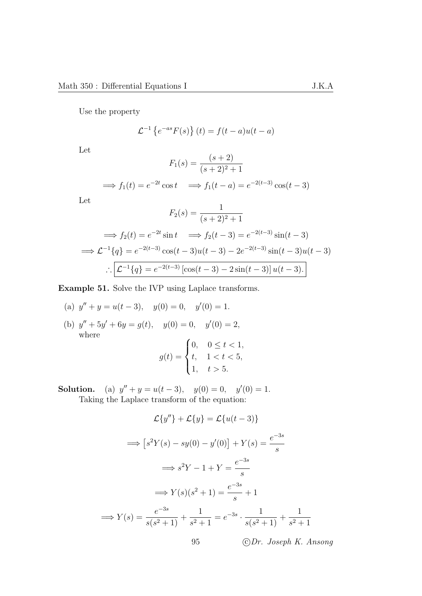Use the property

$$
\mathcal{L}^{-1}\left\{e^{-as}F(s)\right\}(t) = f(t-a)u(t-a)
$$

Let

$$
F_1(s) = \frac{(s+2)}{(s+2)^2 + 1}
$$

$$
\implies f_1(t) = e^{-2t} \cos t \implies f_1(t-a) = e^{-2(t-3)} \cos(t-3)
$$

Let

$$
F_2(s) = \frac{1}{(s+2)^2 + 1}
$$
  
\n
$$
\implies f_2(t) = e^{-2t} \sin t \implies f_2(t-3) = e^{-2(t-3)} \sin(t-3)
$$
  
\n
$$
\implies \mathcal{L}^{-1}{q} = e^{-2(t-3)} \cos(t-3)u(t-3) - 2e^{-2(t-3)} \sin(t-3)u(t-3)
$$
  
\n
$$
\therefore \boxed{\mathcal{L}^{-1}{q} = e^{-2(t-3)} [\cos(t-3) - 2\sin(t-3)]u(t-3).}
$$

Example 51. Solve the IVP using Laplace transforms.

(a) 
$$
y'' + y = u(t-3)
$$
,  $y(0) = 0$ ,  $y'(0) = 1$ .

(b)  $y'' + 5y' + 6y = g(t)$ ,  $y(0) = 0$ ,  $y'(0) = 2$ , where  $\frac{1}{2}$ 

$$
g(t) = \begin{cases} 0, & 0 \le t < 1, \\ t, & 1 < t < 5, \\ 1, & t > 5. \end{cases}
$$

Solution. (a)  $y'' + y = u(t-3)$ ,  $y(0) = 0$ ,  $y'(0) = 1$ . Taking the Laplace transform of the equation:

$$
\mathcal{L}{y''} + \mathcal{L}{y} = \mathcal{L}{u(t-3)}
$$
  
\n
$$
\implies [s^2Y(s) - sy(0) - y'(0)] + Y(s) = \frac{e^{-3s}}{s}
$$
  
\n
$$
\implies s^2Y - 1 + Y = \frac{e^{-3s}}{s}
$$
  
\n
$$
\implies Y(s)(s^2 + 1) = \frac{e^{-3s}}{s} + 1
$$
  
\n
$$
\implies Y(s) = \frac{e^{-3s}}{s(s^2 + 1)} + \frac{1}{s^2 + 1} = e^{-3s} \cdot \frac{1}{s(s^2 + 1)} + \frac{1}{s^2 + 1}
$$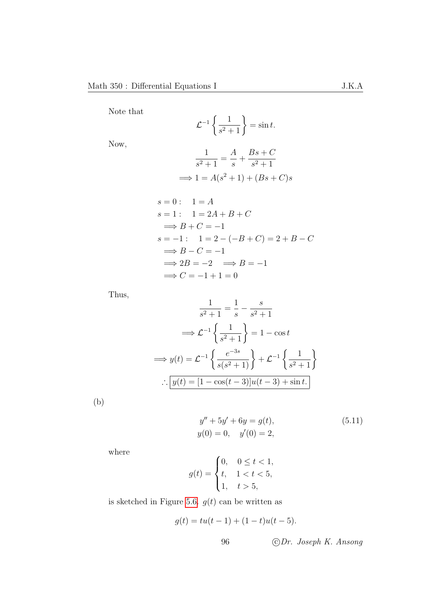Note that

$$
\mathcal{L}^{-1}\left\{\frac{1}{s^2+1}\right\} = \sin t.
$$

Now,

$$
\frac{1}{s^2 + 1} = \frac{A}{s} + \frac{Bs + C}{s^2 + 1}
$$

$$
\implies 1 = A(s^2 + 1) + (Bs + C)s
$$

$$
s = 0: \quad 1 = A
$$
  
\n
$$
s = 1: \quad 1 = 2A + B + C
$$
  
\n
$$
\implies B + C = -1
$$
  
\n
$$
s = -1: \quad 1 = 2 - (-B + C) = 2 + B - C
$$
  
\n
$$
\implies B - C = -1
$$
  
\n
$$
\implies 2B = -2 \implies B = -1
$$
  
\n
$$
\implies C = -1 + 1 = 0
$$

Thus,

$$
\frac{1}{s^2 + 1} = \frac{1}{s} - \frac{s}{s^2 + 1}
$$

$$
\implies \mathcal{L}^{-1} \left\{ \frac{1}{s^2 + 1} \right\} = 1 - \cos t
$$

$$
\implies y(t) = \mathcal{L}^{-1} \left\{ \frac{e^{-3s}}{s(s^2 + 1)} \right\} + \mathcal{L}^{-1} \left\{ \frac{1}{s^2 + 1} \right\}
$$

$$
\therefore \boxed{y(t) = [1 - \cos(t - 3)]u(t - 3) + \sin t.}
$$

(b)

<span id="page-99-0"></span>
$$
y'' + 5y' + 6y = g(t),
$$
  
\n
$$
y(0) = 0, \quad y'(0) = 2,
$$
\n(5.11)

where

$$
g(t) = \begin{cases} 0, & 0 \le t < 1, \\ t, & 1 < t < 5, \\ 1, & t > 5, \end{cases}
$$

is sketched in Figure [5.6.](#page-100-0)  $g(t)$  can be written as

$$
g(t) = tu(t-1) + (1-t)u(t-5).
$$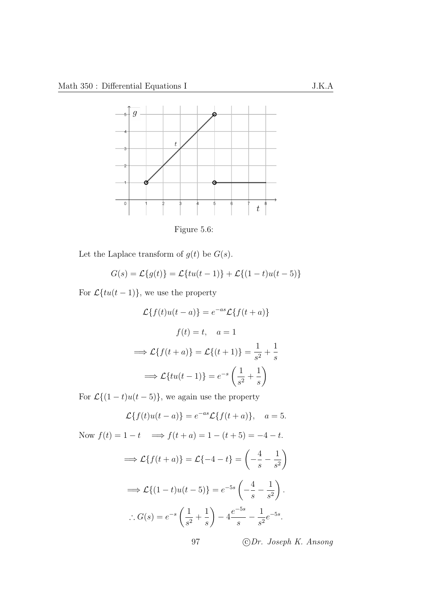

<span id="page-100-0"></span>Figure 5.6:

Let the Laplace transform of  $g(t)$  be  $G(s)$ .

$$
G(s) = \mathcal{L}{g(t)} = \mathcal{L}{tu(t-1)} + \mathcal{L}{(1-t)u(t-5)}
$$

For  $\mathcal{L}\lbrace tu(t-1)\rbrace$ , we use the property

$$
\mathcal{L}{f(t)u(t-a)} = e^{-as}\mathcal{L}{f(t+a)}
$$

$$
f(t) = t, \quad a = 1
$$

$$
\implies \mathcal{L}{f(t+a)} = \mathcal{L}{(t+1)} = \frac{1}{s^2} + \frac{1}{s}
$$

$$
\implies \mathcal{L}{tu(t-1)} = e^{-s}\left(\frac{1}{s^2} + \frac{1}{s}\right)
$$

For  $\mathcal{L}\{(1-t)u(t-5)\}\)$ , we again use the property

$$
\mathcal{L}{f(t)u(t-a)} = e^{-as}\mathcal{L}{f(t+a)}, \quad a = 5.
$$

Now  $f(t) = 1 - t \implies f(t + a) = 1 - (t + 5) = -4 - t.$  $\implies \mathcal{L}{f(t+a)} = \mathcal{L}{-4-t}$  $\sqrt{ }$  $-$ <sup>4</sup> s  $-\frac{1}{4}$  $s^2$  $\setminus$  $\implies \mathcal{L}\{(1-t)u(t-5)\}=e^{-5s}\left($  $-$ <sup>4</sup> s  $-\frac{1}{4}$  $s^2$  $\setminus$ .  $\therefore G(s) = e^{-s} \left( \frac{1}{s} \right)$  $rac{1}{s^2}$  + 1 s  $\setminus$  $-4 \frac{e^{-5s}}{2}$ s  $-\frac{1}{4}$  $rac{1}{s^2}e^{-5s}$ .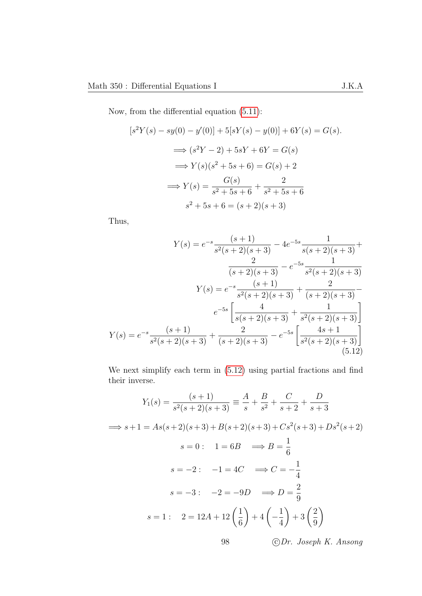Now, from the differential equation [\(5.11\)](#page-99-0):

$$
[s^{2}Y(s) - sy(0) - y'(0)] + 5[sY(s) - y(0)] + 6Y(s) = G(s).
$$
  
\n
$$
\implies (s^{2}Y - 2) + 5sY + 6Y = G(s)
$$
  
\n
$$
\implies Y(s)(s^{2} + 5s + 6) = G(s) + 2
$$
  
\n
$$
\implies Y(s) = \frac{G(s)}{s^{2} + 5s + 6} + \frac{2}{s^{2} + 5s + 6}
$$
  
\n
$$
s^{2} + 5s + 6 = (s + 2)(s + 3)
$$

Thus,

$$
Y(s) = e^{-s} \frac{(s+1)}{s^2(s+2)(s+3)} - 4e^{-5s} \frac{1}{s(s+2)(s+3)} + \frac{2}{(s+2)(s+3)} - e^{-5s} \frac{1}{s^2(s+2)(s+3)}
$$

$$
Y(s) = e^{-s} \frac{(s+1)}{s^2(s+2)(s+3)} + \frac{2}{(s+2)(s+3)} - e^{-5s} \left[ \frac{4}{s(s+2)(s+3)} + \frac{1}{s^2(s+2)(s+3)} \right]
$$

$$
Y(s) = e^{-s} \frac{(s+1)}{s^2(s+2)(s+3)} + \frac{2}{(s+2)(s+3)} - e^{-5s} \left[ \frac{4s+1}{s^2(s+2)(s+3)} \right]
$$
(5.12)

<span id="page-101-0"></span>We next simplify each term in [\(5.12\)](#page-101-0) using partial fractions and find their inverse.

$$
Y_1(s) = \frac{(s+1)}{s^2(s+2)(s+3)} \equiv \frac{A}{s} + \frac{B}{s^2} + \frac{C}{s+2} + \frac{D}{s+3}
$$
  
\n
$$
\implies s+1 = As(s+2)(s+3) + B(s+2)(s+3) + Cs^2(s+3) + Ds^2(s+2)
$$
  
\n
$$
s = 0: \quad 1 = 6B \quad \implies B = \frac{1}{6}
$$
  
\n
$$
s = -2: \quad -1 = 4C \quad \implies C = -\frac{1}{4}
$$
  
\n
$$
s = -3: \quad -2 = -9D \quad \implies D = \frac{2}{9}
$$
  
\n
$$
s = 1: \quad 2 = 12A + 12\left(\frac{1}{6}\right) + 4\left(-\frac{1}{4}\right) + 3\left(\frac{2}{9}\right)
$$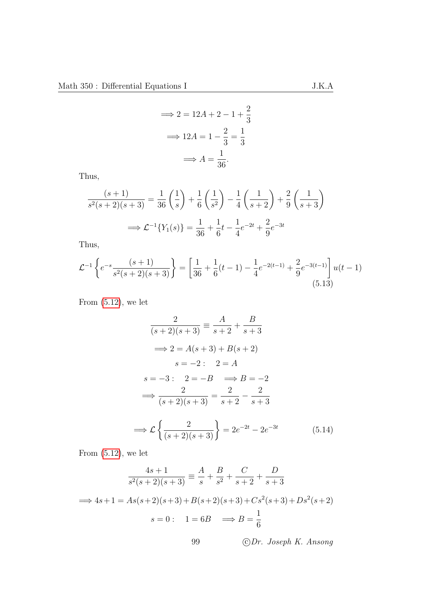$$
\Rightarrow 2 = 12A + 2 - 1 + \frac{2}{3}
$$

$$
\Rightarrow 12A = 1 - \frac{2}{3} = \frac{1}{3}
$$

$$
\Rightarrow A = \frac{1}{36}.
$$

Thus,

$$
\frac{(s+1)}{s^2(s+2)(s+3)} = \frac{1}{36} \left(\frac{1}{s}\right) + \frac{1}{6} \left(\frac{1}{s^2}\right) - \frac{1}{4} \left(\frac{1}{s+2}\right) + \frac{2}{9} \left(\frac{1}{s+3}\right)
$$

$$
\implies \mathcal{L}^{-1}\{Y_1(s)\} = \frac{1}{36} + \frac{1}{6}t - \frac{1}{4}e^{-2t} + \frac{2}{9}e^{-3t}
$$

Thus,

$$
\mathcal{L}^{-1}\left\{e^{-s}\frac{(s+1)}{s^2(s+2)(s+3)}\right\} = \left[\frac{1}{36} + \frac{1}{6}(t-1) - \frac{1}{4}e^{-2(t-1)} + \frac{2}{9}e^{-3(t-1)}\right]u(t-1)
$$
\n(5.13)

From  $(5.12)$ , we let

<span id="page-102-0"></span>
$$
\frac{2}{(s+2)(s+3)} \equiv \frac{A}{s+2} + \frac{B}{s+3}
$$
  
\n
$$
\implies 2 = A(s+3) + B(s+2)
$$
  
\n
$$
s = -2: 2 = A
$$
  
\n
$$
s = -3: 2 = -B \implies B = -2
$$
  
\n
$$
\implies \frac{2}{(s+2)(s+3)} = \frac{2}{s+2} - \frac{2}{s+3}
$$
  
\n
$$
\implies \mathcal{L}\left\{\frac{2}{(s+2)(s+3)}\right\} = 2e^{-2t} - 2e^{-3t} \tag{5.14}
$$

From  $(5.12)$ , we let

$$
\frac{4s+1}{s^2(s+2)(s+3)} \equiv \frac{A}{s} + \frac{B}{s^2} + \frac{C}{s+2} + \frac{D}{s+3}
$$
  

$$
\implies 4s+1 = As(s+2)(s+3) + B(s+2)(s+3) + Cs^2(s+3) + Ds^2(s+2)
$$
  

$$
s = 0: \quad 1 = 6B \quad \implies B = \frac{1}{6}
$$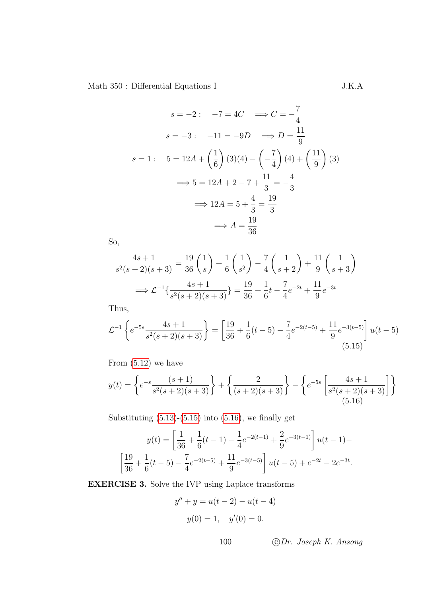$$
s = -2: \quad -7 = 4C \quad \Longrightarrow C = -\frac{7}{4}
$$
  
\n
$$
s = -3: \quad -11 = -9D \quad \Longrightarrow D = \frac{11}{9}
$$
  
\n
$$
s = 1: \quad 5 = 12A + \left(\frac{1}{6}\right)(3)(4) - \left(-\frac{7}{4}\right)(4) + \left(\frac{11}{9}\right)(3)
$$
  
\n
$$
\Longrightarrow 5 = 12A + 2 - 7 + \frac{11}{3} = -\frac{4}{3}
$$
  
\n
$$
\Longrightarrow 12A = 5 + \frac{4}{3} = \frac{19}{3}
$$
  
\n
$$
\Longrightarrow A = \frac{19}{36}
$$

So,

$$
\frac{4s+1}{s^2(s+2)(s+3)} = \frac{19}{36} \left(\frac{1}{s}\right) + \frac{1}{6} \left(\frac{1}{s^2}\right) - \frac{7}{4} \left(\frac{1}{s+2}\right) + \frac{11}{9} \left(\frac{1}{s+3}\right)
$$

$$
\implies \mathcal{L}^{-1} \left\{\frac{4s+1}{s^2(s+2)(s+3)}\right\} = \frac{19}{36} + \frac{1}{6}t - \frac{7}{4}e^{-2t} + \frac{11}{9}e^{-3t}
$$

Thus,

$$
\mathcal{L}^{-1}\left\{e^{-5s}\frac{4s+1}{s^2(s+2)(s+3)}\right\} = \left[\frac{19}{36} + \frac{1}{6}(t-5) - \frac{7}{4}e^{-2(t-5)} + \frac{11}{9}e^{-3(t-5)}\right]u(t-5)
$$
\n(5.15)

From [\(5.12\)](#page-101-0) we have

$$
y(t) = \left\{ e^{-s} \frac{(s+1)}{s^2(s+2)(s+3)} \right\} + \left\{ \frac{2}{(s+2)(s+3)} \right\} - \left\{ e^{-5s} \left[ \frac{4s+1}{s^2(s+2)(s+3)} \right] \right\}
$$
(5.16)

Substituting  $(5.13)-(5.15)$  $(5.13)-(5.15)$  $(5.13)-(5.15)$  into  $(5.16)$ , we finally get

$$
y(t) = \left[\frac{1}{36} + \frac{1}{6}(t-1) - \frac{1}{4}e^{-2(t-1)} + \frac{2}{9}e^{-3(t-1)}\right]u(t-1) -
$$
  

$$
\left[\frac{19}{36} + \frac{1}{6}(t-5) - \frac{7}{4}e^{-2(t-5)} + \frac{11}{9}e^{-3(t-5)}\right]u(t-5) + e^{-2t} - 2e^{-3t}.
$$

EXERCISE 3. Solve the IVP using Laplace transforms

<span id="page-103-1"></span><span id="page-103-0"></span>
$$
y'' + y = u(t - 2) - u(t - 4)
$$
  

$$
y(0) = 1, \quad y'(0) = 0.
$$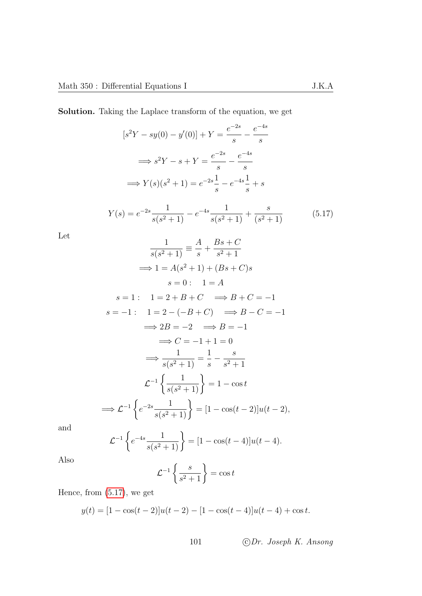Solution. Taking the Laplace transform of the equation, we get

<span id="page-104-0"></span>
$$
[s^{2}Y - sy(0) - y'(0)] + Y = \frac{e^{-2s}}{s} - \frac{e^{-4s}}{s}
$$
  
\n
$$
\implies s^{2}Y - s + Y = \frac{e^{-2s}}{s} - \frac{e^{-4s}}{s}
$$
  
\n
$$
\implies Y(s)(s^{2} + 1) = e^{-2s}\frac{1}{s} - e^{-4s}\frac{1}{s} + s
$$
  
\n
$$
Y(s) = e^{-2s}\frac{1}{s(s^{2} + 1)} - e^{-4s}\frac{1}{s(s^{2} + 1)} + \frac{s}{(s^{2} + 1)}
$$
  
\n
$$
\frac{1}{s(s^{2} + 1)} = \frac{A}{s} + \frac{Bs + C}{s^{2} + 1}
$$
  
\n
$$
\implies 1 = A(s^{2} + 1) + (Bs + C)s
$$
  
\n
$$
s = 0: 1 = A
$$
  
\n
$$
s = 1: 1 = 2 + B + C \implies B + C = -1
$$
  
\n
$$
s = -1: 1 = 2 - (-B + C) \implies B - C = -1
$$
  
\n
$$
\implies 2B = -2 \implies B = -1
$$
  
\n
$$
\implies C = -1 + 1 = 0
$$
  
\n
$$
\implies \frac{1}{s(s^{2} + 1)} = \frac{1}{s} - \frac{s}{s^{2} + 1}
$$
  
\n
$$
\mathcal{L}^{-1}\left\{\frac{1}{s(s^{2} + 1)}\right\} = 1 - \cos t
$$
  
\n
$$
\implies \mathcal{L}^{-1}\left\{e^{-2s}\frac{1}{s(s^{2} + 1)}\right\} = [1 - \cos(t - 2)]u(t - 2),
$$

and

Let

$$
\mathcal{L}^{-1}\left\{e^{-4s}\frac{1}{s(s^2+1)}\right\} = [1-\cos(t-4)]u(t-4).
$$

Also

$$
\mathcal{L}^{-1}\left\{\frac{s}{s^2+1}\right\} = \cos t
$$

Hence, from [\(5.17\)](#page-104-0), we get

$$
y(t) = [1 - \cos(t - 2)]u(t - 2) - [1 - \cos(t - 4)]u(t - 4) + \cos t.
$$